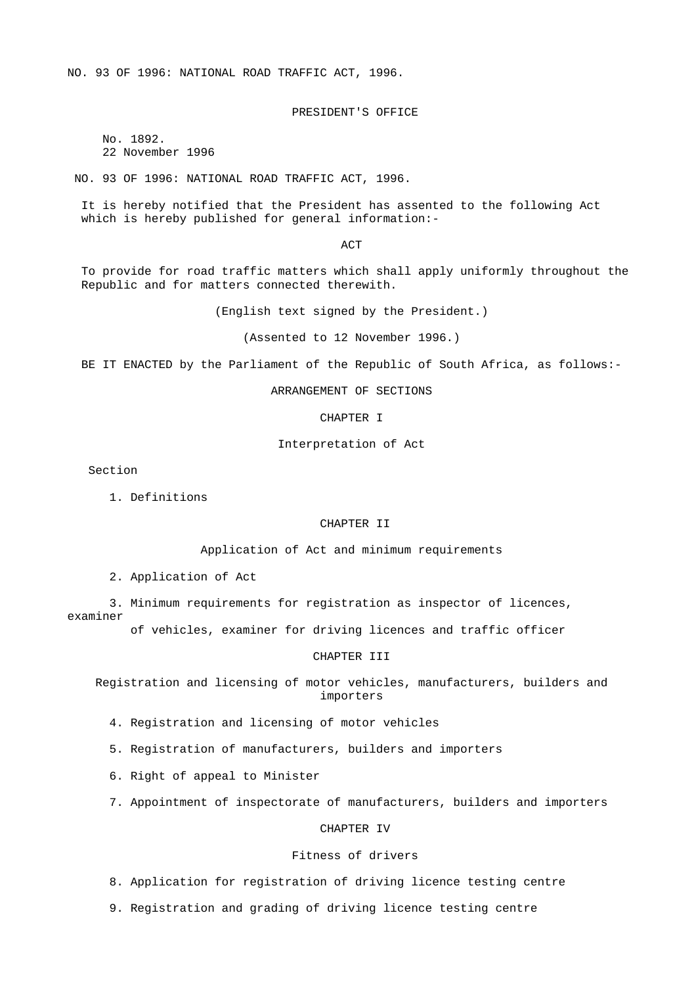NO. 93 OF 1996: NATIONAL ROAD TRAFFIC ACT, 1996.

PRESIDENT'S OFFICE

 No. 1892. 22 November 1996

NO. 93 OF 1996: NATIONAL ROAD TRAFFIC ACT, 1996.

 It is hereby notified that the President has assented to the following Act which is hereby published for general information:-

**ACT** 

 To provide for road traffic matters which shall apply uniformly throughout the Republic and for matters connected therewith.

(English text signed by the President.)

(Assented to 12 November 1996.)

BE IT ENACTED by the Parliament of the Republic of South Africa, as follows:-

ARRANGEMENT OF SECTIONS

CHAPTER I

Interpretation of Act

Section

1. Definitions

## CHAPTER II

Application of Act and minimum requirements

2. Application of Act

 3. Minimum requirements for registration as inspector of licences, examiner

of vehicles, examiner for driving licences and traffic officer

#### CHAPTER III

 Registration and licensing of motor vehicles, manufacturers, builders and importers

4. Registration and licensing of motor vehicles

- 5. Registration of manufacturers, builders and importers
- 6. Right of appeal to Minister
- 7. Appointment of inspectorate of manufacturers, builders and importers

CHAPTER IV

## Fitness of drivers

8. Application for registration of driving licence testing centre

9. Registration and grading of driving licence testing centre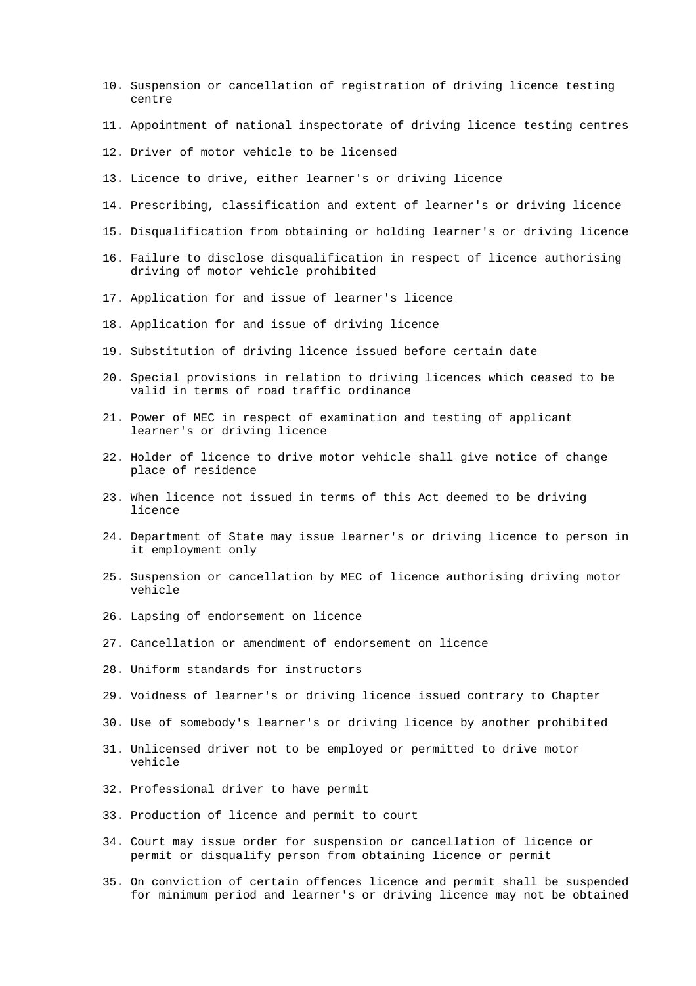- 10. Suspension or cancellation of registration of driving licence testing centre
- 11. Appointment of national inspectorate of driving licence testing centres
- 12. Driver of motor vehicle to be licensed
- 13. Licence to drive, either learner's or driving licence
- 14. Prescribing, classification and extent of learner's or driving licence
- 15. Disqualification from obtaining or holding learner's or driving licence
- 16. Failure to disclose disqualification in respect of licence authorising driving of motor vehicle prohibited
- 17. Application for and issue of learner's licence
- 18. Application for and issue of driving licence
- 19. Substitution of driving licence issued before certain date
- 20. Special provisions in relation to driving licences which ceased to be valid in terms of road traffic ordinance
- 21. Power of MEC in respect of examination and testing of applicant learner's or driving licence
- 22. Holder of licence to drive motor vehicle shall give notice of change place of residence
- 23. When licence not issued in terms of this Act deemed to be driving licence
- 24. Department of State may issue learner's or driving licence to person in it employment only
- 25. Suspension or cancellation by MEC of licence authorising driving motor vehicle
- 26. Lapsing of endorsement on licence
- 27. Cancellation or amendment of endorsement on licence
- 28. Uniform standards for instructors
- 29. Voidness of learner's or driving licence issued contrary to Chapter
- 30. Use of somebody's learner's or driving licence by another prohibited
- 31. Unlicensed driver not to be employed or permitted to drive motor vehicle
- 32. Professional driver to have permit
- 33. Production of licence and permit to court
- 34. Court may issue order for suspension or cancellation of licence or permit or disqualify person from obtaining licence or permit
- 35. On conviction of certain offences licence and permit shall be suspended for minimum period and learner's or driving licence may not be obtained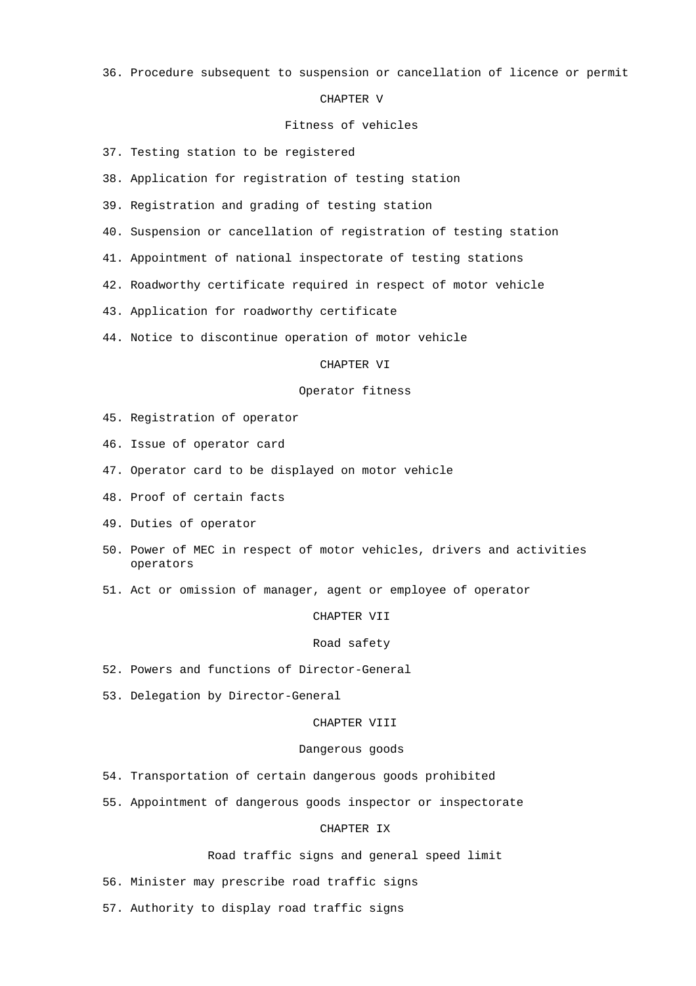36. Procedure subsequent to suspension or cancellation of licence or permit

### CHAPTER V

## Fitness of vehicles

- 37. Testing station to be registered
- 38. Application for registration of testing station
- 39. Registration and grading of testing station
- 40. Suspension or cancellation of registration of testing station
- 41. Appointment of national inspectorate of testing stations
- 42. Roadworthy certificate required in respect of motor vehicle
- 43. Application for roadworthy certificate
- 44. Notice to discontinue operation of motor vehicle

### CHAPTER VI

## Operator fitness

- 45. Registration of operator
- 46. Issue of operator card
- 47. Operator card to be displayed on motor vehicle
- 48. Proof of certain facts
- 49. Duties of operator
- 50. Power of MEC in respect of motor vehicles, drivers and activities operators
- 51. Act or omission of manager, agent or employee of operator

#### CHAPTER VII

#### Road safety

- 52. Powers and functions of Director-General
- 53. Delegation by Director-General

### CHAPTER VIII

### Dangerous goods

- 54. Transportation of certain dangerous goods prohibited
- 55. Appointment of dangerous goods inspector or inspectorate

## CHAPTER IX

Road traffic signs and general speed limit

56. Minister may prescribe road traffic signs

57. Authority to display road traffic signs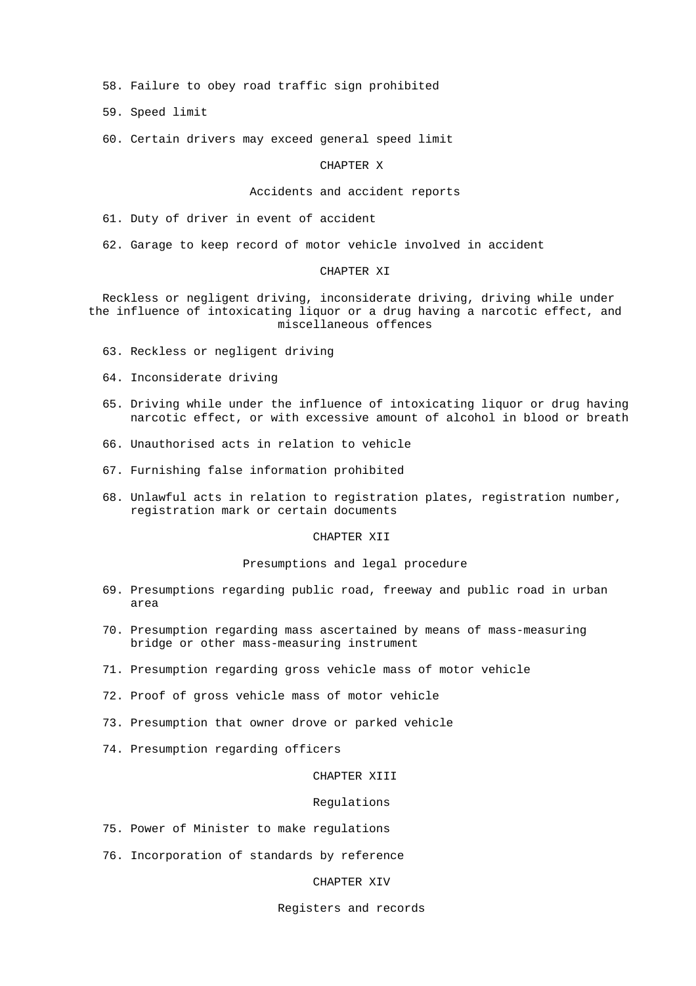58. Failure to obey road traffic sign prohibited

59. Speed limit

60. Certain drivers may exceed general speed limit

### CHAPTER X

### Accidents and accident reports

61. Duty of driver in event of accident

62. Garage to keep record of motor vehicle involved in accident

#### CHAPTER XI

 Reckless or negligent driving, inconsiderate driving, driving while under the influence of intoxicating liquor or a drug having a narcotic effect, and miscellaneous offences

- 63. Reckless or negligent driving
- 64. Inconsiderate driving
- 65. Driving while under the influence of intoxicating liquor or drug having narcotic effect, or with excessive amount of alcohol in blood or breath
- 66. Unauthorised acts in relation to vehicle
- 67. Furnishing false information prohibited
- 68. Unlawful acts in relation to registration plates, registration number, registration mark or certain documents

## CHAPTER XII

### Presumptions and legal procedure

- 69. Presumptions regarding public road, freeway and public road in urban area
- 70. Presumption regarding mass ascertained by means of mass-measuring bridge or other mass-measuring instrument
- 71. Presumption regarding gross vehicle mass of motor vehicle
- 72. Proof of gross vehicle mass of motor vehicle
- 73. Presumption that owner drove or parked vehicle
- 74. Presumption regarding officers

### CHAPTER XIII

#### Regulations

- 75. Power of Minister to make regulations
- 76. Incorporation of standards by reference

### CHAPTER XIV

## Registers and records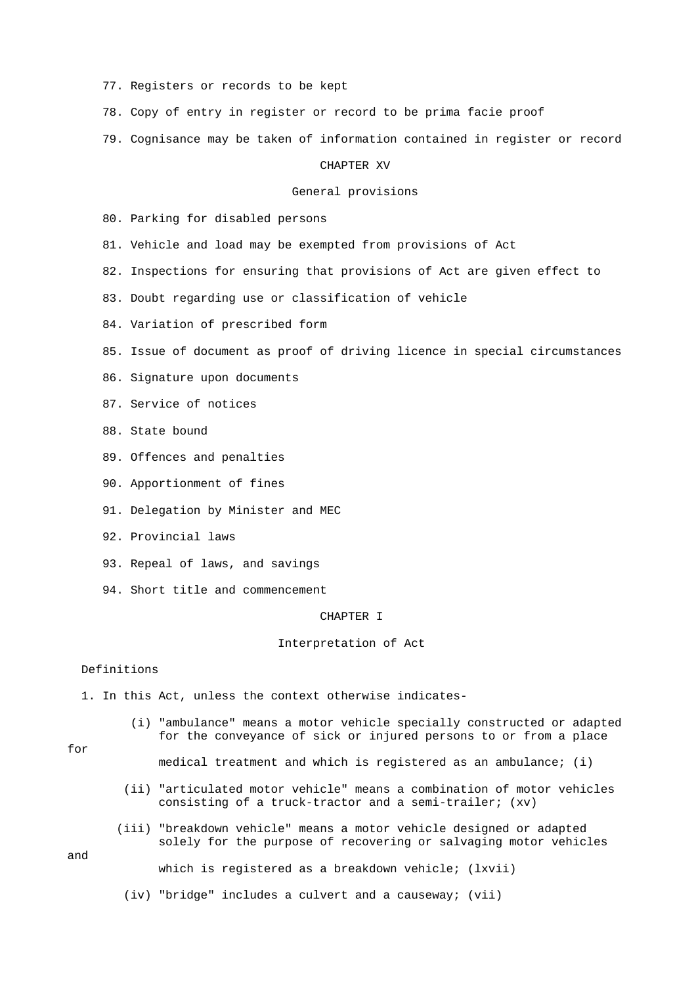- 77. Registers or records to be kept
- 78. Copy of entry in register or record to be prima facie proof
- 79. Cognisance may be taken of information contained in register or record

### CHAPTER XV

#### General provisions

80. Parking for disabled persons

- 81. Vehicle and load may be exempted from provisions of Act
- 82. Inspections for ensuring that provisions of Act are given effect to
- 83. Doubt regarding use or classification of vehicle
- 84. Variation of prescribed form
- 85. Issue of document as proof of driving licence in special circumstances
- 86. Signature upon documents
- 87. Service of notices
- 88. State bound
- 89. Offences and penalties
- 90. Apportionment of fines
- 91. Delegation by Minister and MEC
- 92. Provincial laws
- 93. Repeal of laws, and savings
- 94. Short title and commencement

#### CHAPTER I

#### Interpretation of Act

#### Definitions

- 1. In this Act, unless the context otherwise indicates-
	- (i) "ambulance" means a motor vehicle specially constructed or adapted for the conveyance of sick or injured persons to or from a place

### for

medical treatment and which is registered as an ambulance; (i)

- (ii) "articulated motor vehicle" means a combination of motor vehicles consisting of a truck-tractor and a semi-trailer; (xv)
- (iii) "breakdown vehicle" means a motor vehicle designed or adapted solely for the purpose of recovering or salvaging motor vehicles

### and

which is registered as a breakdown vehicle; (lxvii)

(iv) "bridge" includes a culvert and a causeway; (vii)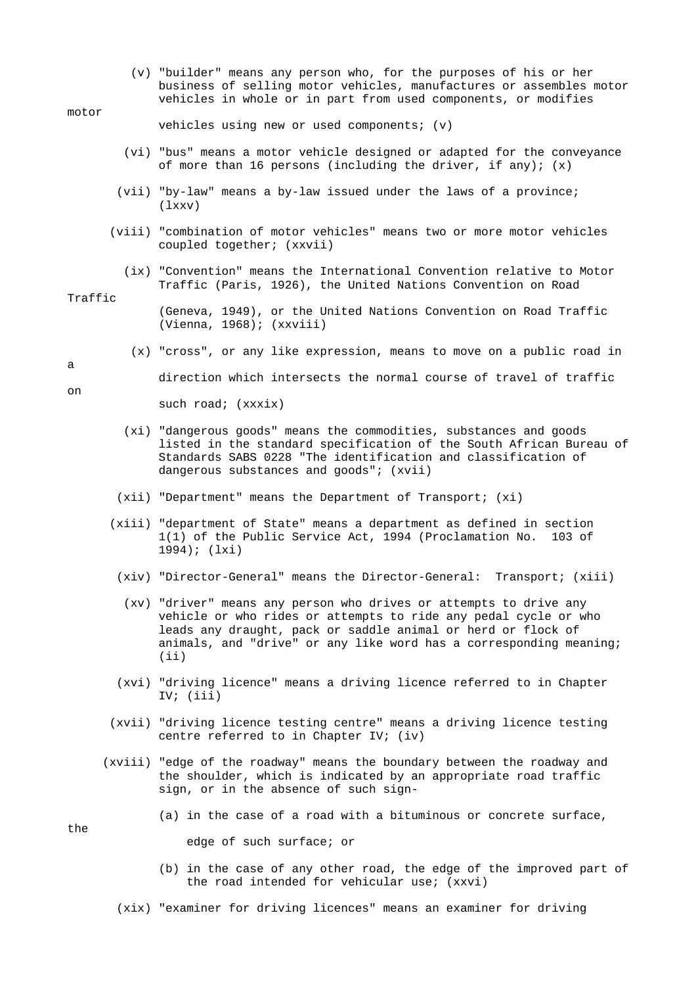(v) "builder" means any person who, for the purposes of his or her business of selling motor vehicles, manufactures or assembles motor vehicles in whole or in part from used components, or modifies

## motor

vehicles using new or used components; (v)

- (vi) "bus" means a motor vehicle designed or adapted for the conveyance of more than 16 persons (including the driver, if any); (x)
- (vii) "by-law" means a by-law issued under the laws of a province; (lxxv)
- (viii) "combination of motor vehicles" means two or more motor vehicles coupled together; (xxvii)
	- (ix) "Convention" means the International Convention relative to Motor Traffic (Paris, 1926), the United Nations Convention on Road

#### Traffic

 (Geneva, 1949), or the United Nations Convention on Road Traffic (Vienna, 1968); (xxviii)

(x) "cross", or any like expression, means to move on a public road in

```
a
```
on

the

direction which intersects the normal course of travel of traffic

such road; (xxxix)

- (xi) "dangerous goods" means the commodities, substances and goods listed in the standard specification of the South African Bureau of Standards SABS 0228 "The identification and classification of dangerous substances and goods"; (xvii)
- (xii) "Department" means the Department of Transport; (xi)
- (xiii) "department of State" means a department as defined in section 1(1) of the Public Service Act, 1994 (Proclamation No. 103 of 1994); (lxi)
- (xiv) "Director-General" means the Director-General: Transport; (xiii)
- (xv) "driver" means any person who drives or attempts to drive any vehicle or who rides or attempts to ride any pedal cycle or who leads any draught, pack or saddle animal or herd or flock of animals, and "drive" or any like word has a corresponding meaning; (ii)
- (xvi) "driving licence" means a driving licence referred to in Chapter IV; (iii)
- (xvii) "driving licence testing centre" means a driving licence testing centre referred to in Chapter IV; (iv)
- (xviii) "edge of the roadway" means the boundary between the roadway and the shoulder, which is indicated by an appropriate road traffic sign, or in the absence of such sign-
	- (a) in the case of a road with a bituminous or concrete surface,

edge of such surface; or

- (b) in the case of any other road, the edge of the improved part of the road intended for vehicular use; (xxvi)
- (xix) "examiner for driving licences" means an examiner for driving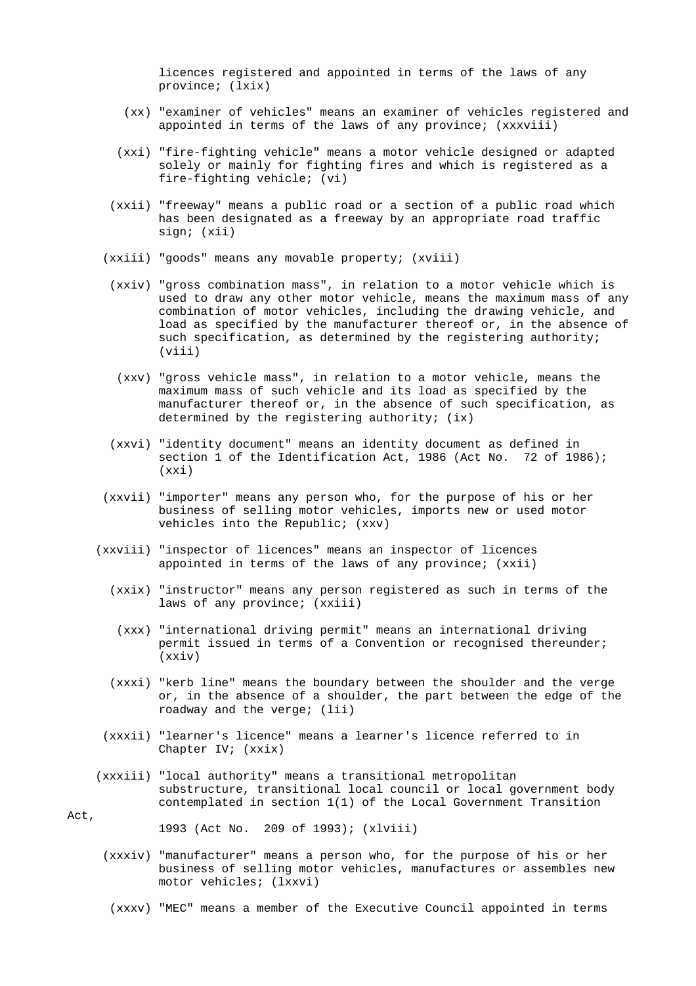licences registered and appointed in terms of the laws of any province; (lxix)

- (xx) "examiner of vehicles" means an examiner of vehicles registered and appointed in terms of the laws of any province; (xxxviii)
- (xxi) "fire-fighting vehicle" means a motor vehicle designed or adapted solely or mainly for fighting fires and which is registered as a fire-fighting vehicle; (vi)
- (xxii) "freeway" means a public road or a section of a public road which has been designated as a freeway by an appropriate road traffic sign; (xii)
- (xxiii) "goods" means any movable property; (xviii)
	- (xxiv) "gross combination mass", in relation to a motor vehicle which is used to draw any other motor vehicle, means the maximum mass of any combination of motor vehicles, including the drawing vehicle, and load as specified by the manufacturer thereof or, in the absence of such specification, as determined by the registering authority; (viii)
	- (xxv) "gross vehicle mass", in relation to a motor vehicle, means the maximum mass of such vehicle and its load as specified by the manufacturer thereof or, in the absence of such specification, as determined by the registering authority; (ix)
	- (xxvi) "identity document" means an identity document as defined in section 1 of the Identification Act, 1986 (Act No. 72 of 1986); (xxi)
- (xxvii) "importer" means any person who, for the purpose of his or her business of selling motor vehicles, imports new or used motor vehicles into the Republic; (xxv)
- (xxviii) "inspector of licences" means an inspector of licences appointed in terms of the laws of any province; (xxii)
	- (xxix) "instructor" means any person registered as such in terms of the laws of any province; (xxiii)
		- (xxx) "international driving permit" means an international driving permit issued in terms of a Convention or recognised thereunder; (xxiv)
	- (xxxi) "kerb line" means the boundary between the shoulder and the verge or, in the absence of a shoulder, the part between the edge of the roadway and the verge; (lii)
	- (xxxii) "learner's licence" means a learner's licence referred to in Chapter IV; (xxix)
- (xxxiii) "local authority" means a transitional metropolitan substructure, transitional local council or local government body contemplated in section 1(1) of the Local Government Transition

Act.

1993 (Act No. 209 of 1993); (xlviii)

- (xxxiv) "manufacturer" means a person who, for the purpose of his or her business of selling motor vehicles, manufactures or assembles new motor vehicles; (lxxvi)
	- (xxxv) "MEC" means a member of the Executive Council appointed in terms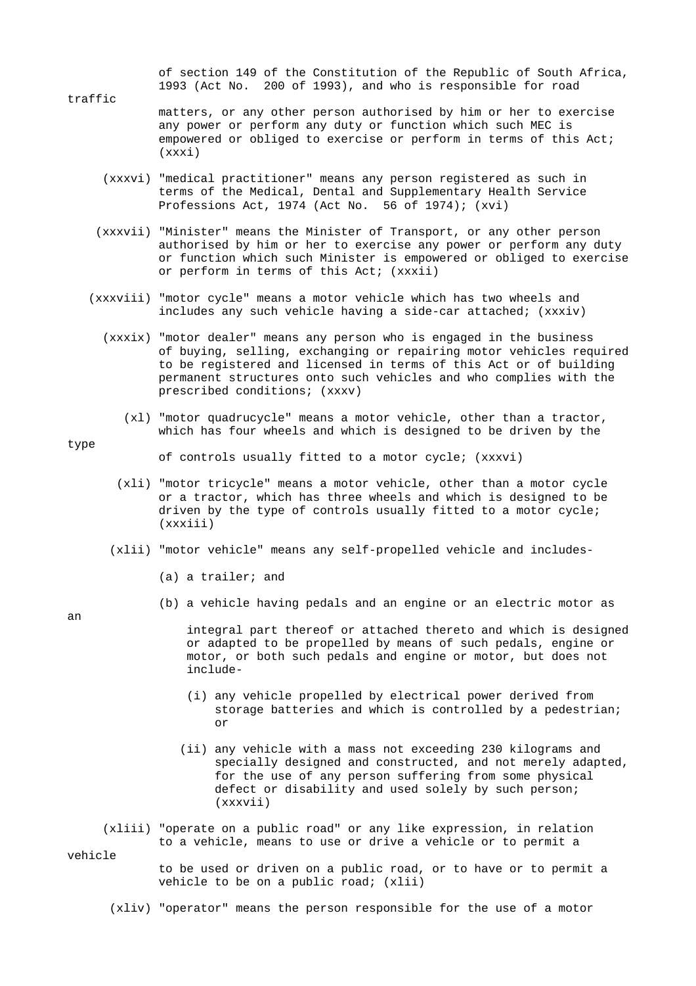of section 149 of the Constitution of the Republic of South Africa, 1993 (Act No. 200 of 1993), and who is responsible for road

- traffic matters, or any other person authorised by him or her to exercise any power or perform any duty or function which such MEC is empowered or obliged to exercise or perform in terms of this Act; (xxxi)
	- (xxxvi) "medical practitioner" means any person registered as such in terms of the Medical, Dental and Supplementary Health Service Professions Act, 1974 (Act No. 56 of 1974); (xvi)
	- (xxxvii) "Minister" means the Minister of Transport, or any other person authorised by him or her to exercise any power or perform any duty or function which such Minister is empowered or obliged to exercise or perform in terms of this Act; (xxxii)
	- (xxxviii) "motor cycle" means a motor vehicle which has two wheels and includes any such vehicle having a side-car attached; (xxxiv)
		- (xxxix) "motor dealer" means any person who is engaged in the business of buying, selling, exchanging or repairing motor vehicles required to be registered and licensed in terms of this Act or of building permanent structures onto such vehicles and who complies with the prescribed conditions; (xxxv)
			- (xl) "motor quadrucycle" means a motor vehicle, other than a tractor, which has four wheels and which is designed to be driven by the

## type

of controls usually fitted to a motor cycle; (xxxvi)

- (xli) "motor tricycle" means a motor vehicle, other than a motor cycle or a tractor, which has three wheels and which is designed to be driven by the type of controls usually fitted to a motor cycle; (xxxiii)
- (xlii) "motor vehicle" means any self-propelled vehicle and includes-
	- (a) a trailer; and
	- (b) a vehicle having pedals and an engine or an electric motor as

an

 integral part thereof or attached thereto and which is designed or adapted to be propelled by means of such pedals, engine or motor, or both such pedals and engine or motor, but does not include-

- (i) any vehicle propelled by electrical power derived from storage batteries and which is controlled by a pedestrian; or
	- (ii) any vehicle with a mass not exceeding 230 kilograms and specially designed and constructed, and not merely adapted, for the use of any person suffering from some physical defect or disability and used solely by such person; (xxxvii)
	- (xliii) "operate on a public road" or any like expression, in relation to a vehicle, means to use or drive a vehicle or to permit a

vehicle

 to be used or driven on a public road, or to have or to permit a vehicle to be on a public road; (xlii)

(xliv) "operator" means the person responsible for the use of a motor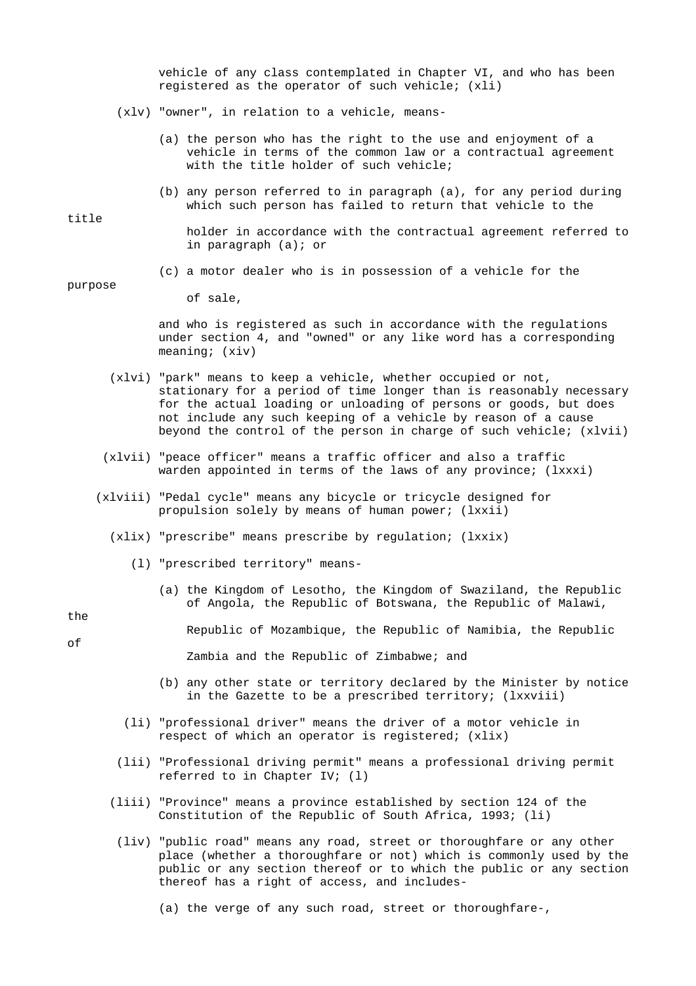vehicle of any class contemplated in Chapter VI, and who has been registered as the operator of such vehicle; (xli)

- (xlv) "owner", in relation to a vehicle, means-
	- (a) the person who has the right to the use and enjoyment of a vehicle in terms of the common law or a contractual agreement with the title holder of such vehicle;
	- (b) any person referred to in paragraph (a), for any period during which such person has failed to return that vehicle to the

 holder in accordance with the contractual agreement referred to in paragraph (a); or

(c) a motor dealer who is in possession of a vehicle for the

of sale,

 and who is registered as such in accordance with the regulations under section 4, and "owned" or any like word has a corresponding meaning; (xiv)

- (xlvi) "park" means to keep a vehicle, whether occupied or not, stationary for a period of time longer than is reasonably necessary for the actual loading or unloading of persons or goods, but does not include any such keeping of a vehicle by reason of a cause beyond the control of the person in charge of such vehicle; (xlvii)
- (xlvii) "peace officer" means a traffic officer and also a traffic warden appointed in terms of the laws of any province; (lxxxi)
- (xlviii) "Pedal cycle" means any bicycle or tricycle designed for propulsion solely by means of human power; (lxxii)
	- (xlix) "prescribe" means prescribe by regulation; (lxxix)
		- (l) "prescribed territory" means-
			- (a) the Kingdom of Lesotho, the Kingdom of Swaziland, the Republic of Angola, the Republic of Botswana, the Republic of Malawi,

the

of

Republic of Mozambique, the Republic of Namibia, the Republic

Zambia and the Republic of Zimbabwe; and

- (b) any other state or territory declared by the Minister by notice in the Gazette to be a prescribed territory; (lxxviii)
- (li) "professional driver" means the driver of a motor vehicle in respect of which an operator is registered; (xlix)
- (lii) "Professional driving permit" means a professional driving permit referred to in Chapter IV; (l)
- (liii) "Province" means a province established by section 124 of the Constitution of the Republic of South Africa, 1993; (li)
	- (liv) "public road" means any road, street or thoroughfare or any other place (whether a thoroughfare or not) which is commonly used by the public or any section thereof or to which the public or any section thereof has a right of access, and includes-
		- (a) the verge of any such road, street or thoroughfare-,

title

# purpose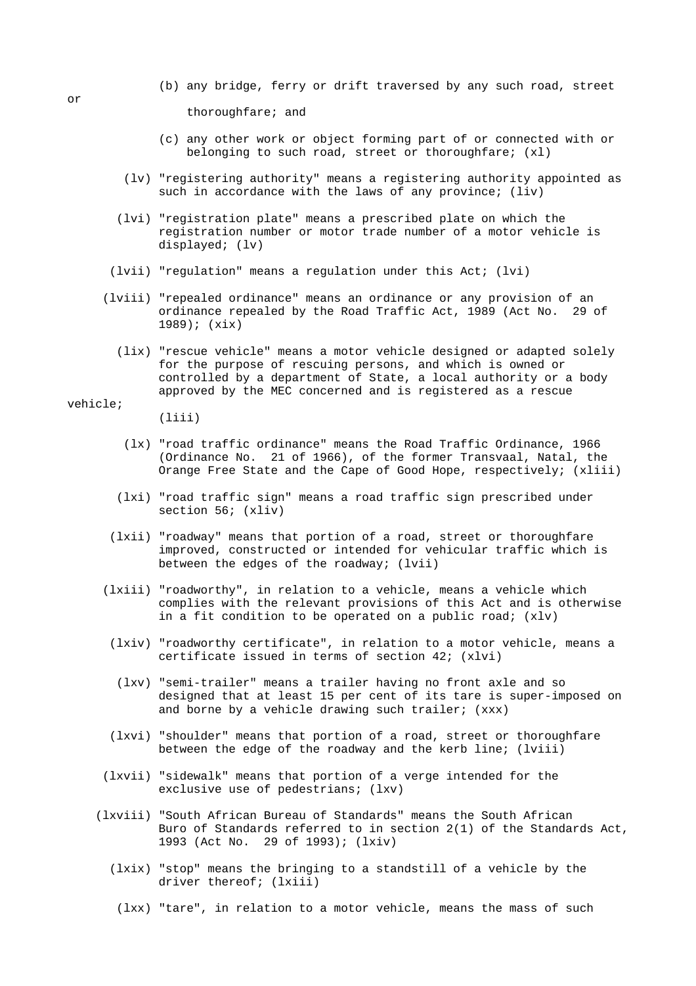- (b) any bridge, ferry or drift traversed by any such road, street thoroughfare; and
- (c) any other work or object forming part of or connected with or belonging to such road, street or thoroughfare; (xl)
- (lv) "registering authority" means a registering authority appointed as such in accordance with the laws of any province; (liv)
- (lvi) "registration plate" means a prescribed plate on which the registration number or motor trade number of a motor vehicle is displayed; (lv)
- (lvii) "regulation" means a regulation under this Act; (lvi)
- (lviii) "repealed ordinance" means an ordinance or any provision of an ordinance repealed by the Road Traffic Act, 1989 (Act No. 29 of 1989); (xix)
	- (lix) "rescue vehicle" means a motor vehicle designed or adapted solely for the purpose of rescuing persons, and which is owned or controlled by a department of State, a local authority or a body approved by the MEC concerned and is registered as a rescue

vehicle;

(liii)

- (lx) "road traffic ordinance" means the Road Traffic Ordinance, 1966 (Ordinance No. 21 of 1966), of the former Transvaal, Natal, the Orange Free State and the Cape of Good Hope, respectively; (xliii)
- (lxi) "road traffic sign" means a road traffic sign prescribed under section 56; (xliv)
- (lxii) "roadway" means that portion of a road, street or thoroughfare improved, constructed or intended for vehicular traffic which is between the edges of the roadway; (lvii)
- (lxiii) "roadworthy", in relation to a vehicle, means a vehicle which complies with the relevant provisions of this Act and is otherwise in a fit condition to be operated on a public road; (xlv)
	- (lxiv) "roadworthy certificate", in relation to a motor vehicle, means a certificate issued in terms of section 42; (xlvi)
	- (lxv) "semi-trailer" means a trailer having no front axle and so designed that at least 15 per cent of its tare is super-imposed on and borne by a vehicle drawing such trailer; (xxx)
- (lxvi) "shoulder" means that portion of a road, street or thoroughfare between the edge of the roadway and the kerb line; (lviii)
- (lxvii) "sidewalk" means that portion of a verge intended for the exclusive use of pedestrians; (lxv)
- (lxviii) "South African Bureau of Standards" means the South African Buro of Standards referred to in section 2(1) of the Standards Act, 1993 (Act No. 29 of 1993); (lxiv)
	- (lxix) "stop" means the bringing to a standstill of a vehicle by the driver thereof; (lxiii)
	- (lxx) "tare", in relation to a motor vehicle, means the mass of such

or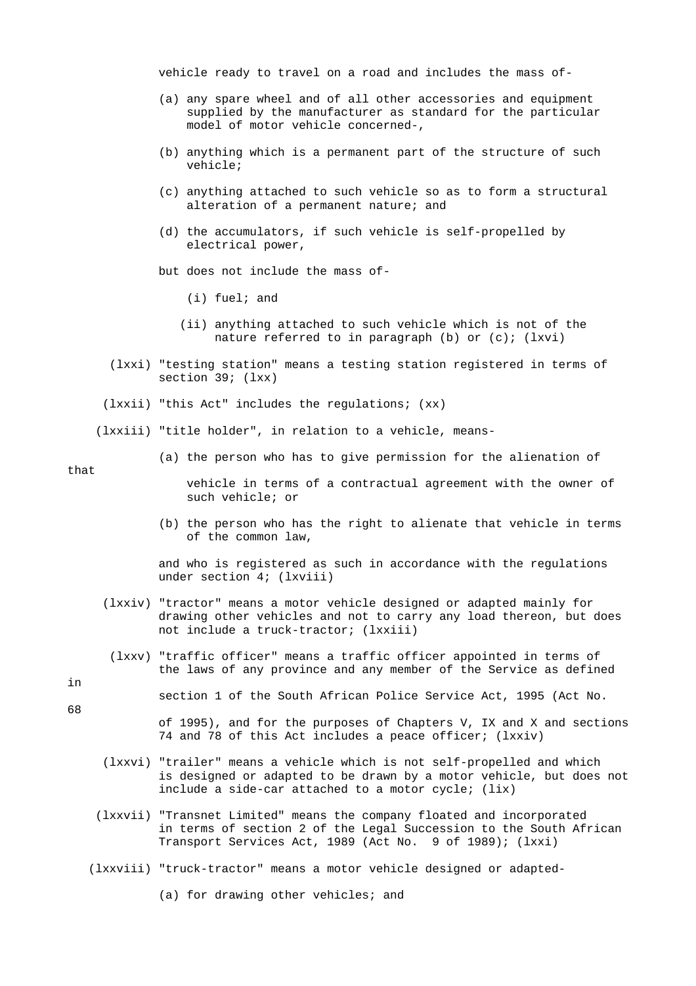vehicle ready to travel on a road and includes the mass of-

- (a) any spare wheel and of all other accessories and equipment supplied by the manufacturer as standard for the particular model of motor vehicle concerned-,
- (b) anything which is a permanent part of the structure of such vehicle;
- (c) anything attached to such vehicle so as to form a structural alteration of a permanent nature; and
- (d) the accumulators, if such vehicle is self-propelled by electrical power,

but does not include the mass of-

- (i) fuel; and
- (ii) anything attached to such vehicle which is not of the nature referred to in paragraph  $(b)$  or  $(c)$ ;  $(lxvi)$
- (lxxi) "testing station" means a testing station registered in terms of section 39; (lxx)
- (lxxii) "this Act" includes the regulations; (xx)

(lxxiii) "title holder", in relation to a vehicle, means-

(a) the person who has to give permission for the alienation of

that

 vehicle in terms of a contractual agreement with the owner of such vehicle; or

 (b) the person who has the right to alienate that vehicle in terms of the common law,

 and who is registered as such in accordance with the regulations under section 4; (lxviii)

- (lxxiv) "tractor" means a motor vehicle designed or adapted mainly for drawing other vehicles and not to carry any load thereon, but does not include a truck-tractor; (lxxiii)
	- (lxxv) "traffic officer" means a traffic officer appointed in terms of the laws of any province and any member of the Service as defined
- section 1 of the South African Police Service Act, 1995 (Act No.
	- of 1995), and for the purposes of Chapters V, IX and X and sections 74 and 78 of this Act includes a peace officer; (lxxiv)
	- (lxxvi) "trailer" means a vehicle which is not self-propelled and which is designed or adapted to be drawn by a motor vehicle, but does not include a side-car attached to a motor cycle; (lix)
- (lxxvii) "Transnet Limited" means the company floated and incorporated in terms of section 2 of the Legal Succession to the South African Transport Services Act, 1989 (Act No. 9 of 1989); (lxxi)
- (lxxviii) "truck-tractor" means a motor vehicle designed or adapted-

(a) for drawing other vehicles; and

in 68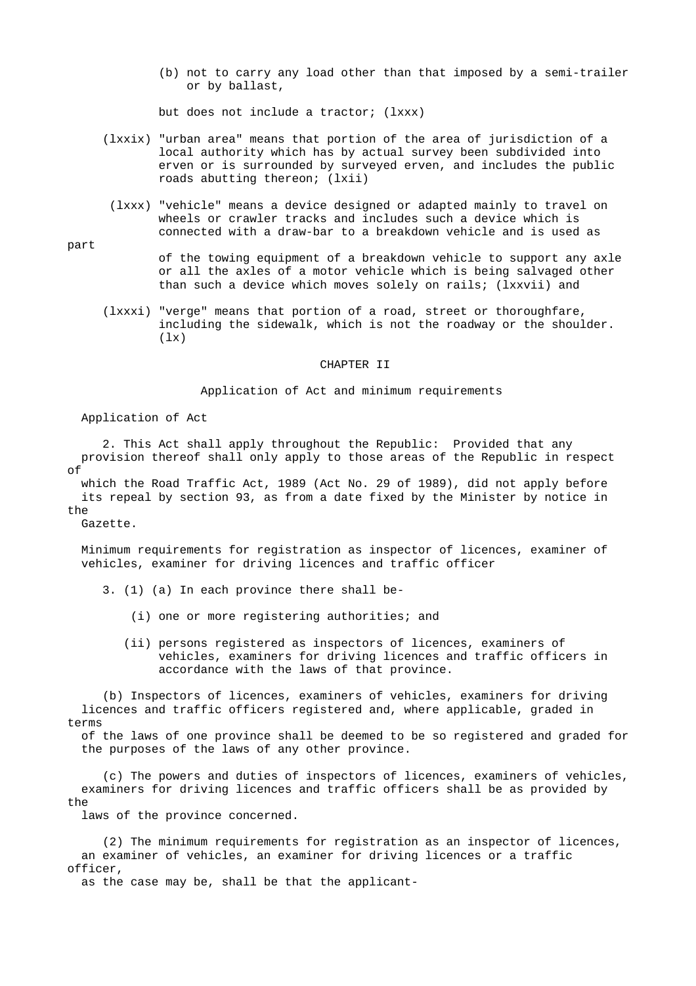(b) not to carry any load other than that imposed by a semi-trailer or by ballast,

but does not include a tractor; (lxxx)

- (lxxix) "urban area" means that portion of the area of jurisdiction of a local authority which has by actual survey been subdivided into erven or is surrounded by surveyed erven, and includes the public roads abutting thereon; (lxii)
	- (lxxx) "vehicle" means a device designed or adapted mainly to travel on wheels or crawler tracks and includes such a device which is connected with a draw-bar to a breakdown vehicle and is used as
		- of the towing equipment of a breakdown vehicle to support any axle or all the axles of a motor vehicle which is being salvaged other than such a device which moves solely on rails; (lxxvii) and
- (lxxxi) "verge" means that portion of a road, street or thoroughfare, including the sidewalk, which is not the roadway or the shoulder.  $(lx)$

#### CHAPTER II

### Application of Act and minimum requirements

Application of Act

 2. This Act shall apply throughout the Republic: Provided that any provision thereof shall only apply to those areas of the Republic in respect  $\cap f$ 

 which the Road Traffic Act, 1989 (Act No. 29 of 1989), did not apply before its repeal by section 93, as from a date fixed by the Minister by notice in the

Gazette.

 Minimum requirements for registration as inspector of licences, examiner of vehicles, examiner for driving licences and traffic officer

- 3. (1) (a) In each province there shall be-
	- (i) one or more registering authorities; and
	- (ii) persons registered as inspectors of licences, examiners of vehicles, examiners for driving licences and traffic officers in accordance with the laws of that province.

 (b) Inspectors of licences, examiners of vehicles, examiners for driving licences and traffic officers registered and, where applicable, graded in terms

 of the laws of one province shall be deemed to be so registered and graded for the purposes of the laws of any other province.

 (c) The powers and duties of inspectors of licences, examiners of vehicles, examiners for driving licences and traffic officers shall be as provided by the

laws of the province concerned.

 (2) The minimum requirements for registration as an inspector of licences, an examiner of vehicles, an examiner for driving licences or a traffic officer,

as the case may be, shall be that the applicant-

part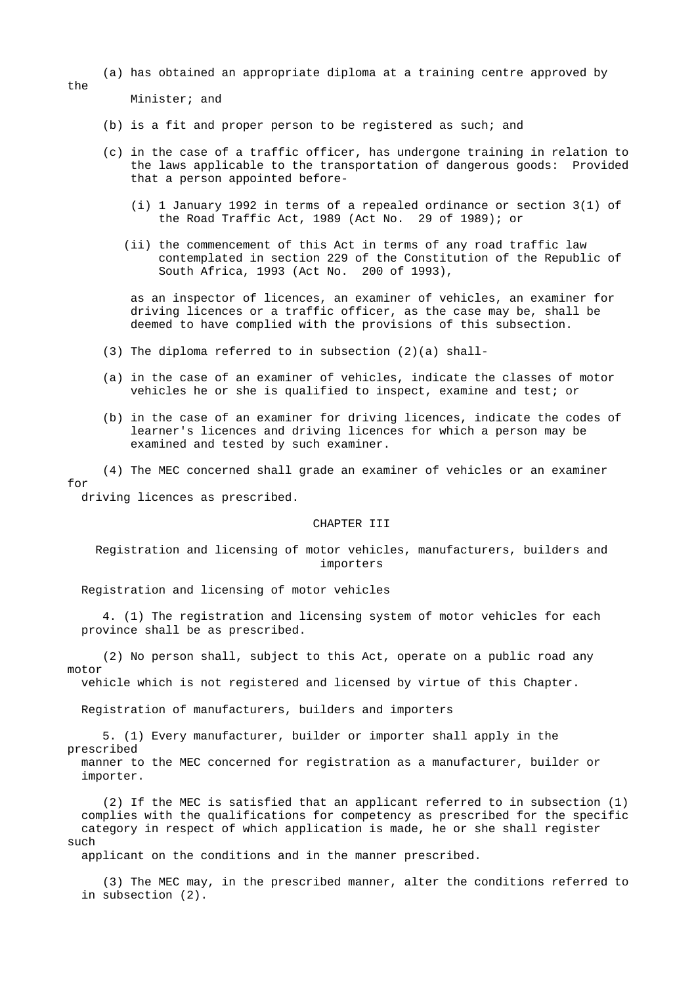(a) has obtained an appropriate diploma at a training centre approved by

Minister; and

- (b) is a fit and proper person to be registered as such; and
- (c) in the case of a traffic officer, has undergone training in relation to the laws applicable to the transportation of dangerous goods: Provided that a person appointed before-
	- (i) 1 January 1992 in terms of a repealed ordinance or section 3(1) of the Road Traffic Act, 1989 (Act No. 29 of 1989); or
	- (ii) the commencement of this Act in terms of any road traffic law contemplated in section 229 of the Constitution of the Republic of South Africa, 1993 (Act No. 200 of 1993),

 as an inspector of licences, an examiner of vehicles, an examiner for driving licences or a traffic officer, as the case may be, shall be deemed to have complied with the provisions of this subsection.

- (3) The diploma referred to in subsection (2)(a) shall-
- (a) in the case of an examiner of vehicles, indicate the classes of motor vehicles he or she is qualified to inspect, examine and test; or
- (b) in the case of an examiner for driving licences, indicate the codes of learner's licences and driving licences for which a person may be examined and tested by such examiner.

 (4) The MEC concerned shall grade an examiner of vehicles or an examiner for

driving licences as prescribed.

importer.

### CHAPTER III

 Registration and licensing of motor vehicles, manufacturers, builders and importers

Registration and licensing of motor vehicles

 4. (1) The registration and licensing system of motor vehicles for each province shall be as prescribed.

 (2) No person shall, subject to this Act, operate on a public road any motor

vehicle which is not registered and licensed by virtue of this Chapter.

Registration of manufacturers, builders and importers

 5. (1) Every manufacturer, builder or importer shall apply in the prescribed manner to the MEC concerned for registration as a manufacturer, builder or

 (2) If the MEC is satisfied that an applicant referred to in subsection (1) complies with the qualifications for competency as prescribed for the specific category in respect of which application is made, he or she shall register such

applicant on the conditions and in the manner prescribed.

 (3) The MEC may, in the prescribed manner, alter the conditions referred to in subsection (2).

the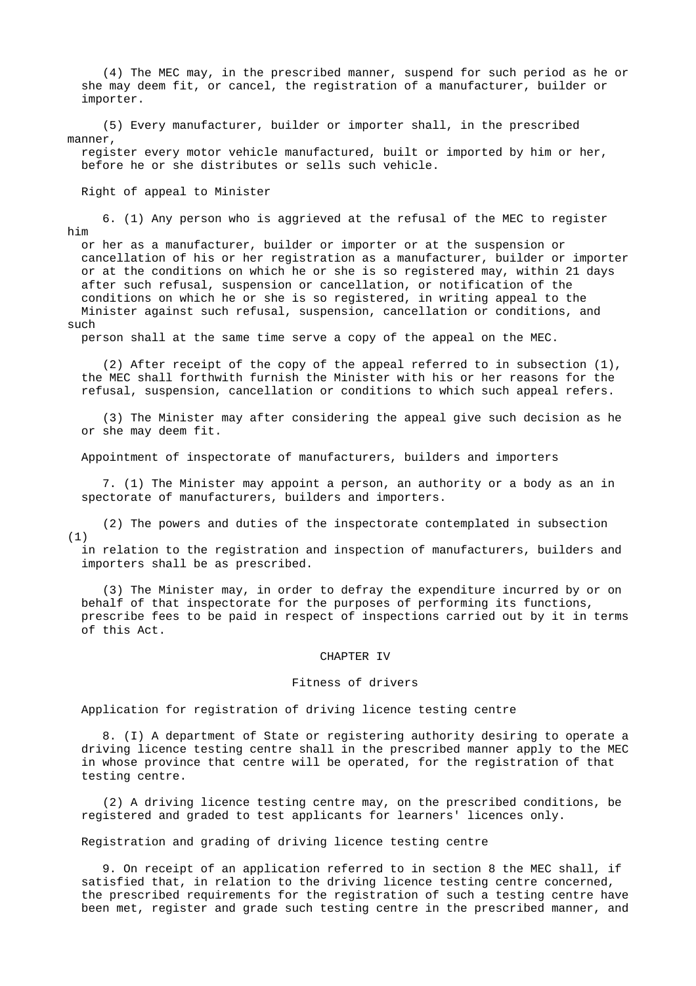(4) The MEC may, in the prescribed manner, suspend for such period as he or she may deem fit, or cancel, the registration of a manufacturer, builder or importer.

 (5) Every manufacturer, builder or importer shall, in the prescribed manner,

 register every motor vehicle manufactured, built or imported by him or her, before he or she distributes or sells such vehicle.

Right of appeal to Minister

 6. (1) Any person who is aggrieved at the refusal of the MEC to register him

 or her as a manufacturer, builder or importer or at the suspension or cancellation of his or her registration as a manufacturer, builder or importer or at the conditions on which he or she is so registered may, within 21 days after such refusal, suspension or cancellation, or notification of the conditions on which he or she is so registered, in writing appeal to the Minister against such refusal, suspension, cancellation or conditions, and such

person shall at the same time serve a copy of the appeal on the MEC.

 (2) After receipt of the copy of the appeal referred to in subsection (1), the MEC shall forthwith furnish the Minister with his or her reasons for the refusal, suspension, cancellation or conditions to which such appeal refers.

 (3) The Minister may after considering the appeal give such decision as he or she may deem fit.

Appointment of inspectorate of manufacturers, builders and importers

 7. (1) The Minister may appoint a person, an authority or a body as an in spectorate of manufacturers, builders and importers.

 (2) The powers and duties of the inspectorate contemplated in subsection (1)

 in relation to the registration and inspection of manufacturers, builders and importers shall be as prescribed.

 (3) The Minister may, in order to defray the expenditure incurred by or on behalf of that inspectorate for the purposes of performing its functions, prescribe fees to be paid in respect of inspections carried out by it in terms of this Act.

#### CHAPTER IV

### Fitness of drivers

Application for registration of driving licence testing centre

 8. (I) A department of State or registering authority desiring to operate a driving licence testing centre shall in the prescribed manner apply to the MEC in whose province that centre will be operated, for the registration of that testing centre.

 (2) A driving licence testing centre may, on the prescribed conditions, be registered and graded to test applicants for learners' licences only.

Registration and grading of driving licence testing centre

 9. On receipt of an application referred to in section 8 the MEC shall, if satisfied that, in relation to the driving licence testing centre concerned, the prescribed requirements for the registration of such a testing centre have been met, register and grade such testing centre in the prescribed manner, and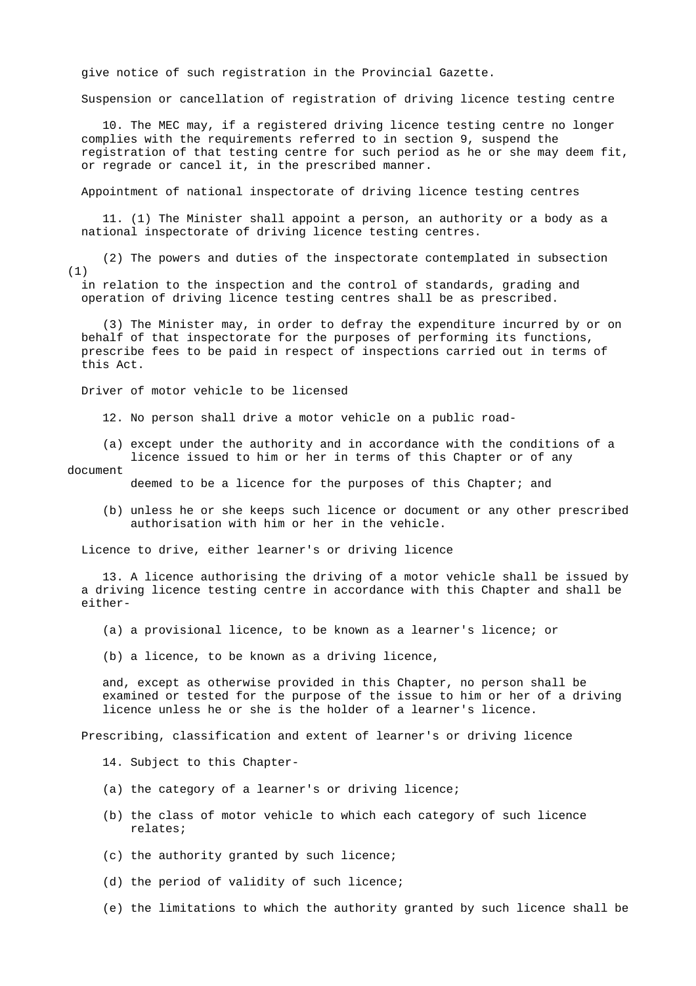give notice of such registration in the Provincial Gazette.

Suspension or cancellation of registration of driving licence testing centre

 10. The MEC may, if a registered driving licence testing centre no longer complies with the requirements referred to in section 9, suspend the registration of that testing centre for such period as he or she may deem fit, or regrade or cancel it, in the prescribed manner.

Appointment of national inspectorate of driving licence testing centres

 11. (1) The Minister shall appoint a person, an authority or a body as a national inspectorate of driving licence testing centres.

 (2) The powers and duties of the inspectorate contemplated in subsection (1)

 in relation to the inspection and the control of standards, grading and operation of driving licence testing centres shall be as prescribed.

 (3) The Minister may, in order to defray the expenditure incurred by or on behalf of that inspectorate for the purposes of performing its functions, prescribe fees to be paid in respect of inspections carried out in terms of this Act.

Driver of motor vehicle to be licensed

12. No person shall drive a motor vehicle on a public road-

 (a) except under the authority and in accordance with the conditions of a licence issued to him or her in terms of this Chapter or of any

### document

deemed to be a licence for the purposes of this Chapter; and

 (b) unless he or she keeps such licence or document or any other prescribed authorisation with him or her in the vehicle.

Licence to drive, either learner's or driving licence

 13. A licence authorising the driving of a motor vehicle shall be issued by a driving licence testing centre in accordance with this Chapter and shall be either-

- (a) a provisional licence, to be known as a learner's licence; or
- (b) a licence, to be known as a driving licence,

 and, except as otherwise provided in this Chapter, no person shall be examined or tested for the purpose of the issue to him or her of a driving licence unless he or she is the holder of a learner's licence.

Prescribing, classification and extent of learner's or driving licence

- 14. Subject to this Chapter-
- (a) the category of a learner's or driving licence;
- (b) the class of motor vehicle to which each category of such licence relates;
- (c) the authority granted by such licence;
- (d) the period of validity of such licence;
- (e) the limitations to which the authority granted by such licence shall be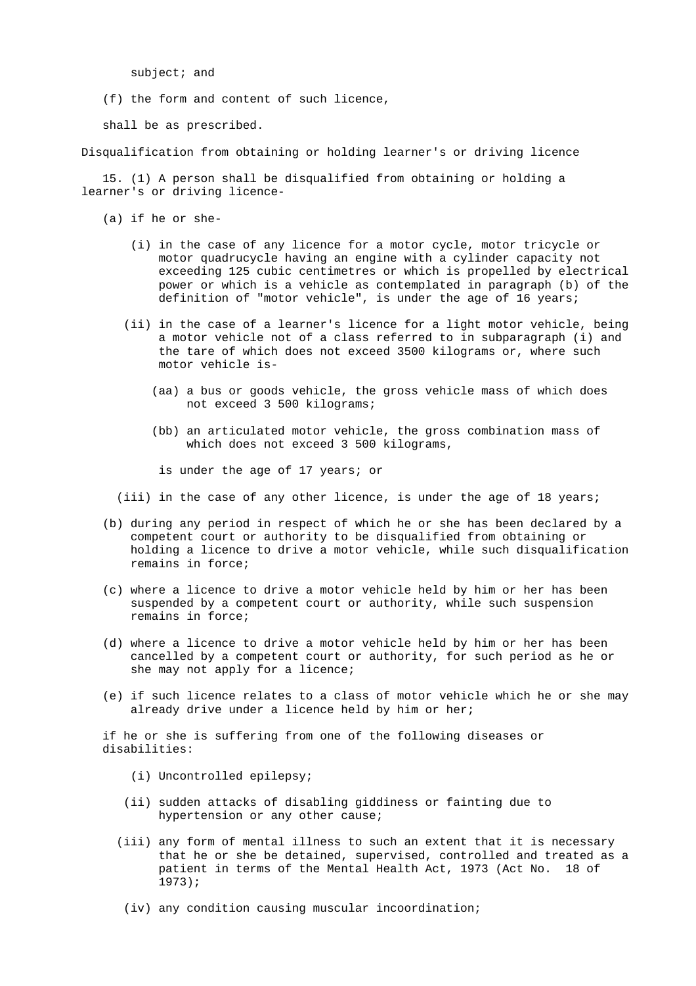subject; and

(f) the form and content of such licence,

shall be as prescribed.

Disqualification from obtaining or holding learner's or driving licence

 15. (1) A person shall be disqualified from obtaining or holding a learner's or driving licence-

(a) if he or she-

- (i) in the case of any licence for a motor cycle, motor tricycle or motor quadrucycle having an engine with a cylinder capacity not exceeding 125 cubic centimetres or which is propelled by electrical power or which is a vehicle as contemplated in paragraph (b) of the definition of "motor vehicle", is under the age of 16 years;
- (ii) in the case of a learner's licence for a light motor vehicle, being a motor vehicle not of a class referred to in subparagraph (i) and the tare of which does not exceed 3500 kilograms or, where such motor vehicle is-
	- (aa) a bus or goods vehicle, the gross vehicle mass of which does not exceed 3 500 kilograms;
	- (bb) an articulated motor vehicle, the gross combination mass of which does not exceed 3 500 kilograms,

is under the age of 17 years; or

(iii) in the case of any other licence, is under the age of 18 years;

- (b) during any period in respect of which he or she has been declared by a competent court or authority to be disqualified from obtaining or holding a licence to drive a motor vehicle, while such disqualification remains in force;
- (c) where a licence to drive a motor vehicle held by him or her has been suspended by a competent court or authority, while such suspension remains in force;
- (d) where a licence to drive a motor vehicle held by him or her has been cancelled by a competent court or authority, for such period as he or she may not apply for a licence;
- (e) if such licence relates to a class of motor vehicle which he or she may already drive under a licence held by him or her;

 if he or she is suffering from one of the following diseases or disabilities:

- (i) Uncontrolled epilepsy;
- (ii) sudden attacks of disabling giddiness or fainting due to hypertension or any other cause;
- (iii) any form of mental illness to such an extent that it is necessary that he or she be detained, supervised, controlled and treated as a patient in terms of the Mental Health Act, 1973 (Act No. 18 of 1973);
	- (iv) any condition causing muscular incoordination;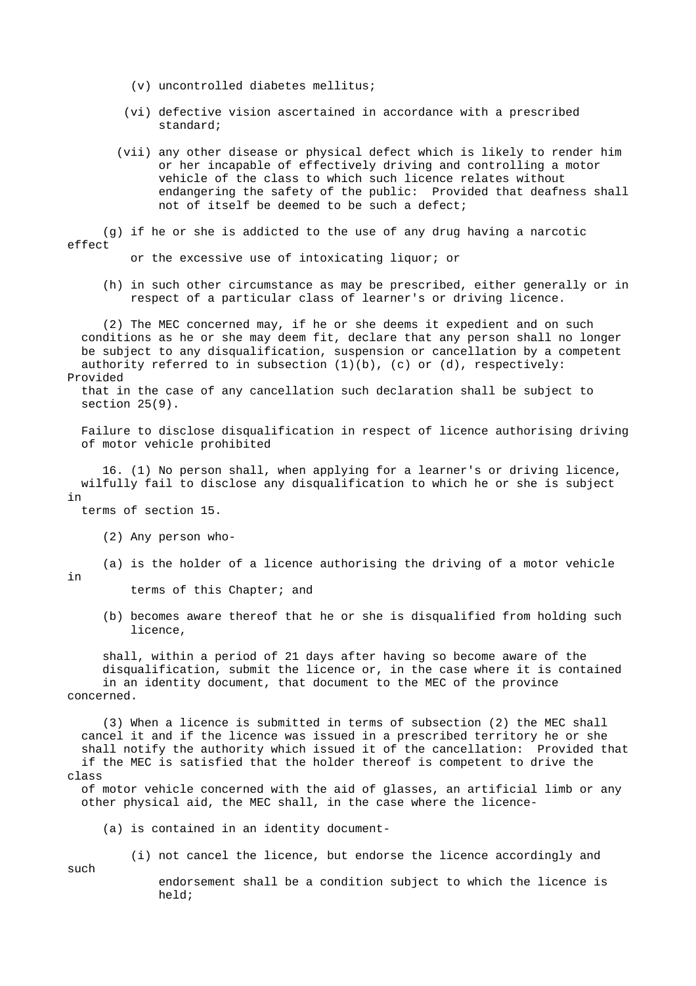- (v) uncontrolled diabetes mellitus;
- (vi) defective vision ascertained in accordance with a prescribed standard;
- (vii) any other disease or physical defect which is likely to render him or her incapable of effectively driving and controlling a motor vehicle of the class to which such licence relates without endangering the safety of the public: Provided that deafness shall not of itself be deemed to be such a defect;

 (g) if he or she is addicted to the use of any drug having a narcotic effect

or the excessive use of intoxicating liquor; or

 (h) in such other circumstance as may be prescribed, either generally or in respect of a particular class of learner's or driving licence.

 (2) The MEC concerned may, if he or she deems it expedient and on such conditions as he or she may deem fit, declare that any person shall no longer be subject to any disqualification, suspension or cancellation by a competent authority referred to in subsection  $(1)(b)$ ,  $(c)$  or  $(d)$ , respectively: Provided

 that in the case of any cancellation such declaration shall be subject to section 25(9).

 Failure to disclose disqualification in respect of licence authorising driving of motor vehicle prohibited

 16. (1) No person shall, when applying for a learner's or driving licence, wilfully fail to disclose any disqualification to which he or she is subject in

terms of section 15.

- (2) Any person who-
- (a) is the holder of a licence authorising the driving of a motor vehicle
- in

such

terms of this Chapter; and

 (b) becomes aware thereof that he or she is disqualified from holding such licence,

 shall, within a period of 21 days after having so become aware of the disqualification, submit the licence or, in the case where it is contained in an identity document, that document to the MEC of the province concerned.

 (3) When a licence is submitted in terms of subsection (2) the MEC shall cancel it and if the licence was issued in a prescribed territory he or she shall notify the authority which issued it of the cancellation: Provided that if the MEC is satisfied that the holder thereof is competent to drive the class

 of motor vehicle concerned with the aid of glasses, an artificial limb or any other physical aid, the MEC shall, in the case where the licence-

(a) is contained in an identity document-

(i) not cancel the licence, but endorse the licence accordingly and

 endorsement shall be a condition subject to which the licence is held;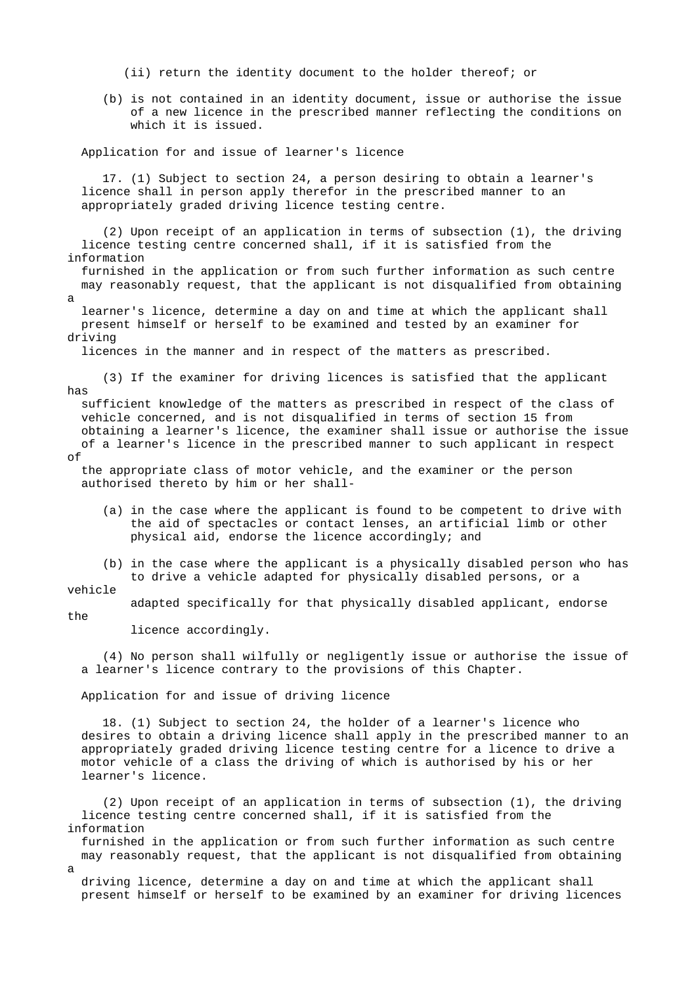(ii) return the identity document to the holder thereof; or

 (b) is not contained in an identity document, issue or authorise the issue of a new licence in the prescribed manner reflecting the conditions on which it is issued.

Application for and issue of learner's licence

 17. (1) Subject to section 24, a person desiring to obtain a learner's licence shall in person apply therefor in the prescribed manner to an appropriately graded driving licence testing centre.

 (2) Upon receipt of an application in terms of subsection (1), the driving licence testing centre concerned shall, if it is satisfied from the information

 furnished in the application or from such further information as such centre may reasonably request, that the applicant is not disqualified from obtaining a

 learner's licence, determine a day on and time at which the applicant shall present himself or herself to be examined and tested by an examiner for driving

licences in the manner and in respect of the matters as prescribed.

 (3) If the examiner for driving licences is satisfied that the applicant has

 sufficient knowledge of the matters as prescribed in respect of the class of vehicle concerned, and is not disqualified in terms of section 15 from obtaining a learner's licence, the examiner shall issue or authorise the issue of a learner's licence in the prescribed manner to such applicant in respect

of

 the appropriate class of motor vehicle, and the examiner or the person authorised thereto by him or her shall-

- (a) in the case where the applicant is found to be competent to drive with the aid of spectacles or contact lenses, an artificial limb or other physical aid, endorse the licence accordingly; and
- (b) in the case where the applicant is a physically disabled person who has to drive a vehicle adapted for physically disabled persons, or a

vehicle

adapted specifically for that physically disabled applicant, endorse

the

a

licence accordingly.

 (4) No person shall wilfully or negligently issue or authorise the issue of a learner's licence contrary to the provisions of this Chapter.

Application for and issue of driving licence

 18. (1) Subject to section 24, the holder of a learner's licence who desires to obtain a driving licence shall apply in the prescribed manner to an appropriately graded driving licence testing centre for a licence to drive a motor vehicle of a class the driving of which is authorised by his or her learner's licence.

 (2) Upon receipt of an application in terms of subsection (1), the driving licence testing centre concerned shall, if it is satisfied from the information

 furnished in the application or from such further information as such centre may reasonably request, that the applicant is not disqualified from obtaining

 driving licence, determine a day on and time at which the applicant shall present himself or herself to be examined by an examiner for driving licences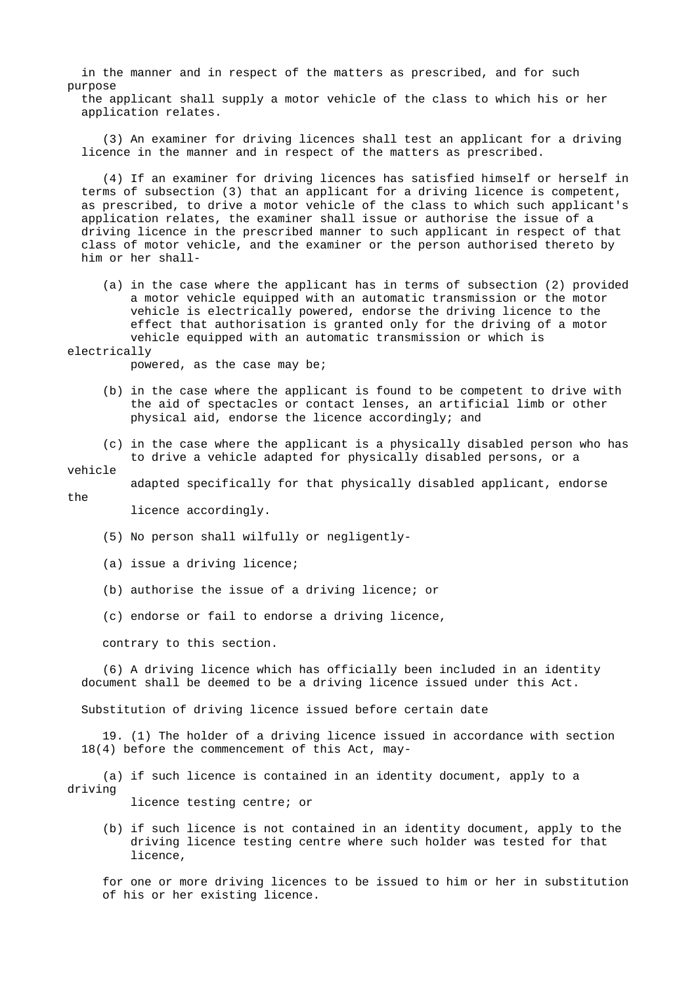in the manner and in respect of the matters as prescribed, and for such purpose

 the applicant shall supply a motor vehicle of the class to which his or her application relates.

 (3) An examiner for driving licences shall test an applicant for a driving licence in the manner and in respect of the matters as prescribed.

 (4) If an examiner for driving licences has satisfied himself or herself in terms of subsection (3) that an applicant for a driving licence is competent, as prescribed, to drive a motor vehicle of the class to which such applicant's application relates, the examiner shall issue or authorise the issue of a driving licence in the prescribed manner to such applicant in respect of that class of motor vehicle, and the examiner or the person authorised thereto by him or her shall-

 (a) in the case where the applicant has in terms of subsection (2) provided a motor vehicle equipped with an automatic transmission or the motor vehicle is electrically powered, endorse the driving licence to the effect that authorisation is granted only for the driving of a motor vehicle equipped with an automatic transmission or which is

### electrically

powered, as the case may be;

- (b) in the case where the applicant is found to be competent to drive with the aid of spectacles or contact lenses, an artificial limb or other physical aid, endorse the licence accordingly; and
- (c) in the case where the applicant is a physically disabled person who has to drive a vehicle adapted for physically disabled persons, or a

### vehicle

adapted specifically for that physically disabled applicant, endorse

the

licence accordingly.

- (5) No person shall wilfully or negligently-
- (a) issue a driving licence;
- (b) authorise the issue of a driving licence; or
- (c) endorse or fail to endorse a driving licence,

contrary to this section.

 (6) A driving licence which has officially been included in an identity document shall be deemed to be a driving licence issued under this Act.

Substitution of driving licence issued before certain date

 19. (1) The holder of a driving licence issued in accordance with section 18(4) before the commencement of this Act, may-

 (a) if such licence is contained in an identity document, apply to a driving

licence testing centre; or

 (b) if such licence is not contained in an identity document, apply to the driving licence testing centre where such holder was tested for that licence,

 for one or more driving licences to be issued to him or her in substitution of his or her existing licence.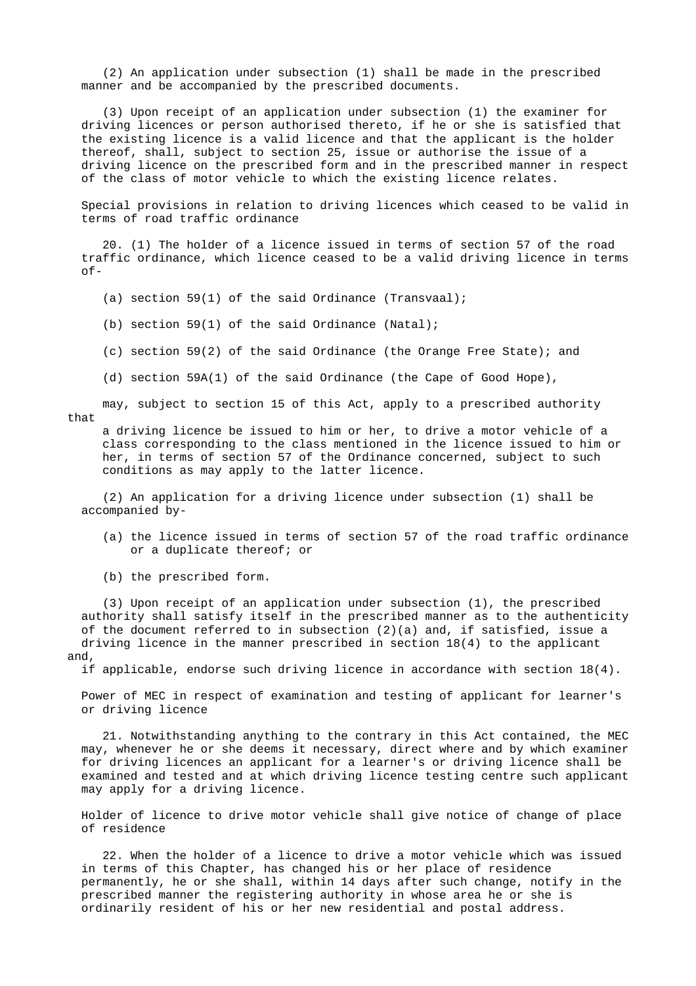(2) An application under subsection (1) shall be made in the prescribed manner and be accompanied by the prescribed documents.

 (3) Upon receipt of an application under subsection (1) the examiner for driving licences or person authorised thereto, if he or she is satisfied that the existing licence is a valid licence and that the applicant is the holder thereof, shall, subject to section 25, issue or authorise the issue of a driving licence on the prescribed form and in the prescribed manner in respect of the class of motor vehicle to which the existing licence relates.

 Special provisions in relation to driving licences which ceased to be valid in terms of road traffic ordinance

 20. (1) The holder of a licence issued in terms of section 57 of the road traffic ordinance, which licence ceased to be a valid driving licence in terms of-

(a) section 59(1) of the said Ordinance (Transvaal);

(b) section 59(1) of the said Ordinance (Natal);

- (c) section 59(2) of the said Ordinance (the Orange Free State); and
- (d) section 59A(1) of the said Ordinance (the Cape of Good Hope),

 may, subject to section 15 of this Act, apply to a prescribed authority that

 a driving licence be issued to him or her, to drive a motor vehicle of a class corresponding to the class mentioned in the licence issued to him or her, in terms of section 57 of the Ordinance concerned, subject to such conditions as may apply to the latter licence.

 (2) An application for a driving licence under subsection (1) shall be accompanied by-

- (a) the licence issued in terms of section 57 of the road traffic ordinance or a duplicate thereof; or
- (b) the prescribed form.

 (3) Upon receipt of an application under subsection (1), the prescribed authority shall satisfy itself in the prescribed manner as to the authenticity of the document referred to in subsection (2)(a) and, if satisfied, issue a driving licence in the manner prescribed in section 18(4) to the applicant and,

if applicable, endorse such driving licence in accordance with section 18(4).

 Power of MEC in respect of examination and testing of applicant for learner's or driving licence

 21. Notwithstanding anything to the contrary in this Act contained, the MEC may, whenever he or she deems it necessary, direct where and by which examiner for driving licences an applicant for a learner's or driving licence shall be examined and tested and at which driving licence testing centre such applicant may apply for a driving licence.

 Holder of licence to drive motor vehicle shall give notice of change of place of residence

 22. When the holder of a licence to drive a motor vehicle which was issued in terms of this Chapter, has changed his or her place of residence permanently, he or she shall, within 14 days after such change, notify in the prescribed manner the registering authority in whose area he or she is ordinarily resident of his or her new residential and postal address.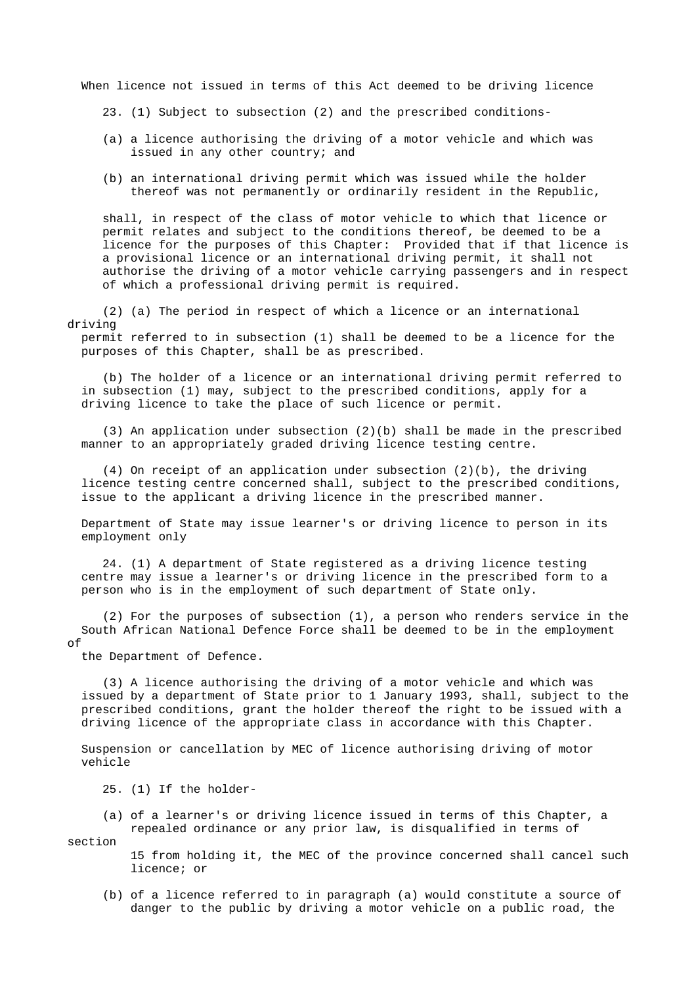When licence not issued in terms of this Act deemed to be driving licence

- 23. (1) Subject to subsection (2) and the prescribed conditions-
- (a) a licence authorising the driving of a motor vehicle and which was issued in any other country; and
- (b) an international driving permit which was issued while the holder thereof was not permanently or ordinarily resident in the Republic,

 shall, in respect of the class of motor vehicle to which that licence or permit relates and subject to the conditions thereof, be deemed to be a licence for the purposes of this Chapter: Provided that if that licence is a provisional licence or an international driving permit, it shall not authorise the driving of a motor vehicle carrying passengers and in respect of which a professional driving permit is required.

 (2) (a) The period in respect of which a licence or an international driving

 permit referred to in subsection (1) shall be deemed to be a licence for the purposes of this Chapter, shall be as prescribed.

 (b) The holder of a licence or an international driving permit referred to in subsection (1) may, subject to the prescribed conditions, apply for a driving licence to take the place of such licence or permit.

 (3) An application under subsection (2)(b) shall be made in the prescribed manner to an appropriately graded driving licence testing centre.

 (4) On receipt of an application under subsection (2)(b), the driving licence testing centre concerned shall, subject to the prescribed conditions, issue to the applicant a driving licence in the prescribed manner.

 Department of State may issue learner's or driving licence to person in its employment only

 24. (1) A department of State registered as a driving licence testing centre may issue a learner's or driving licence in the prescribed form to a person who is in the employment of such department of State only.

 (2) For the purposes of subsection (1), a person who renders service in the South African National Defence Force shall be deemed to be in the employment of

the Department of Defence.

 (3) A licence authorising the driving of a motor vehicle and which was issued by a department of State prior to 1 January 1993, shall, subject to the prescribed conditions, grant the holder thereof the right to be issued with a driving licence of the appropriate class in accordance with this Chapter.

 Suspension or cancellation by MEC of licence authorising driving of motor vehicle

25. (1) If the holder-

 (a) of a learner's or driving licence issued in terms of this Chapter, a repealed ordinance or any prior law, is disqualified in terms of

section

 15 from holding it, the MEC of the province concerned shall cancel such licence; or

 (b) of a licence referred to in paragraph (a) would constitute a source of danger to the public by driving a motor vehicle on a public road, the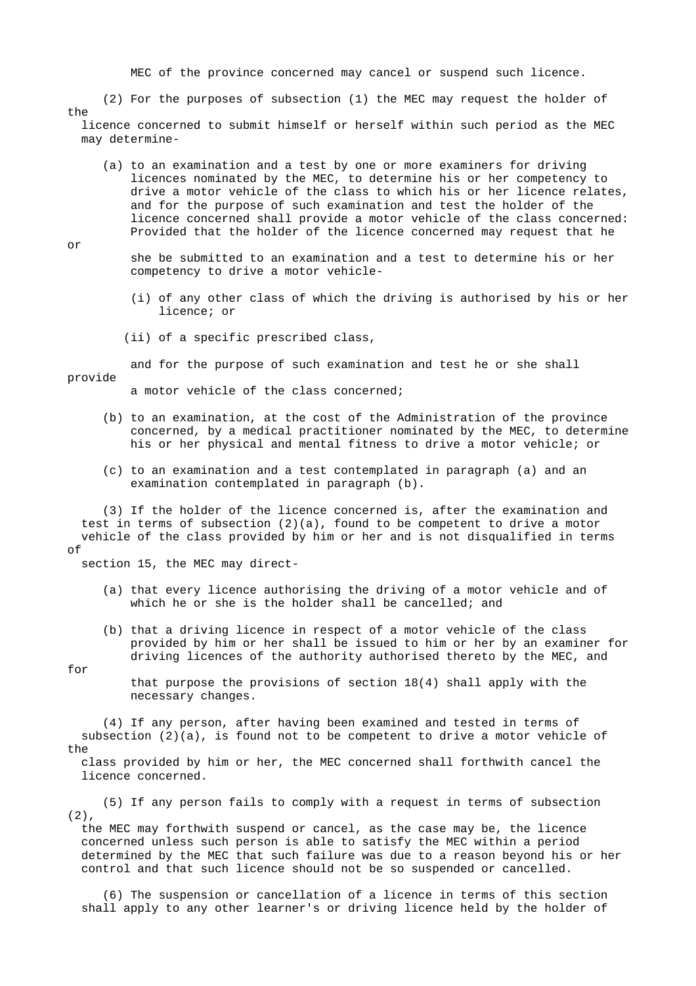MEC of the province concerned may cancel or suspend such licence.

 (2) For the purposes of subsection (1) the MEC may request the holder of the licence concerned to submit himself or herself within such period as the MEC

may determine-

 (a) to an examination and a test by one or more examiners for driving licences nominated by the MEC, to determine his or her competency to drive a motor vehicle of the class to which his or her licence relates, and for the purpose of such examination and test the holder of the licence concerned shall provide a motor vehicle of the class concerned: Provided that the holder of the licence concerned may request that he

or

 she be submitted to an examination and a test to determine his or her competency to drive a motor vehicle-

- (i) of any other class of which the driving is authorised by his or her licence; or
- (ii) of a specific prescribed class,

and for the purpose of such examination and test he or she shall

provide

a motor vehicle of the class concerned;

- (b) to an examination, at the cost of the Administration of the province concerned, by a medical practitioner nominated by the MEC, to determine his or her physical and mental fitness to drive a motor vehicle; or
- (c) to an examination and a test contemplated in paragraph (a) and an examination contemplated in paragraph (b).

 (3) If the holder of the licence concerned is, after the examination and test in terms of subsection (2)(a), found to be competent to drive a motor vehicle of the class provided by him or her and is not disqualified in terms of

section 15, the MEC may direct-

- (a) that every licence authorising the driving of a motor vehicle and of which he or she is the holder shall be cancelled; and
- (b) that a driving licence in respect of a motor vehicle of the class provided by him or her shall be issued to him or her by an examiner for driving licences of the authority authorised thereto by the MEC, and

for

 that purpose the provisions of section 18(4) shall apply with the necessary changes.

 (4) If any person, after having been examined and tested in terms of subsection  $(2)(a)$ , is found not to be competent to drive a motor vehicle of the

 class provided by him or her, the MEC concerned shall forthwith cancel the licence concerned.

 (5) If any person fails to comply with a request in terms of subsection  $(2)$ ,

 the MEC may forthwith suspend or cancel, as the case may be, the licence concerned unless such person is able to satisfy the MEC within a period determined by the MEC that such failure was due to a reason beyond his or her control and that such licence should not be so suspended or cancelled.

 (6) The suspension or cancellation of a licence in terms of this section shall apply to any other learner's or driving licence held by the holder of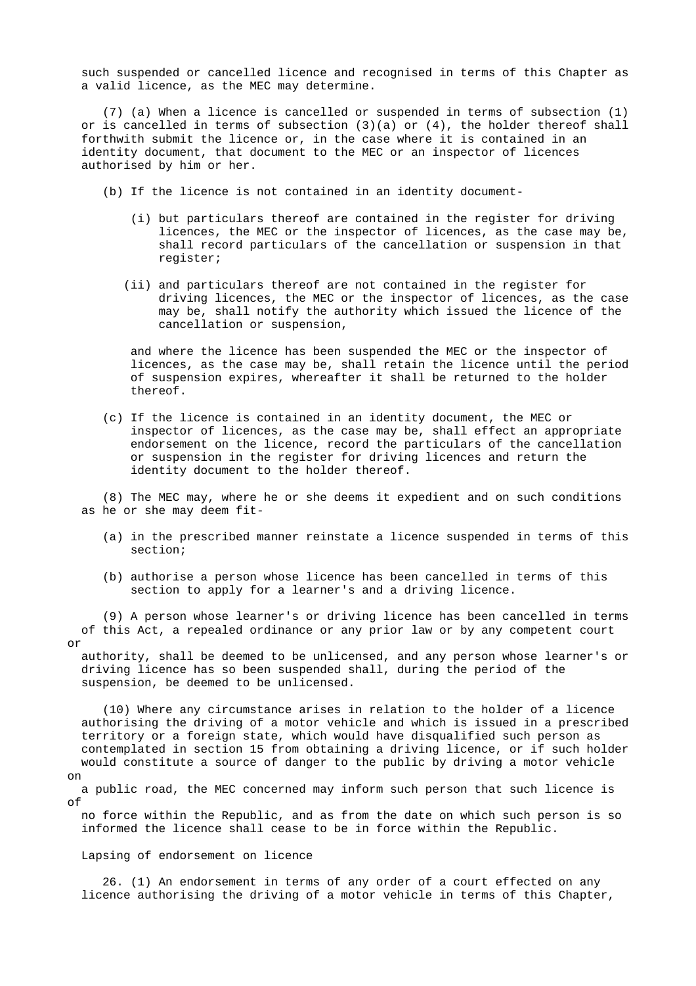such suspended or cancelled licence and recognised in terms of this Chapter as a valid licence, as the MEC may determine.

 (7) (a) When a licence is cancelled or suspended in terms of subsection (1) or is cancelled in terms of subsection  $(3)(a)$  or  $(4)$ , the holder thereof shall forthwith submit the licence or, in the case where it is contained in an identity document, that document to the MEC or an inspector of licences authorised by him or her.

- (b) If the licence is not contained in an identity document-
	- (i) but particulars thereof are contained in the register for driving licences, the MEC or the inspector of licences, as the case may be, shall record particulars of the cancellation or suspension in that register;
	- (ii) and particulars thereof are not contained in the register for driving licences, the MEC or the inspector of licences, as the case may be, shall notify the authority which issued the licence of the cancellation or suspension,

 and where the licence has been suspended the MEC or the inspector of licences, as the case may be, shall retain the licence until the period of suspension expires, whereafter it shall be returned to the holder thereof.

 (c) If the licence is contained in an identity document, the MEC or inspector of licences, as the case may be, shall effect an appropriate endorsement on the licence, record the particulars of the cancellation or suspension in the register for driving licences and return the identity document to the holder thereof.

 (8) The MEC may, where he or she deems it expedient and on such conditions as he or she may deem fit-

- (a) in the prescribed manner reinstate a licence suspended in terms of this section;
- (b) authorise a person whose licence has been cancelled in terms of this section to apply for a learner's and a driving licence.

 (9) A person whose learner's or driving licence has been cancelled in terms of this Act, a repealed ordinance or any prior law or by any competent court or

 authority, shall be deemed to be unlicensed, and any person whose learner's or driving licence has so been suspended shall, during the period of the suspension, be deemed to be unlicensed.

 (10) Where any circumstance arises in relation to the holder of a licence authorising the driving of a motor vehicle and which is issued in a prescribed territory or a foreign state, which would have disqualified such person as contemplated in section 15 from obtaining a driving licence, or if such holder would constitute a source of danger to the public by driving a motor vehicle on

 a public road, the MEC concerned may inform such person that such licence is of

 no force within the Republic, and as from the date on which such person is so informed the licence shall cease to be in force within the Republic.

Lapsing of endorsement on licence

 26. (1) An endorsement in terms of any order of a court effected on any licence authorising the driving of a motor vehicle in terms of this Chapter,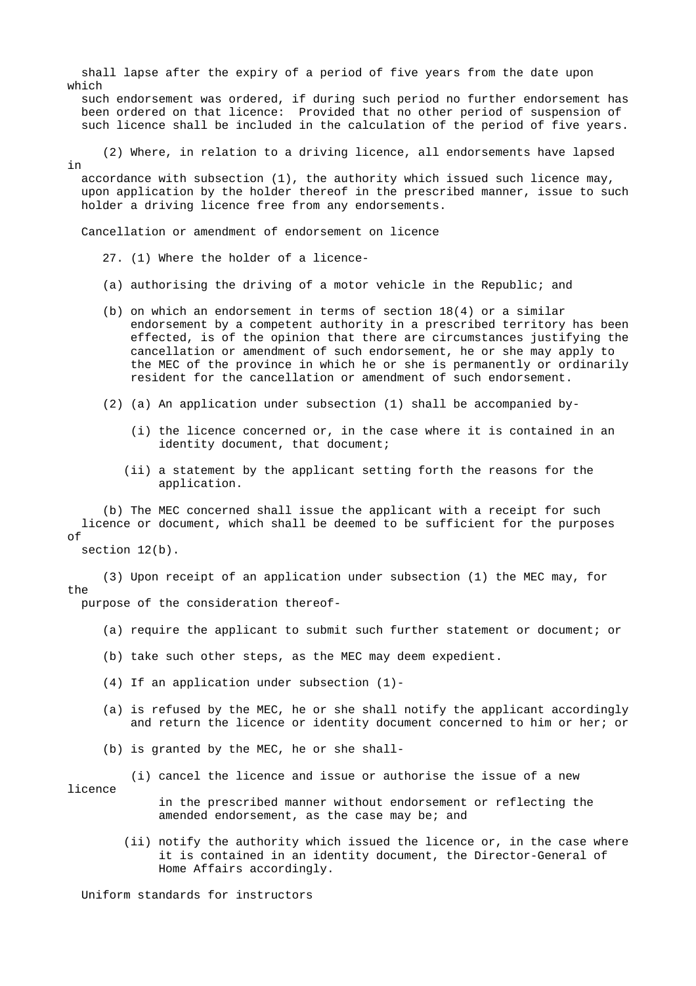shall lapse after the expiry of a period of five years from the date upon which

 such endorsement was ordered, if during such period no further endorsement has been ordered on that licence: Provided that no other period of suspension of such licence shall be included in the calculation of the period of five years.

 (2) Where, in relation to a driving licence, all endorsements have lapsed in

 accordance with subsection (1), the authority which issued such licence may, upon application by the holder thereof in the prescribed manner, issue to such holder a driving licence free from any endorsements.

Cancellation or amendment of endorsement on licence

- 27. (1) Where the holder of a licence-
- (a) authorising the driving of a motor vehicle in the Republic; and
- (b) on which an endorsement in terms of section 18(4) or a similar endorsement by a competent authority in a prescribed territory has been effected, is of the opinion that there are circumstances justifying the cancellation or amendment of such endorsement, he or she may apply to the MEC of the province in which he or she is permanently or ordinarily resident for the cancellation or amendment of such endorsement.
- (2) (a) An application under subsection (1) shall be accompanied by-
	- (i) the licence concerned or, in the case where it is contained in an identity document, that document;
	- (ii) a statement by the applicant setting forth the reasons for the application.

 (b) The MEC concerned shall issue the applicant with a receipt for such licence or document, which shall be deemed to be sufficient for the purposes  $\cap f$ 

section  $12(b)$ .

 (3) Upon receipt of an application under subsection (1) the MEC may, for the purpose of the consideration thereof-

- (a) require the applicant to submit such further statement or document; or
- (b) take such other steps, as the MEC may deem expedient.
- (4) If an application under subsection (1)-
- (a) is refused by the MEC, he or she shall notify the applicant accordingly and return the licence or identity document concerned to him or her; or
- (b) is granted by the MEC, he or she shall-
	- (i) cancel the licence and issue or authorise the issue of a new

licence

 in the prescribed manner without endorsement or reflecting the amended endorsement, as the case may be; and

 (ii) notify the authority which issued the licence or, in the case where it is contained in an identity document, the Director-General of Home Affairs accordingly.

Uniform standards for instructors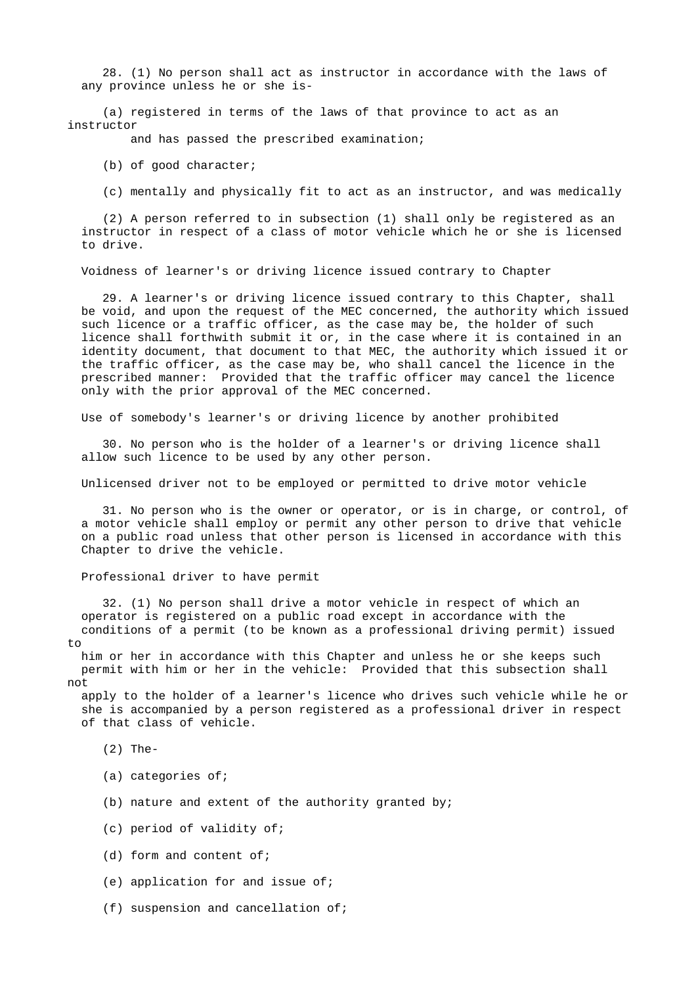28. (1) No person shall act as instructor in accordance with the laws of any province unless he or she is-

 (a) registered in terms of the laws of that province to act as an instructor

and has passed the prescribed examination;

(b) of good character;

(c) mentally and physically fit to act as an instructor, and was medically

 (2) A person referred to in subsection (1) shall only be registered as an instructor in respect of a class of motor vehicle which he or she is licensed to drive.

Voidness of learner's or driving licence issued contrary to Chapter

 29. A learner's or driving licence issued contrary to this Chapter, shall be void, and upon the request of the MEC concerned, the authority which issued such licence or a traffic officer, as the case may be, the holder of such licence shall forthwith submit it or, in the case where it is contained in an identity document, that document to that MEC, the authority which issued it or the traffic officer, as the case may be, who shall cancel the licence in the prescribed manner: Provided that the traffic officer may cancel the licence only with the prior approval of the MEC concerned.

Use of somebody's learner's or driving licence by another prohibited

 30. No person who is the holder of a learner's or driving licence shall allow such licence to be used by any other person.

Unlicensed driver not to be employed or permitted to drive motor vehicle

 31. No person who is the owner or operator, or is in charge, or control, of a motor vehicle shall employ or permit any other person to drive that vehicle on a public road unless that other person is licensed in accordance with this Chapter to drive the vehicle.

Professional driver to have permit

 32. (1) No person shall drive a motor vehicle in respect of which an operator is registered on a public road except in accordance with the conditions of a permit (to be known as a professional driving permit) issued to

 him or her in accordance with this Chapter and unless he or she keeps such permit with him or her in the vehicle: Provided that this subsection shall not

 apply to the holder of a learner's licence who drives such vehicle while he or she is accompanied by a person registered as a professional driver in respect of that class of vehicle.

(2) The-

- (a) categories of;
- (b) nature and extent of the authority granted by;
- (c) period of validity of;
- (d) form and content of;
- (e) application for and issue of;
- (f) suspension and cancellation of;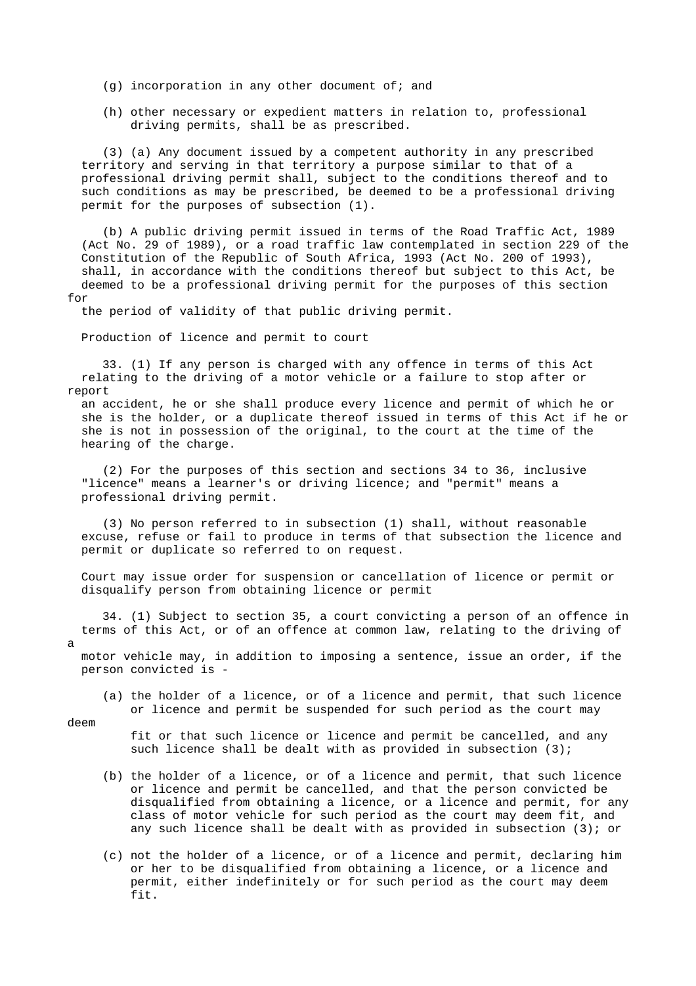- $(q)$  incorporation in any other document of; and
- (h) other necessary or expedient matters in relation to, professional driving permits, shall be as prescribed.

 (3) (a) Any document issued by a competent authority in any prescribed territory and serving in that territory a purpose similar to that of a professional driving permit shall, subject to the conditions thereof and to such conditions as may be prescribed, be deemed to be a professional driving permit for the purposes of subsection (1).

 (b) A public driving permit issued in terms of the Road Traffic Act, 1989 (Act No. 29 of 1989), or a road traffic law contemplated in section 229 of the Constitution of the Republic of South Africa, 1993 (Act No. 200 of 1993), shall, in accordance with the conditions thereof but subject to this Act, be deemed to be a professional driving permit for the purposes of this section for

the period of validity of that public driving permit.

Production of licence and permit to court

 33. (1) If any person is charged with any offence in terms of this Act relating to the driving of a motor vehicle or a failure to stop after or report

 an accident, he or she shall produce every licence and permit of which he or she is the holder, or a duplicate thereof issued in terms of this Act if he or she is not in possession of the original, to the court at the time of the hearing of the charge.

 (2) For the purposes of this section and sections 34 to 36, inclusive "licence" means a learner's or driving licence; and "permit" means a professional driving permit.

 (3) No person referred to in subsection (1) shall, without reasonable excuse, refuse or fail to produce in terms of that subsection the licence and permit or duplicate so referred to on request.

 Court may issue order for suspension or cancellation of licence or permit or disqualify person from obtaining licence or permit

 34. (1) Subject to section 35, a court convicting a person of an offence in terms of this Act, or of an offence at common law, relating to the driving of

 motor vehicle may, in addition to imposing a sentence, issue an order, if the person convicted is -

 (a) the holder of a licence, or of a licence and permit, that such licence or licence and permit be suspended for such period as the court may

deem

a

 fit or that such licence or licence and permit be cancelled, and any such licence shall be dealt with as provided in subsection (3);

- (b) the holder of a licence, or of a licence and permit, that such licence or licence and permit be cancelled, and that the person convicted be disqualified from obtaining a licence, or a licence and permit, for any class of motor vehicle for such period as the court may deem fit, and any such licence shall be dealt with as provided in subsection (3); or
- (c) not the holder of a licence, or of a licence and permit, declaring him or her to be disqualified from obtaining a licence, or a licence and permit, either indefinitely or for such period as the court may deem fit.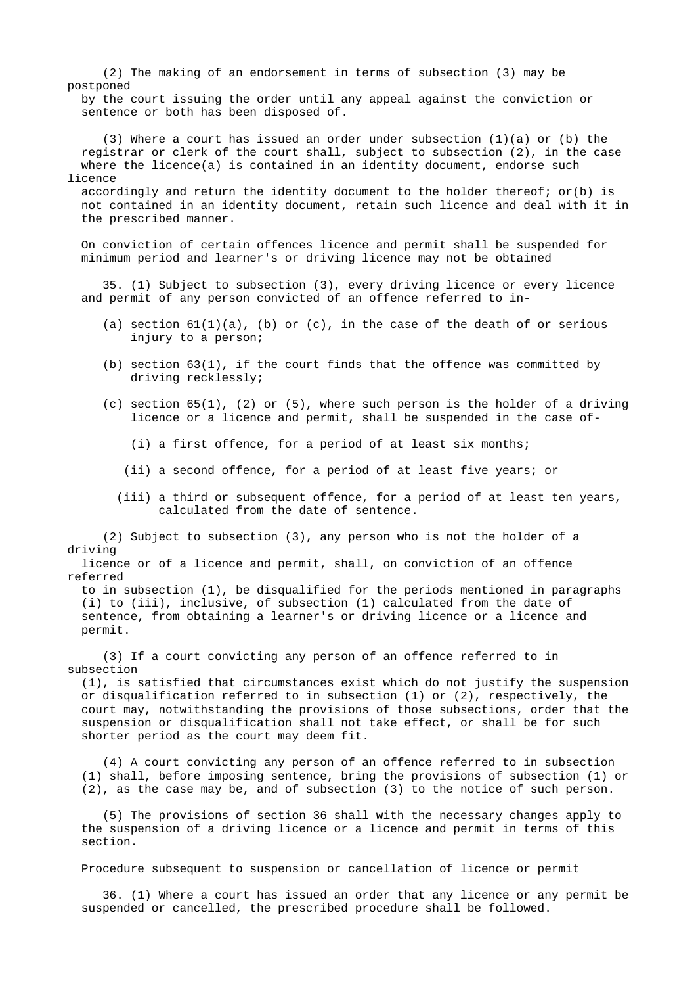(2) The making of an endorsement in terms of subsection (3) may be postponed

 by the court issuing the order until any appeal against the conviction or sentence or both has been disposed of.

 (3) Where a court has issued an order under subsection (1)(a) or (b) the registrar or clerk of the court shall, subject to subsection (2), in the case where the licence(a) is contained in an identity document, endorse such licence

accordingly and return the identity document to the holder thereof;  $or(b)$  is not contained in an identity document, retain such licence and deal with it in the prescribed manner.

 On conviction of certain offences licence and permit shall be suspended for minimum period and learner's or driving licence may not be obtained

 35. (1) Subject to subsection (3), every driving licence or every licence and permit of any person convicted of an offence referred to in-

- (a) section  $61(1)(a)$ , (b) or (c), in the case of the death of or serious injury to a person;
- (b) section 63(1), if the court finds that the offence was committed by driving recklessly;
- (c) section  $65(1)$ , (2) or (5), where such person is the holder of a driving licence or a licence and permit, shall be suspended in the case of-
	- (i) a first offence, for a period of at least six months;
	- (ii) a second offence, for a period of at least five years; or
	- (iii) a third or subsequent offence, for a period of at least ten years, calculated from the date of sentence.

 (2) Subject to subsection (3), any person who is not the holder of a driving

 licence or of a licence and permit, shall, on conviction of an offence referred

 to in subsection (1), be disqualified for the periods mentioned in paragraphs (i) to (iii), inclusive, of subsection (1) calculated from the date of sentence, from obtaining a learner's or driving licence or a licence and permit.

 (3) If a court convicting any person of an offence referred to in subsection

 (1), is satisfied that circumstances exist which do not justify the suspension or disqualification referred to in subsection (1) or (2), respectively, the court may, notwithstanding the provisions of those subsections, order that the suspension or disqualification shall not take effect, or shall be for such shorter period as the court may deem fit.

 (4) A court convicting any person of an offence referred to in subsection (1) shall, before imposing sentence, bring the provisions of subsection (1) or (2), as the case may be, and of subsection (3) to the notice of such person.

 (5) The provisions of section 36 shall with the necessary changes apply to the suspension of a driving licence or a licence and permit in terms of this section.

Procedure subsequent to suspension or cancellation of licence or permit

 36. (1) Where a court has issued an order that any licence or any permit be suspended or cancelled, the prescribed procedure shall be followed.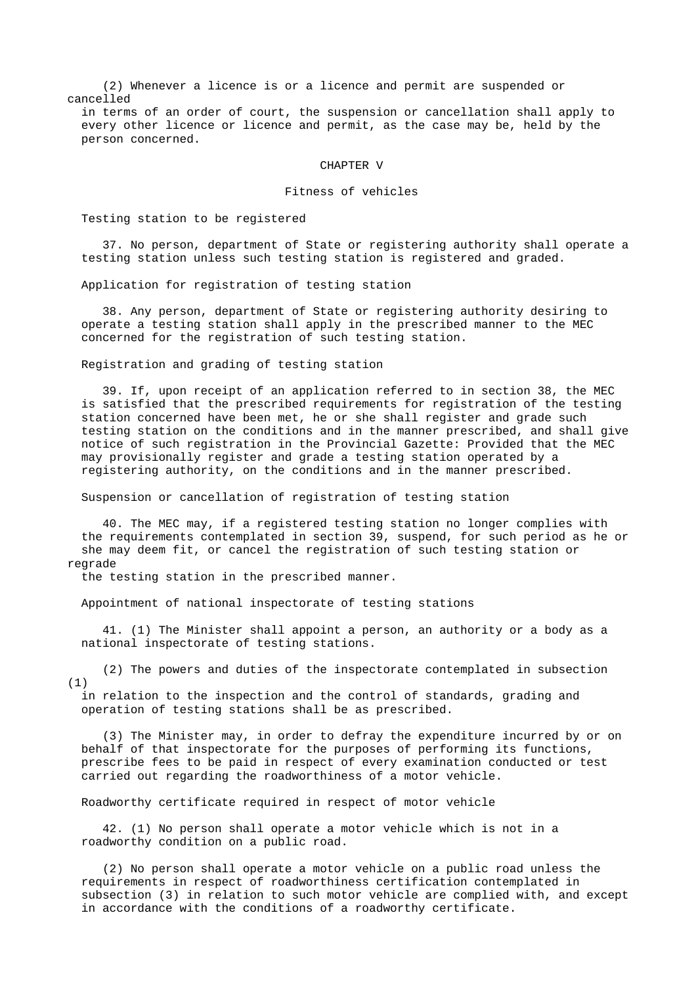(2) Whenever a licence is or a licence and permit are suspended or cancelled

 in terms of an order of court, the suspension or cancellation shall apply to every other licence or licence and permit, as the case may be, held by the person concerned.

#### CHAPTER V

### Fitness of vehicles

Testing station to be registered

 37. No person, department of State or registering authority shall operate a testing station unless such testing station is registered and graded.

Application for registration of testing station

 38. Any person, department of State or registering authority desiring to operate a testing station shall apply in the prescribed manner to the MEC concerned for the registration of such testing station.

Registration and grading of testing station

 39. If, upon receipt of an application referred to in section 38, the MEC is satisfied that the prescribed requirements for registration of the testing station concerned have been met, he or she shall register and grade such testing station on the conditions and in the manner prescribed, and shall give notice of such registration in the Provincial Gazette: Provided that the MEC may provisionally register and grade a testing station operated by a registering authority, on the conditions and in the manner prescribed.

Suspension or cancellation of registration of testing station

 40. The MEC may, if a registered testing station no longer complies with the requirements contemplated in section 39, suspend, for such period as he or she may deem fit, or cancel the registration of such testing station or regrade

the testing station in the prescribed manner.

Appointment of national inspectorate of testing stations

 41. (1) The Minister shall appoint a person, an authority or a body as a national inspectorate of testing stations.

 (2) The powers and duties of the inspectorate contemplated in subsection (1)

 in relation to the inspection and the control of standards, grading and operation of testing stations shall be as prescribed.

 (3) The Minister may, in order to defray the expenditure incurred by or on behalf of that inspectorate for the purposes of performing its functions, prescribe fees to be paid in respect of every examination conducted or test carried out regarding the roadworthiness of a motor vehicle.

Roadworthy certificate required in respect of motor vehicle

 42. (1) No person shall operate a motor vehicle which is not in a roadworthy condition on a public road.

 (2) No person shall operate a motor vehicle on a public road unless the requirements in respect of roadworthiness certification contemplated in subsection (3) in relation to such motor vehicle are complied with, and except in accordance with the conditions of a roadworthy certificate.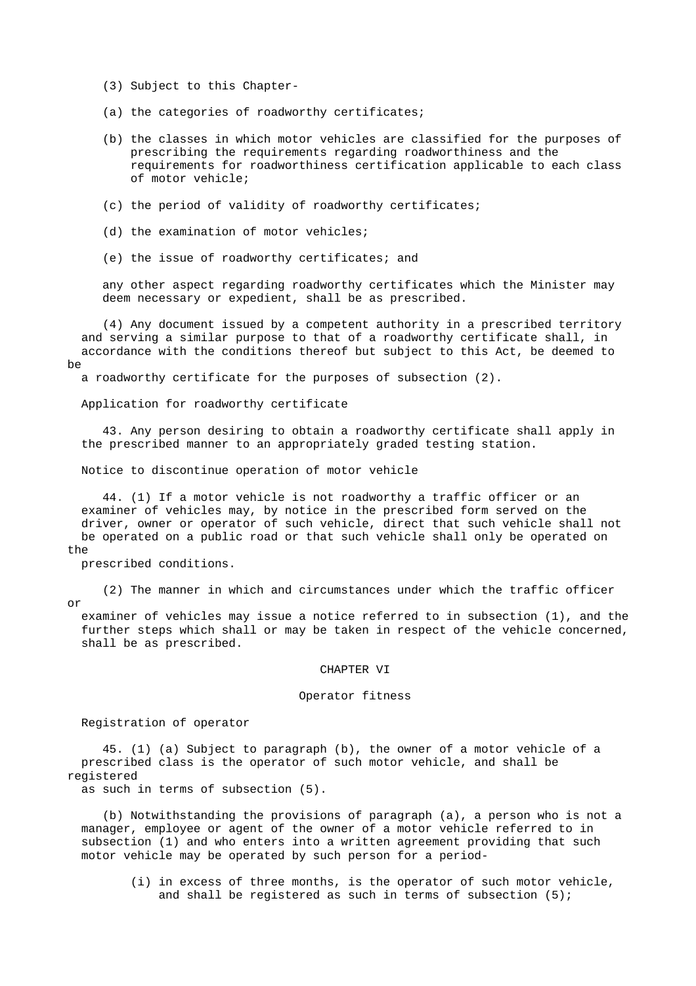- (3) Subject to this Chapter-
- (a) the categories of roadworthy certificates;
- (b) the classes in which motor vehicles are classified for the purposes of prescribing the requirements regarding roadworthiness and the requirements for roadworthiness certification applicable to each class of motor vehicle;
- (c) the period of validity of roadworthy certificates;
- (d) the examination of motor vehicles;
- (e) the issue of roadworthy certificates; and

 any other aspect regarding roadworthy certificates which the Minister may deem necessary or expedient, shall be as prescribed.

 (4) Any document issued by a competent authority in a prescribed territory and serving a similar purpose to that of a roadworthy certificate shall, in accordance with the conditions thereof but subject to this Act, be deemed to be

a roadworthy certificate for the purposes of subsection (2).

Application for roadworthy certificate

 43. Any person desiring to obtain a roadworthy certificate shall apply in the prescribed manner to an appropriately graded testing station.

Notice to discontinue operation of motor vehicle

 44. (1) If a motor vehicle is not roadworthy a traffic officer or an examiner of vehicles may, by notice in the prescribed form served on the driver, owner or operator of such vehicle, direct that such vehicle shall not be operated on a public road or that such vehicle shall only be operated on the

prescribed conditions.

 (2) The manner in which and circumstances under which the traffic officer or

 examiner of vehicles may issue a notice referred to in subsection (1), and the further steps which shall or may be taken in respect of the vehicle concerned, shall be as prescribed.

#### CHAPTER VI

### Operator fitness

Registration of operator

 45. (1) (a) Subject to paragraph (b), the owner of a motor vehicle of a prescribed class is the operator of such motor vehicle, and shall be registered

as such in terms of subsection (5).

 (b) Notwithstanding the provisions of paragraph (a), a person who is not a manager, employee or agent of the owner of a motor vehicle referred to in subsection (1) and who enters into a written agreement providing that such motor vehicle may be operated by such person for a period-

 (i) in excess of three months, is the operator of such motor vehicle, and shall be registered as such in terms of subsection (5);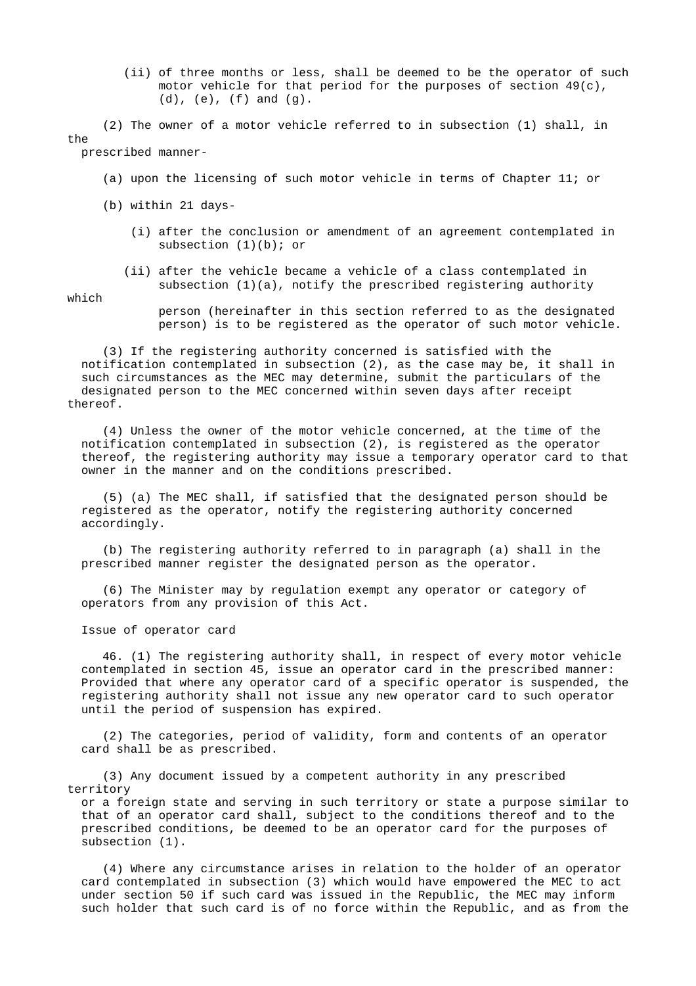(ii) of three months or less, shall be deemed to be the operator of such motor vehicle for that period for the purposes of section  $49(c)$ ,  $(d)$ ,  $(e)$ ,  $(f)$  and  $(g)$ .

 (2) The owner of a motor vehicle referred to in subsection (1) shall, in the prescribed manner-

(a) upon the licensing of such motor vehicle in terms of Chapter 11; or

(b) within 21 days-

- (i) after the conclusion or amendment of an agreement contemplated in subsection  $(1)(b)$ ; or
- (ii) after the vehicle became a vehicle of a class contemplated in subsection  $(1)(a)$ , notify the prescribed registering authority

which

 person (hereinafter in this section referred to as the designated person) is to be registered as the operator of such motor vehicle.

 (3) If the registering authority concerned is satisfied with the notification contemplated in subsection (2), as the case may be, it shall in such circumstances as the MEC may determine, submit the particulars of the designated person to the MEC concerned within seven days after receipt thereof.

 (4) Unless the owner of the motor vehicle concerned, at the time of the notification contemplated in subsection (2), is registered as the operator thereof, the registering authority may issue a temporary operator card to that owner in the manner and on the conditions prescribed.

 (5) (a) The MEC shall, if satisfied that the designated person should be registered as the operator, notify the registering authority concerned accordingly.

 (b) The registering authority referred to in paragraph (a) shall in the prescribed manner register the designated person as the operator.

 (6) The Minister may by regulation exempt any operator or category of operators from any provision of this Act.

Issue of operator card

 46. (1) The registering authority shall, in respect of every motor vehicle contemplated in section 45, issue an operator card in the prescribed manner: Provided that where any operator card of a specific operator is suspended, the registering authority shall not issue any new operator card to such operator until the period of suspension has expired.

 (2) The categories, period of validity, form and contents of an operator card shall be as prescribed.

 (3) Any document issued by a competent authority in any prescribed territory

 or a foreign state and serving in such territory or state a purpose similar to that of an operator card shall, subject to the conditions thereof and to the prescribed conditions, be deemed to be an operator card for the purposes of subsection (1).

 (4) Where any circumstance arises in relation to the holder of an operator card contemplated in subsection (3) which would have empowered the MEC to act under section 50 if such card was issued in the Republic, the MEC may inform such holder that such card is of no force within the Republic, and as from the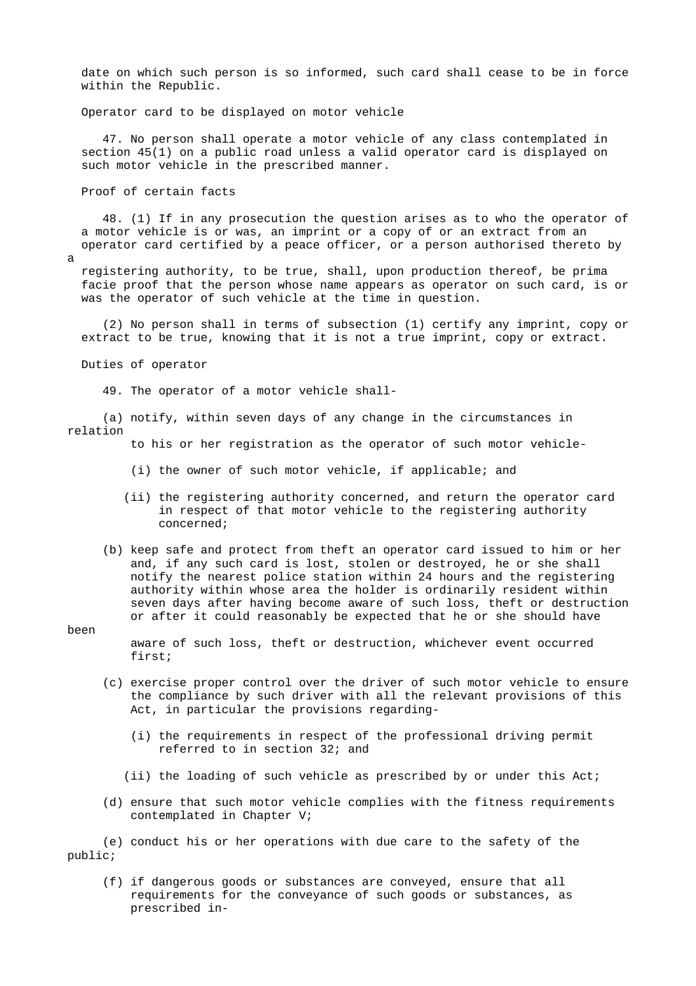date on which such person is so informed, such card shall cease to be in force within the Republic.

Operator card to be displayed on motor vehicle

 47. No person shall operate a motor vehicle of any class contemplated in section 45(1) on a public road unless a valid operator card is displayed on such motor vehicle in the prescribed manner.

Proof of certain facts

 48. (1) If in any prosecution the question arises as to who the operator of a motor vehicle is or was, an imprint or a copy of or an extract from an operator card certified by a peace officer, or a person authorised thereto by

a

 registering authority, to be true, shall, upon production thereof, be prima facie proof that the person whose name appears as operator on such card, is or was the operator of such vehicle at the time in question.

 (2) No person shall in terms of subsection (1) certify any imprint, copy or extract to be true, knowing that it is not a true imprint, copy or extract.

Duties of operator

49. The operator of a motor vehicle shall-

 (a) notify, within seven days of any change in the circumstances in relation

to his or her registration as the operator of such motor vehicle-

- (i) the owner of such motor vehicle, if applicable; and
- (ii) the registering authority concerned, and return the operator card in respect of that motor vehicle to the registering authority concerned;
- (b) keep safe and protect from theft an operator card issued to him or her and, if any such card is lost, stolen or destroyed, he or she shall notify the nearest police station within 24 hours and the registering authority within whose area the holder is ordinarily resident within seven days after having become aware of such loss, theft or destruction or after it could reasonably be expected that he or she should have

#### been

 aware of such loss, theft or destruction, whichever event occurred first;

- (c) exercise proper control over the driver of such motor vehicle to ensure the compliance by such driver with all the relevant provisions of this Act, in particular the provisions regarding-
	- (i) the requirements in respect of the professional driving permit referred to in section 32; and
	- (ii) the loading of such vehicle as prescribed by or under this Act;
- (d) ensure that such motor vehicle complies with the fitness requirements contemplated in Chapter V;

 (e) conduct his or her operations with due care to the safety of the public;

 (f) if dangerous goods or substances are conveyed, ensure that all requirements for the conveyance of such goods or substances, as prescribed in-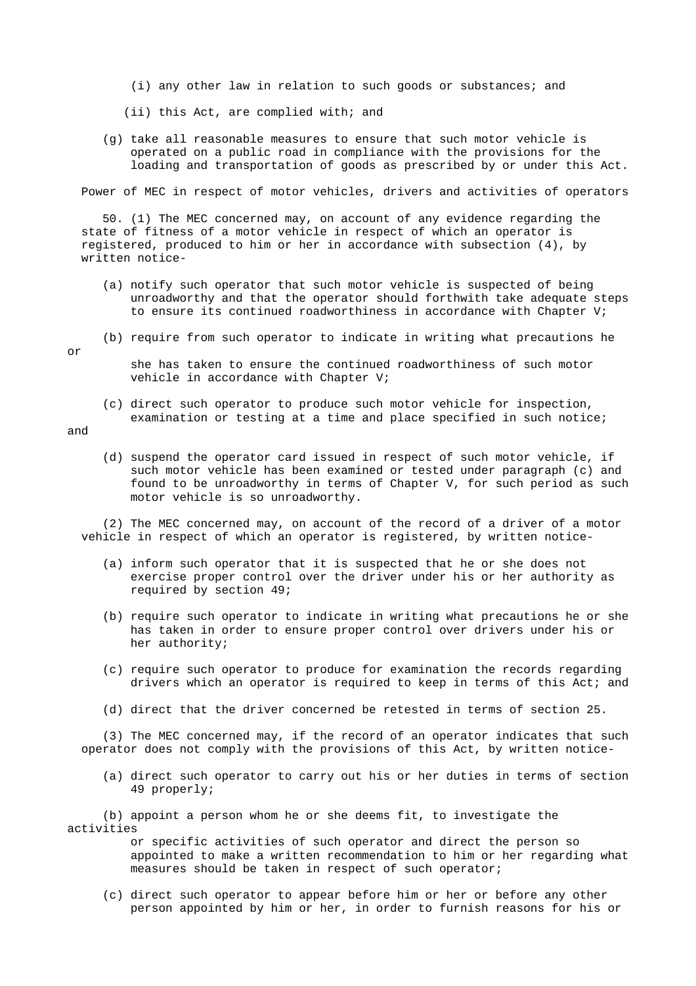- (i) any other law in relation to such goods or substances; and
- (ii) this Act, are complied with; and
- (g) take all reasonable measures to ensure that such motor vehicle is operated on a public road in compliance with the provisions for the loading and transportation of goods as prescribed by or under this Act.

Power of MEC in respect of motor vehicles, drivers and activities of operators

 50. (1) The MEC concerned may, on account of any evidence regarding the state of fitness of a motor vehicle in respect of which an operator is registered, produced to him or her in accordance with subsection (4), by written notice-

- (a) notify such operator that such motor vehicle is suspected of being unroadworthy and that the operator should forthwith take adequate steps to ensure its continued roadworthiness in accordance with Chapter V;
- (b) require from such operator to indicate in writing what precautions he

or

 she has taken to ensure the continued roadworthiness of such motor vehicle in accordance with Chapter V;

 (c) direct such operator to produce such motor vehicle for inspection, examination or testing at a time and place specified in such notice;

and

 (d) suspend the operator card issued in respect of such motor vehicle, if such motor vehicle has been examined or tested under paragraph (c) and found to be unroadworthy in terms of Chapter V, for such period as such motor vehicle is so unroadworthy.

 (2) The MEC concerned may, on account of the record of a driver of a motor vehicle in respect of which an operator is registered, by written notice-

- (a) inform such operator that it is suspected that he or she does not exercise proper control over the driver under his or her authority as required by section 49;
- (b) require such operator to indicate in writing what precautions he or she has taken in order to ensure proper control over drivers under his or her authority;
- (c) require such operator to produce for examination the records regarding drivers which an operator is required to keep in terms of this Act; and
- (d) direct that the driver concerned be retested in terms of section 25.

 (3) The MEC concerned may, if the record of an operator indicates that such operator does not comply with the provisions of this Act, by written notice-

 (a) direct such operator to carry out his or her duties in terms of section 49 properly;

 (b) appoint a person whom he or she deems fit, to investigate the activities

> or specific activities of such operator and direct the person so appointed to make a written recommendation to him or her regarding what measures should be taken in respect of such operator;

 (c) direct such operator to appear before him or her or before any other person appointed by him or her, in order to furnish reasons for his or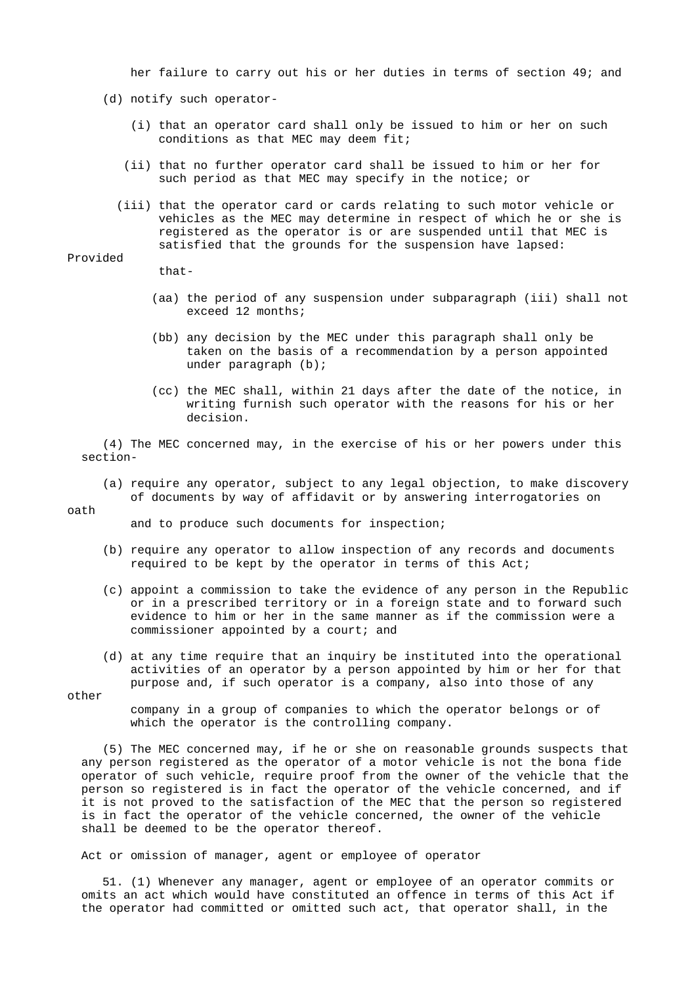her failure to carry out his or her duties in terms of section 49; and

- (d) notify such operator-
	- (i) that an operator card shall only be issued to him or her on such conditions as that MEC may deem fit;
	- (ii) that no further operator card shall be issued to him or her for such period as that MEC may specify in the notice; or
	- (iii) that the operator card or cards relating to such motor vehicle or vehicles as the MEC may determine in respect of which he or she is registered as the operator is or are suspended until that MEC is satisfied that the grounds for the suspension have lapsed:

### Provided

- that-
- (aa) the period of any suspension under subparagraph (iii) shall not exceed 12 months;
- (bb) any decision by the MEC under this paragraph shall only be taken on the basis of a recommendation by a person appointed under paragraph (b);
- (cc) the MEC shall, within 21 days after the date of the notice, in writing furnish such operator with the reasons for his or her decision.

 (4) The MEC concerned may, in the exercise of his or her powers under this section-

 (a) require any operator, subject to any legal objection, to make discovery of documents by way of affidavit or by answering interrogatories on

#### oath

and to produce such documents for inspection;

- (b) require any operator to allow inspection of any records and documents required to be kept by the operator in terms of this Act;
- (c) appoint a commission to take the evidence of any person in the Republic or in a prescribed territory or in a foreign state and to forward such evidence to him or her in the same manner as if the commission were a commissioner appointed by a court; and
- (d) at any time require that an inquiry be instituted into the operational activities of an operator by a person appointed by him or her for that purpose and, if such operator is a company, also into those of any

other

 company in a group of companies to which the operator belongs or of which the operator is the controlling company.

 (5) The MEC concerned may, if he or she on reasonable grounds suspects that any person registered as the operator of a motor vehicle is not the bona fide operator of such vehicle, require proof from the owner of the vehicle that the person so registered is in fact the operator of the vehicle concerned, and if it is not proved to the satisfaction of the MEC that the person so registered is in fact the operator of the vehicle concerned, the owner of the vehicle shall be deemed to be the operator thereof.

Act or omission of manager, agent or employee of operator

 51. (1) Whenever any manager, agent or employee of an operator commits or omits an act which would have constituted an offence in terms of this Act if the operator had committed or omitted such act, that operator shall, in the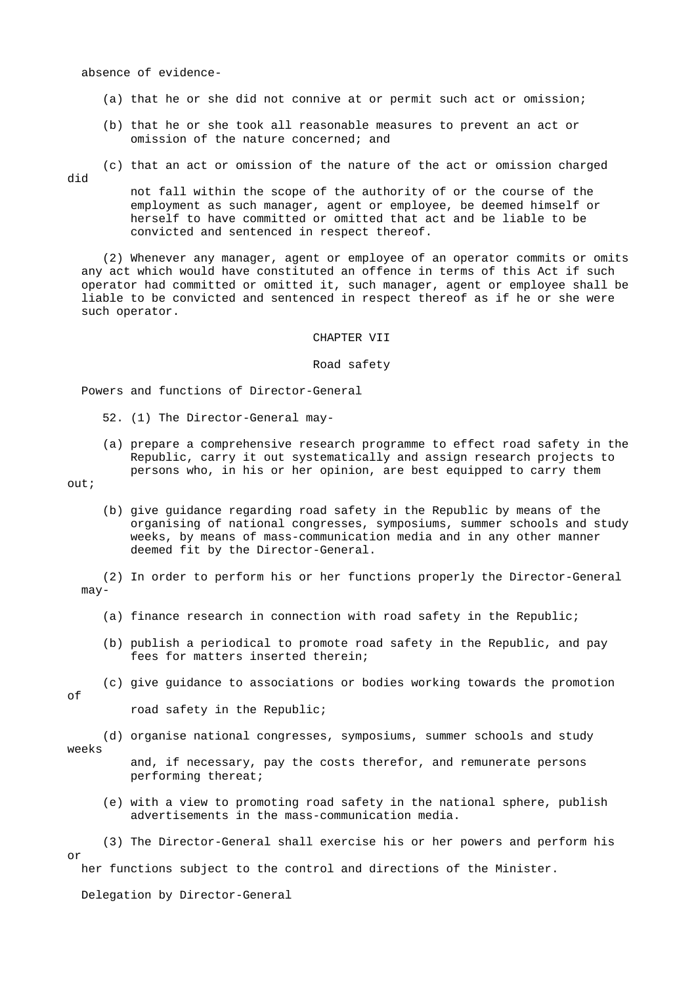absence of evidence-

- (a) that he or she did not connive at or permit such act or omission;
- (b) that he or she took all reasonable measures to prevent an act or omission of the nature concerned; and
- (c) that an act or omission of the nature of the act or omission charged

did

 not fall within the scope of the authority of or the course of the employment as such manager, agent or employee, be deemed himself or herself to have committed or omitted that act and be liable to be convicted and sentenced in respect thereof.

 (2) Whenever any manager, agent or employee of an operator commits or omits any act which would have constituted an offence in terms of this Act if such operator had committed or omitted it, such manager, agent or employee shall be liable to be convicted and sentenced in respect thereof as if he or she were such operator.

#### CHAPTER VII

Road safety

Powers and functions of Director-General

- 52. (1) The Director-General may-
- (a) prepare a comprehensive research programme to effect road safety in the Republic, carry it out systematically and assign research projects to persons who, in his or her opinion, are best equipped to carry them

out;

 (b) give guidance regarding road safety in the Republic by means of the organising of national congresses, symposiums, summer schools and study weeks, by means of mass-communication media and in any other manner deemed fit by the Director-General.

 (2) In order to perform his or her functions properly the Director-General may-

- (a) finance research in connection with road safety in the Republic;
- (b) publish a periodical to promote road safety in the Republic, and pay fees for matters inserted therein;
- (c) give guidance to associations or bodies working towards the promotion of road safety in the Republic;
- (d) organise national congresses, symposiums, summer schools and study weeks and, if necessary, pay the costs therefor, and remunerate persons
	- (e) with a view to promoting road safety in the national sphere, publish advertisements in the mass-communication media.

 (3) The Director-General shall exercise his or her powers and perform his or her functions subject to the control and directions of the Minister.

Delegation by Director-General

performing thereat;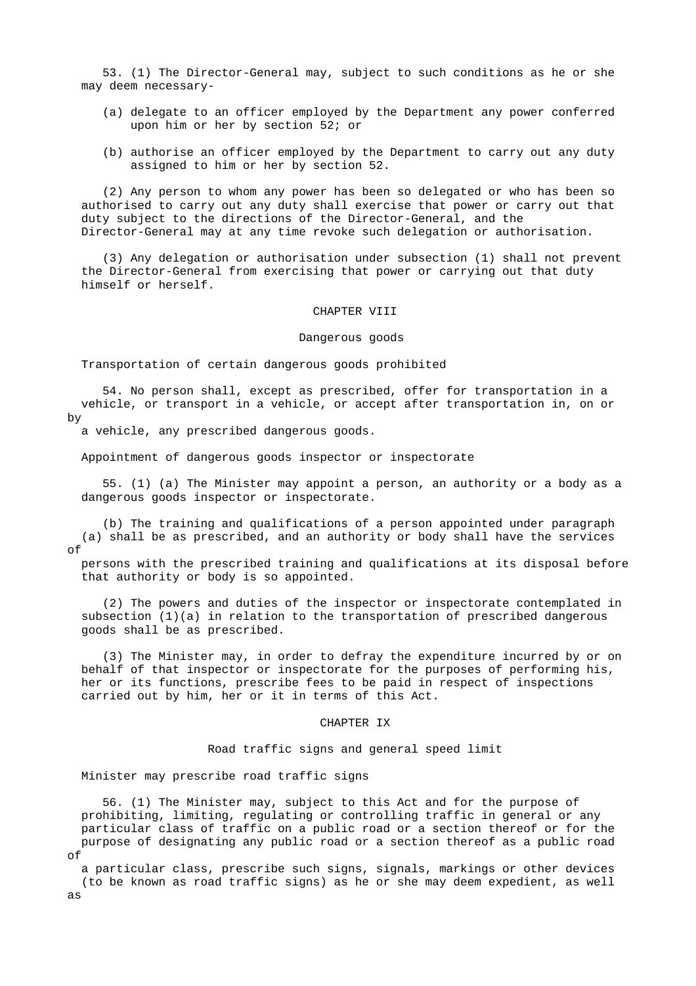53. (1) The Director-General may, subject to such conditions as he or she may deem necessary-

- (a) delegate to an officer employed by the Department any power conferred upon him or her by section 52; or
- (b) authorise an officer employed by the Department to carry out any duty assigned to him or her by section 52.

 (2) Any person to whom any power has been so delegated or who has been so authorised to carry out any duty shall exercise that power or carry out that duty subject to the directions of the Director-General, and the Director-General may at any time revoke such delegation or authorisation.

 (3) Any delegation or authorisation under subsection (1) shall not prevent the Director-General from exercising that power or carrying out that duty himself or herself.

#### CHAPTER VIII

### Dangerous goods

Transportation of certain dangerous goods prohibited

 54. No person shall, except as prescribed, offer for transportation in a vehicle, or transport in a vehicle, or accept after transportation in, on or by

a vehicle, any prescribed dangerous goods.

Appointment of dangerous goods inspector or inspectorate

 55. (1) (a) The Minister may appoint a person, an authority or a body as a dangerous goods inspector or inspectorate.

 (b) The training and qualifications of a person appointed under paragraph (a) shall be as prescribed, and an authority or body shall have the services of

 persons with the prescribed training and qualifications at its disposal before that authority or body is so appointed.

 (2) The powers and duties of the inspector or inspectorate contemplated in subsection (1)(a) in relation to the transportation of prescribed dangerous goods shall be as prescribed.

 (3) The Minister may, in order to defray the expenditure incurred by or on behalf of that inspector or inspectorate for the purposes of performing his, her or its functions, prescribe fees to be paid in respect of inspections carried out by him, her or it in terms of this Act.

### CHAPTER IX

Road traffic signs and general speed limit

Minister may prescribe road traffic signs

 56. (1) The Minister may, subject to this Act and for the purpose of prohibiting, limiting, regulating or controlling traffic in general or any particular class of traffic on a public road or a section thereof or for the purpose of designating any public road or a section thereof as a public road of

 a particular class, prescribe such signs, signals, markings or other devices (to be known as road traffic signs) as he or she may deem expedient, as well as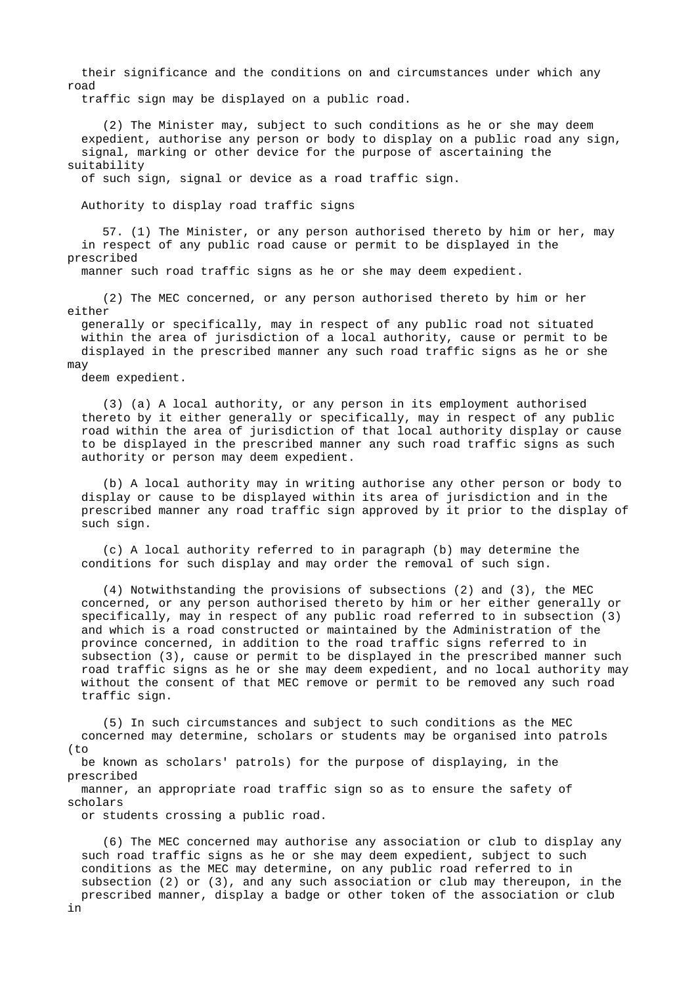their significance and the conditions on and circumstances under which any road

traffic sign may be displayed on a public road.

 (2) The Minister may, subject to such conditions as he or she may deem expedient, authorise any person or body to display on a public road any sign, signal, marking or other device for the purpose of ascertaining the suitability

of such sign, signal or device as a road traffic sign.

Authority to display road traffic signs

 57. (1) The Minister, or any person authorised thereto by him or her, may in respect of any public road cause or permit to be displayed in the prescribed

manner such road traffic signs as he or she may deem expedient.

 (2) The MEC concerned, or any person authorised thereto by him or her either

 generally or specifically, may in respect of any public road not situated within the area of jurisdiction of a local authority, cause or permit to be displayed in the prescribed manner any such road traffic signs as he or she may

deem expedient.

 (3) (a) A local authority, or any person in its employment authorised thereto by it either generally or specifically, may in respect of any public road within the area of jurisdiction of that local authority display or cause to be displayed in the prescribed manner any such road traffic signs as such authority or person may deem expedient.

 (b) A local authority may in writing authorise any other person or body to display or cause to be displayed within its area of jurisdiction and in the prescribed manner any road traffic sign approved by it prior to the display of such sign.

 (c) A local authority referred to in paragraph (b) may determine the conditions for such display and may order the removal of such sign.

 (4) Notwithstanding the provisions of subsections (2) and (3), the MEC concerned, or any person authorised thereto by him or her either generally or specifically, may in respect of any public road referred to in subsection (3) and which is a road constructed or maintained by the Administration of the province concerned, in addition to the road traffic signs referred to in subsection (3), cause or permit to be displayed in the prescribed manner such road traffic signs as he or she may deem expedient, and no local authority may without the consent of that MEC remove or permit to be removed any such road traffic sign.

 (5) In such circumstances and subject to such conditions as the MEC concerned may determine, scholars or students may be organised into patrols (to

 be known as scholars' patrols) for the purpose of displaying, in the prescribed

 manner, an appropriate road traffic sign so as to ensure the safety of scholars

or students crossing a public road.

 (6) The MEC concerned may authorise any association or club to display any such road traffic signs as he or she may deem expedient, subject to such conditions as the MEC may determine, on any public road referred to in subsection (2) or (3), and any such association or club may thereupon, in the prescribed manner, display a badge or other token of the association or club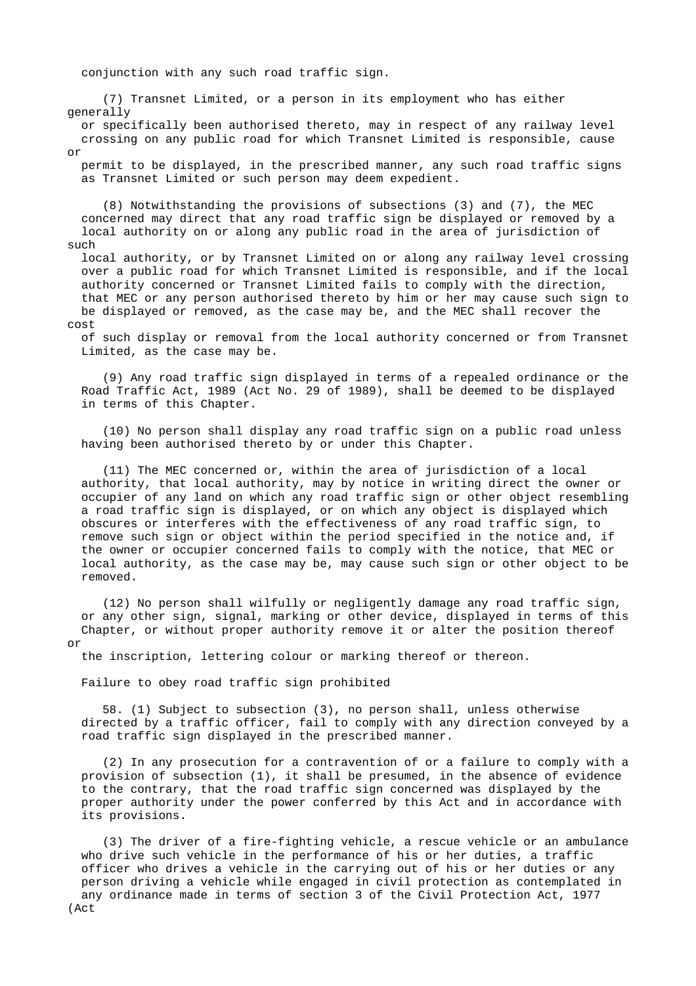conjunction with any such road traffic sign.

 (7) Transnet Limited, or a person in its employment who has either generally

 or specifically been authorised thereto, may in respect of any railway level crossing on any public road for which Transnet Limited is responsible, cause or

 permit to be displayed, in the prescribed manner, any such road traffic signs as Transnet Limited or such person may deem expedient.

 (8) Notwithstanding the provisions of subsections (3) and (7), the MEC concerned may direct that any road traffic sign be displayed or removed by a local authority on or along any public road in the area of jurisdiction of such

 local authority, or by Transnet Limited on or along any railway level crossing over a public road for which Transnet Limited is responsible, and if the local authority concerned or Transnet Limited fails to comply with the direction, that MEC or any person authorised thereto by him or her may cause such sign to be displayed or removed, as the case may be, and the MEC shall recover the cost

 of such display or removal from the local authority concerned or from Transnet Limited, as the case may be.

 (9) Any road traffic sign displayed in terms of a repealed ordinance or the Road Traffic Act, 1989 (Act No. 29 of 1989), shall be deemed to be displayed in terms of this Chapter.

 (10) No person shall display any road traffic sign on a public road unless having been authorised thereto by or under this Chapter.

 (11) The MEC concerned or, within the area of jurisdiction of a local authority, that local authority, may by notice in writing direct the owner or occupier of any land on which any road traffic sign or other object resembling a road traffic sign is displayed, or on which any object is displayed which obscures or interferes with the effectiveness of any road traffic sign, to remove such sign or object within the period specified in the notice and, if the owner or occupier concerned fails to comply with the notice, that MEC or local authority, as the case may be, may cause such sign or other object to be removed.

 (12) No person shall wilfully or negligently damage any road traffic sign, or any other sign, signal, marking or other device, displayed in terms of this Chapter, or without proper authority remove it or alter the position thereof or

the inscription, lettering colour or marking thereof or thereon.

Failure to obey road traffic sign prohibited

 58. (1) Subject to subsection (3), no person shall, unless otherwise directed by a traffic officer, fail to comply with any direction conveyed by a road traffic sign displayed in the prescribed manner.

 (2) In any prosecution for a contravention of or a failure to comply with a provision of subsection (1), it shall be presumed, in the absence of evidence to the contrary, that the road traffic sign concerned was displayed by the proper authority under the power conferred by this Act and in accordance with its provisions.

 (3) The driver of a fire-fighting vehicle, a rescue vehicle or an ambulance who drive such vehicle in the performance of his or her duties, a traffic officer who drives a vehicle in the carrying out of his or her duties or any person driving a vehicle while engaged in civil protection as contemplated in any ordinance made in terms of section 3 of the Civil Protection Act, 1977 (Act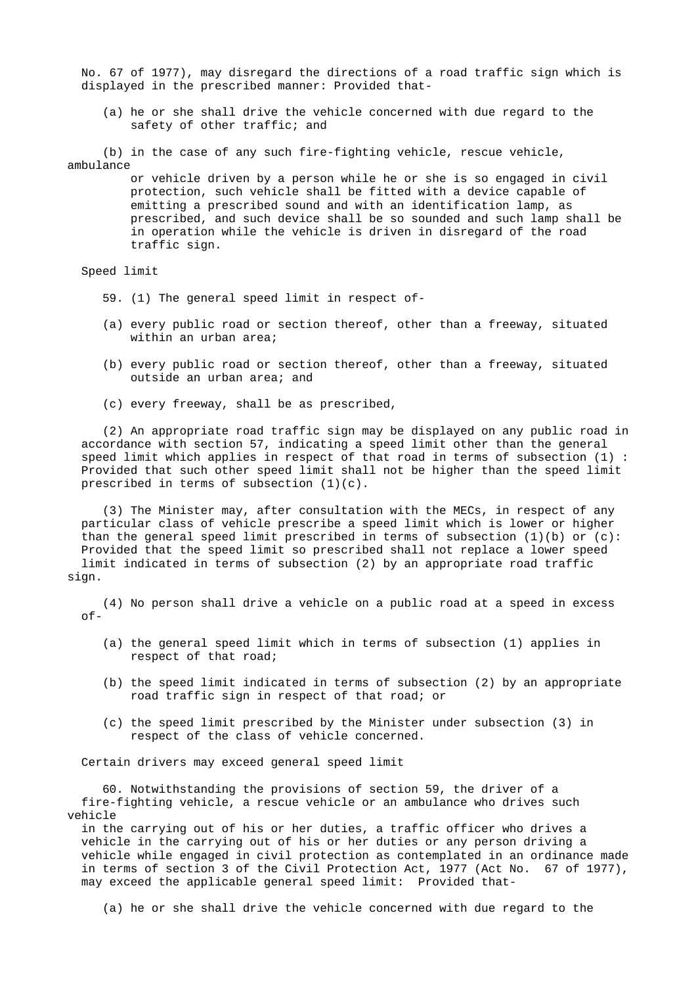No. 67 of 1977), may disregard the directions of a road traffic sign which is displayed in the prescribed manner: Provided that-

 (a) he or she shall drive the vehicle concerned with due regard to the safety of other traffic; and

 (b) in the case of any such fire-fighting vehicle, rescue vehicle, ambulance

> or vehicle driven by a person while he or she is so engaged in civil protection, such vehicle shall be fitted with a device capable of emitting a prescribed sound and with an identification lamp, as prescribed, and such device shall be so sounded and such lamp shall be in operation while the vehicle is driven in disregard of the road traffic sign.

Speed limit

- 59. (1) The general speed limit in respect of-
- (a) every public road or section thereof, other than a freeway, situated within an urban area;
- (b) every public road or section thereof, other than a freeway, situated outside an urban area; and
- (c) every freeway, shall be as prescribed,

 (2) An appropriate road traffic sign may be displayed on any public road in accordance with section 57, indicating a speed limit other than the general speed limit which applies in respect of that road in terms of subsection (1) : Provided that such other speed limit shall not be higher than the speed limit prescribed in terms of subsection (1)(c).

 (3) The Minister may, after consultation with the MECs, in respect of any particular class of vehicle prescribe a speed limit which is lower or higher than the general speed limit prescribed in terms of subsection (1)(b) or (c): Provided that the speed limit so prescribed shall not replace a lower speed limit indicated in terms of subsection (2) by an appropriate road traffic sign.

 (4) No person shall drive a vehicle on a public road at a speed in excess of-

- (a) the general speed limit which in terms of subsection (1) applies in respect of that road;
- (b) the speed limit indicated in terms of subsection (2) by an appropriate road traffic sign in respect of that road; or
- (c) the speed limit prescribed by the Minister under subsection (3) in respect of the class of vehicle concerned.

Certain drivers may exceed general speed limit

 60. Notwithstanding the provisions of section 59, the driver of a fire-fighting vehicle, a rescue vehicle or an ambulance who drives such vehicle

 in the carrying out of his or her duties, a traffic officer who drives a vehicle in the carrying out of his or her duties or any person driving a vehicle while engaged in civil protection as contemplated in an ordinance made in terms of section 3 of the Civil Protection Act, 1977 (Act No. 67 of 1977), may exceed the applicable general speed limit: Provided that-

(a) he or she shall drive the vehicle concerned with due regard to the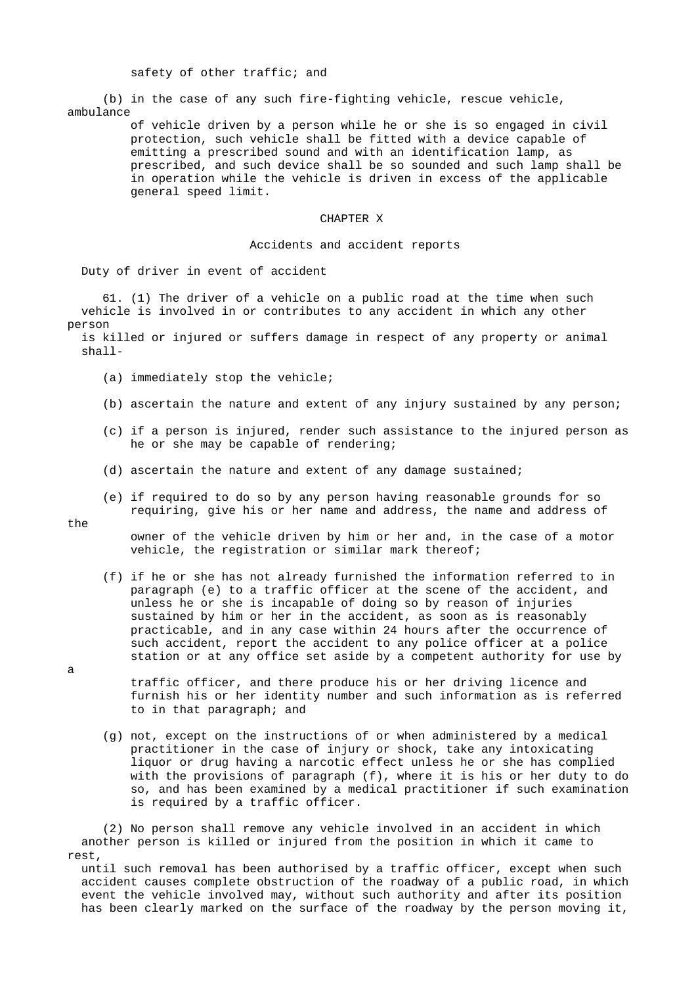safety of other traffic; and

 (b) in the case of any such fire-fighting vehicle, rescue vehicle, ambulance

> of vehicle driven by a person while he or she is so engaged in civil protection, such vehicle shall be fitted with a device capable of emitting a prescribed sound and with an identification lamp, as prescribed, and such device shall be so sounded and such lamp shall be in operation while the vehicle is driven in excess of the applicable general speed limit.

### CHAPTER X

### Accidents and accident reports

Duty of driver in event of accident

 61. (1) The driver of a vehicle on a public road at the time when such vehicle is involved in or contributes to any accident in which any other person

 is killed or injured or suffers damage in respect of any property or animal shall-

- (a) immediately stop the vehicle;
- (b) ascertain the nature and extent of any injury sustained by any person;
- (c) if a person is injured, render such assistance to the injured person as he or she may be capable of rendering;
- (d) ascertain the nature and extent of any damage sustained;
- (e) if required to do so by any person having reasonable grounds for so requiring, give his or her name and address, the name and address of

the

 owner of the vehicle driven by him or her and, in the case of a motor vehicle, the registration or similar mark thereof;

- (f) if he or she has not already furnished the information referred to in paragraph (e) to a traffic officer at the scene of the accident, and unless he or she is incapable of doing so by reason of injuries sustained by him or her in the accident, as soon as is reasonably practicable, and in any case within 24 hours after the occurrence of such accident, report the accident to any police officer at a police station or at any office set aside by a competent authority for use by
- traffic officer, and there produce his or her driving licence and furnish his or her identity number and such information as is referred to in that paragraph; and
- (g) not, except on the instructions of or when administered by a medical practitioner in the case of injury or shock, take any intoxicating liquor or drug having a narcotic effect unless he or she has complied with the provisions of paragraph  $(f)$ , where it is his or her duty to do so, and has been examined by a medical practitioner if such examination is required by a traffic officer.

 (2) No person shall remove any vehicle involved in an accident in which another person is killed or injured from the position in which it came to rest,

 until such removal has been authorised by a traffic officer, except when such accident causes complete obstruction of the roadway of a public road, in which event the vehicle involved may, without such authority and after its position has been clearly marked on the surface of the roadway by the person moving it,

a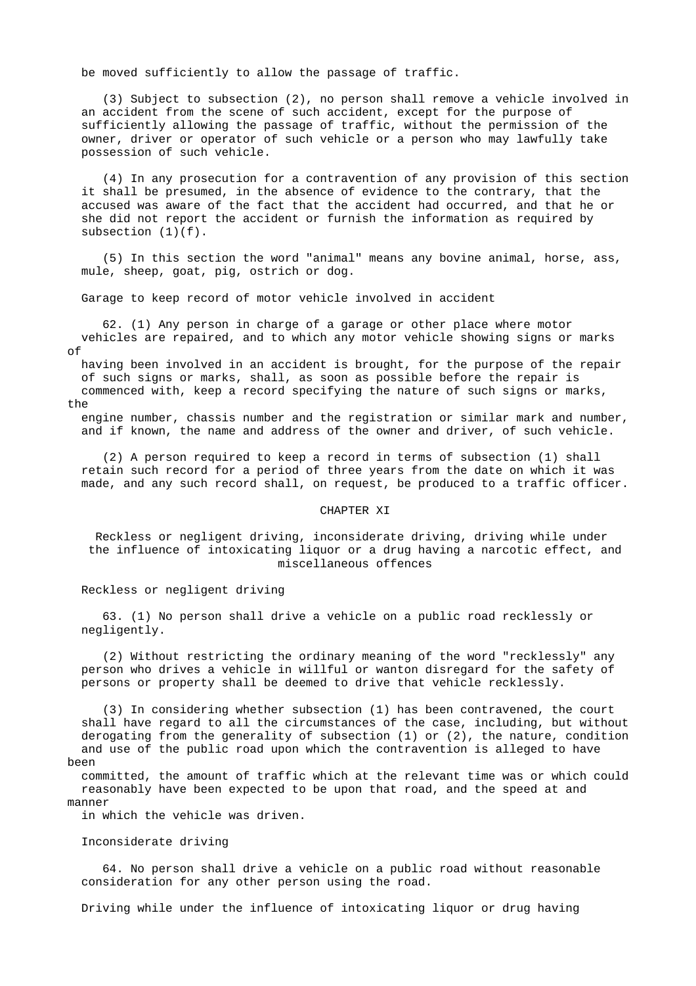be moved sufficiently to allow the passage of traffic.

 (3) Subject to subsection (2), no person shall remove a vehicle involved in an accident from the scene of such accident, except for the purpose of sufficiently allowing the passage of traffic, without the permission of the owner, driver or operator of such vehicle or a person who may lawfully take possession of such vehicle.

 (4) In any prosecution for a contravention of any provision of this section it shall be presumed, in the absence of evidence to the contrary, that the accused was aware of the fact that the accident had occurred, and that he or she did not report the accident or furnish the information as required by subsection  $(1)(f)$ .

 (5) In this section the word "animal" means any bovine animal, horse, ass, mule, sheep, goat, pig, ostrich or dog.

Garage to keep record of motor vehicle involved in accident

 62. (1) Any person in charge of a garage or other place where motor vehicles are repaired, and to which any motor vehicle showing signs or marks of

 having been involved in an accident is brought, for the purpose of the repair of such signs or marks, shall, as soon as possible before the repair is commenced with, keep a record specifying the nature of such signs or marks, the

 engine number, chassis number and the registration or similar mark and number, and if known, the name and address of the owner and driver, of such vehicle.

 (2) A person required to keep a record in terms of subsection (1) shall retain such record for a period of three years from the date on which it was made, and any such record shall, on request, be produced to a traffic officer.

#### CHAPTER XI

 Reckless or negligent driving, inconsiderate driving, driving while under the influence of intoxicating liquor or a drug having a narcotic effect, and miscellaneous offences

Reckless or negligent driving

 63. (1) No person shall drive a vehicle on a public road recklessly or negligently.

 (2) Without restricting the ordinary meaning of the word "recklessly" any person who drives a vehicle in willful or wanton disregard for the safety of persons or property shall be deemed to drive that vehicle recklessly.

 (3) In considering whether subsection (1) has been contravened, the court shall have regard to all the circumstances of the case, including, but without derogating from the generality of subsection (1) or (2), the nature, condition and use of the public road upon which the contravention is alleged to have been

 committed, the amount of traffic which at the relevant time was or which could reasonably have been expected to be upon that road, and the speed at and manner

in which the vehicle was driven.

#### Inconsiderate driving

 64. No person shall drive a vehicle on a public road without reasonable consideration for any other person using the road.

Driving while under the influence of intoxicating liquor or drug having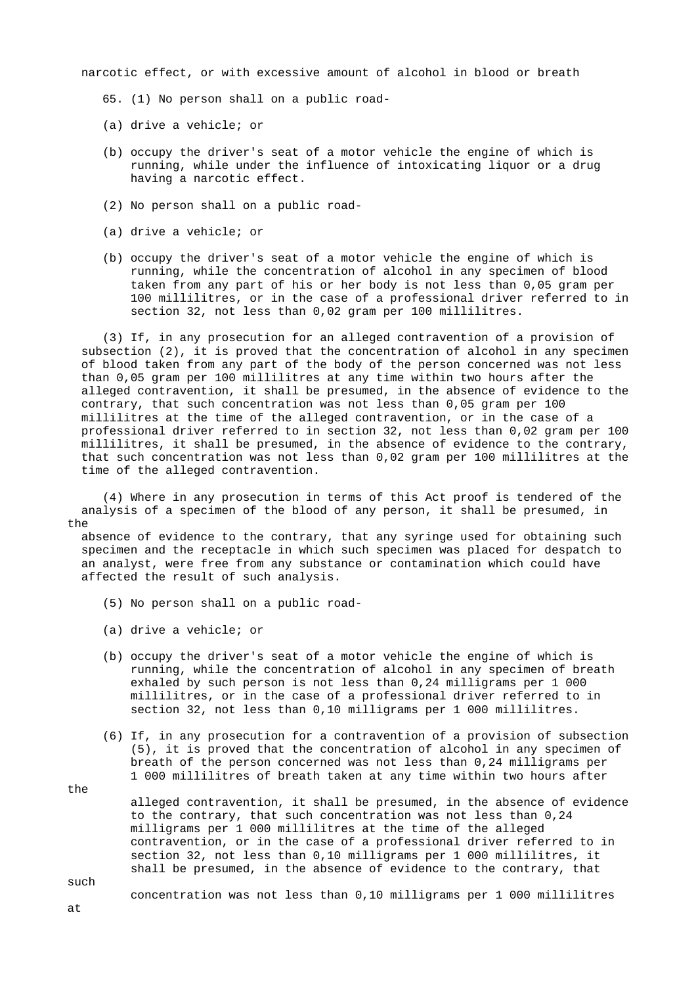narcotic effect, or with excessive amount of alcohol in blood or breath

- 65. (1) No person shall on a public road-
- (a) drive a vehicle; or
- (b) occupy the driver's seat of a motor vehicle the engine of which is running, while under the influence of intoxicating liquor or a drug having a narcotic effect.
- (2) No person shall on a public road-
- (a) drive a vehicle; or
- (b) occupy the driver's seat of a motor vehicle the engine of which is running, while the concentration of alcohol in any specimen of blood taken from any part of his or her body is not less than 0,05 gram per 100 millilitres, or in the case of a professional driver referred to in section 32, not less than 0,02 gram per 100 millilitres.

 (3) If, in any prosecution for an alleged contravention of a provision of subsection (2), it is proved that the concentration of alcohol in any specimen of blood taken from any part of the body of the person concerned was not less than 0,05 gram per 100 millilitres at any time within two hours after the alleged contravention, it shall be presumed, in the absence of evidence to the contrary, that such concentration was not less than 0,05 gram per 100 millilitres at the time of the alleged contravention, or in the case of a professional driver referred to in section 32, not less than 0,02 gram per 100 millilitres, it shall be presumed, in the absence of evidence to the contrary, that such concentration was not less than 0,02 gram per 100 millilitres at the time of the alleged contravention.

 (4) Where in any prosecution in terms of this Act proof is tendered of the analysis of a specimen of the blood of any person, it shall be presumed, in the

 absence of evidence to the contrary, that any syringe used for obtaining such specimen and the receptacle in which such specimen was placed for despatch to an analyst, were free from any substance or contamination which could have affected the result of such analysis.

- (5) No person shall on a public road-
- (a) drive a vehicle; or
- (b) occupy the driver's seat of a motor vehicle the engine of which is running, while the concentration of alcohol in any specimen of breath exhaled by such person is not less than 0,24 milligrams per 1 000 millilitres, or in the case of a professional driver referred to in section 32, not less than 0,10 milligrams per 1 000 millilitres.
- (6) If, in any prosecution for a contravention of a provision of subsection (5), it is proved that the concentration of alcohol in any specimen of breath of the person concerned was not less than 0,24 milligrams per 1 000 millilitres of breath taken at any time within two hours after
- the alleged contravention, it shall be presumed, in the absence of evidence to the contrary, that such concentration was not less than 0,24 milligrams per 1 000 millilitres at the time of the alleged contravention, or in the case of a professional driver referred to in section 32, not less than 0,10 milligrams per 1 000 millilitres, it shall be presumed, in the absence of evidence to the contrary, that

such

concentration was not less than 0,10 milligrams per 1 000 millilitres

at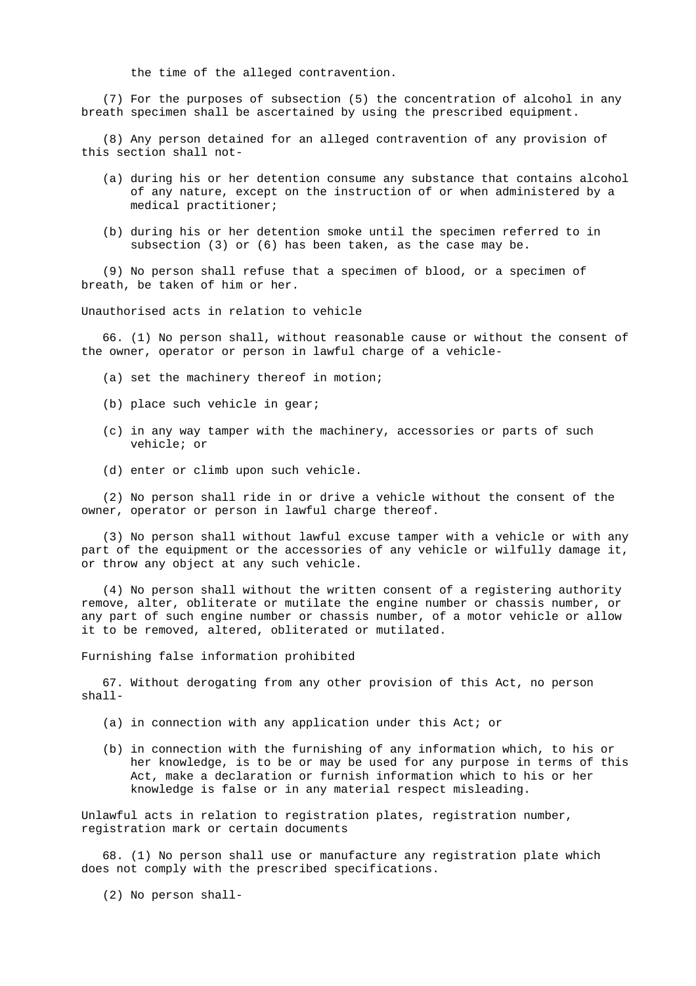the time of the alleged contravention.

 (7) For the purposes of subsection (5) the concentration of alcohol in any breath specimen shall be ascertained by using the prescribed equipment.

 (8) Any person detained for an alleged contravention of any provision of this section shall not-

- (a) during his or her detention consume any substance that contains alcohol of any nature, except on the instruction of or when administered by a medical practitioner;
- (b) during his or her detention smoke until the specimen referred to in subsection (3) or (6) has been taken, as the case may be.

 (9) No person shall refuse that a specimen of blood, or a specimen of breath, be taken of him or her.

Unauthorised acts in relation to vehicle

 66. (1) No person shall, without reasonable cause or without the consent of the owner, operator or person in lawful charge of a vehicle-

- (a) set the machinery thereof in motion;
- (b) place such vehicle in gear;
- (c) in any way tamper with the machinery, accessories or parts of such vehicle; or
- (d) enter or climb upon such vehicle.

 (2) No person shall ride in or drive a vehicle without the consent of the owner, operator or person in lawful charge thereof.

 (3) No person shall without lawful excuse tamper with a vehicle or with any part of the equipment or the accessories of any vehicle or wilfully damage it, or throw any object at any such vehicle.

 (4) No person shall without the written consent of a registering authority remove, alter, obliterate or mutilate the engine number or chassis number, or any part of such engine number or chassis number, of a motor vehicle or allow it to be removed, altered, obliterated or mutilated.

Furnishing false information prohibited

 67. Without derogating from any other provision of this Act, no person shall-

- (a) in connection with any application under this Act; or
- (b) in connection with the furnishing of any information which, to his or her knowledge, is to be or may be used for any purpose in terms of this Act, make a declaration or furnish information which to his or her knowledge is false or in any material respect misleading.

 Unlawful acts in relation to registration plates, registration number, registration mark or certain documents

 68. (1) No person shall use or manufacture any registration plate which does not comply with the prescribed specifications.

(2) No person shall-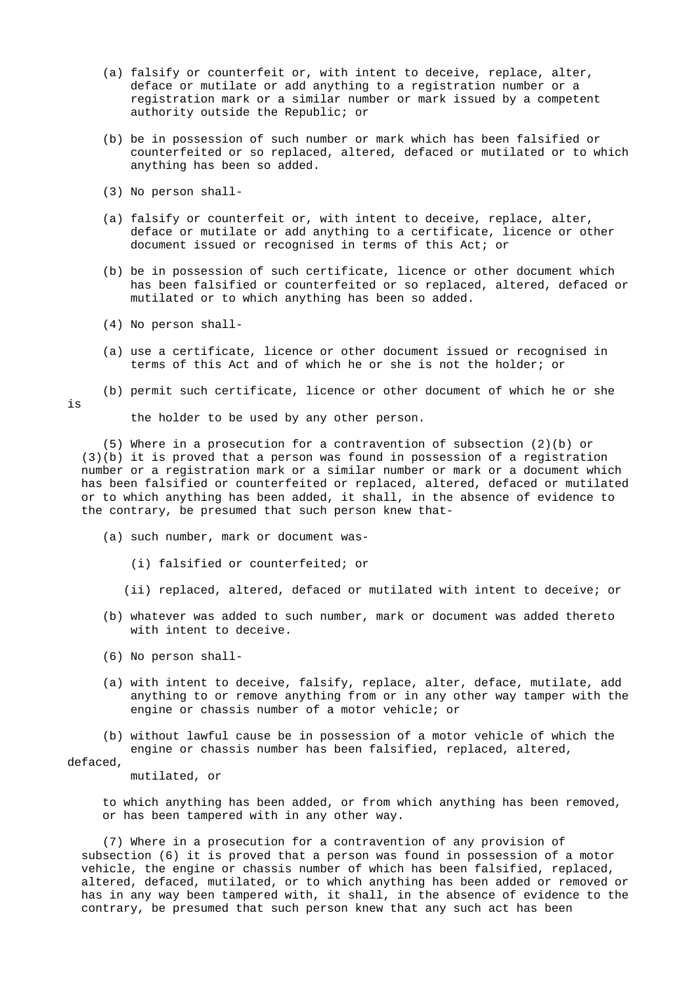- (a) falsify or counterfeit or, with intent to deceive, replace, alter, deface or mutilate or add anything to a registration number or a registration mark or a similar number or mark issued by a competent authority outside the Republic; or
- (b) be in possession of such number or mark which has been falsified or counterfeited or so replaced, altered, defaced or mutilated or to which anything has been so added.
- (3) No person shall-
- (a) falsify or counterfeit or, with intent to deceive, replace, alter, deface or mutilate or add anything to a certificate, licence or other document issued or recognised in terms of this Act; or
- (b) be in possession of such certificate, licence or other document which has been falsified or counterfeited or so replaced, altered, defaced or mutilated or to which anything has been so added.
- (4) No person shall-
- (a) use a certificate, licence or other document issued or recognised in terms of this Act and of which he or she is not the holder; or
- (b) permit such certificate, licence or other document of which he or she

```
is
```
the holder to be used by any other person.

 (5) Where in a prosecution for a contravention of subsection (2)(b) or (3)(b) it is proved that a person was found in possession of a registration number or a registration mark or a similar number or mark or a document which has been falsified or counterfeited or replaced, altered, defaced or mutilated or to which anything has been added, it shall, in the absence of evidence to the contrary, be presumed that such person knew that-

- (a) such number, mark or document was-
	- (i) falsified or counterfeited; or
	- (ii) replaced, altered, defaced or mutilated with intent to deceive; or
- (b) whatever was added to such number, mark or document was added thereto with intent to deceive.
- (6) No person shall-
- (a) with intent to deceive, falsify, replace, alter, deface, mutilate, add anything to or remove anything from or in any other way tamper with the engine or chassis number of a motor vehicle; or

 (b) without lawful cause be in possession of a motor vehicle of which the engine or chassis number has been falsified, replaced, altered,

## defaced,

mutilated, or

 to which anything has been added, or from which anything has been removed, or has been tampered with in any other way.

 (7) Where in a prosecution for a contravention of any provision of subsection (6) it is proved that a person was found in possession of a motor vehicle, the engine or chassis number of which has been falsified, replaced, altered, defaced, mutilated, or to which anything has been added or removed or has in any way been tampered with, it shall, in the absence of evidence to the contrary, be presumed that such person knew that any such act has been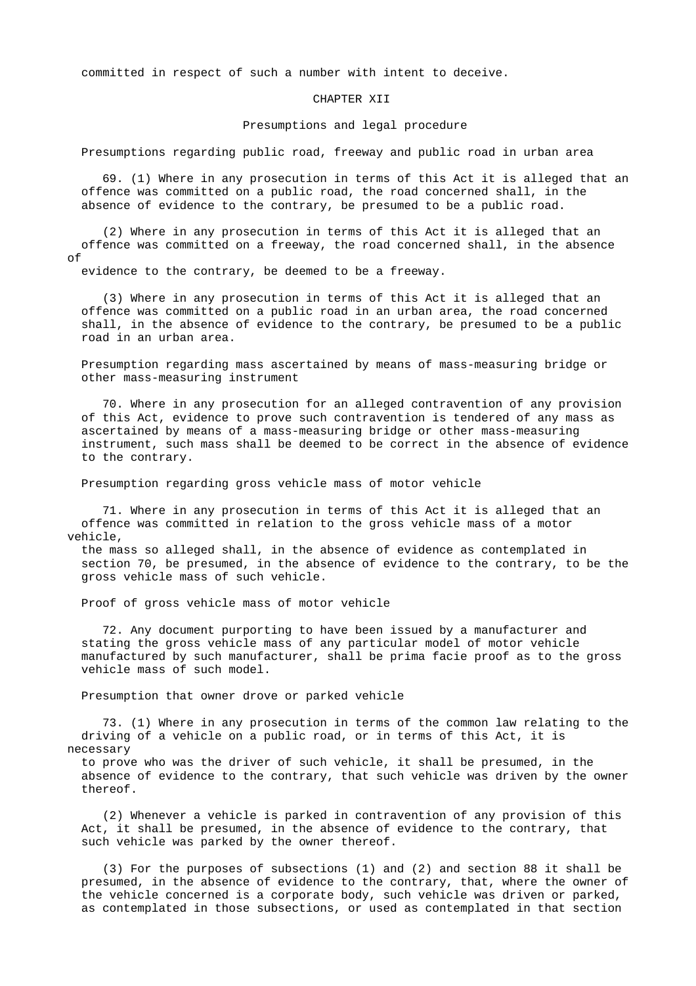committed in respect of such a number with intent to deceive.

#### CHAPTER XII

#### Presumptions and legal procedure

Presumptions regarding public road, freeway and public road in urban area

 69. (1) Where in any prosecution in terms of this Act it is alleged that an offence was committed on a public road, the road concerned shall, in the absence of evidence to the contrary, be presumed to be a public road.

 (2) Where in any prosecution in terms of this Act it is alleged that an offence was committed on a freeway, the road concerned shall, in the absence of

evidence to the contrary, be deemed to be a freeway.

 (3) Where in any prosecution in terms of this Act it is alleged that an offence was committed on a public road in an urban area, the road concerned shall, in the absence of evidence to the contrary, be presumed to be a public road in an urban area.

 Presumption regarding mass ascertained by means of mass-measuring bridge or other mass-measuring instrument

 70. Where in any prosecution for an alleged contravention of any provision of this Act, evidence to prove such contravention is tendered of any mass as ascertained by means of a mass-measuring bridge or other mass-measuring instrument, such mass shall be deemed to be correct in the absence of evidence to the contrary.

Presumption regarding gross vehicle mass of motor vehicle

 71. Where in any prosecution in terms of this Act it is alleged that an offence was committed in relation to the gross vehicle mass of a motor vehicle,

 the mass so alleged shall, in the absence of evidence as contemplated in section 70, be presumed, in the absence of evidence to the contrary, to be the gross vehicle mass of such vehicle.

Proof of gross vehicle mass of motor vehicle

 72. Any document purporting to have been issued by a manufacturer and stating the gross vehicle mass of any particular model of motor vehicle manufactured by such manufacturer, shall be prima facie proof as to the gross vehicle mass of such model.

Presumption that owner drove or parked vehicle

 73. (1) Where in any prosecution in terms of the common law relating to the driving of a vehicle on a public road, or in terms of this Act, it is necessary

 to prove who was the driver of such vehicle, it shall be presumed, in the absence of evidence to the contrary, that such vehicle was driven by the owner thereof.

 (2) Whenever a vehicle is parked in contravention of any provision of this Act, it shall be presumed, in the absence of evidence to the contrary, that such vehicle was parked by the owner thereof.

 (3) For the purposes of subsections (1) and (2) and section 88 it shall be presumed, in the absence of evidence to the contrary, that, where the owner of the vehicle concerned is a corporate body, such vehicle was driven or parked, as contemplated in those subsections, or used as contemplated in that section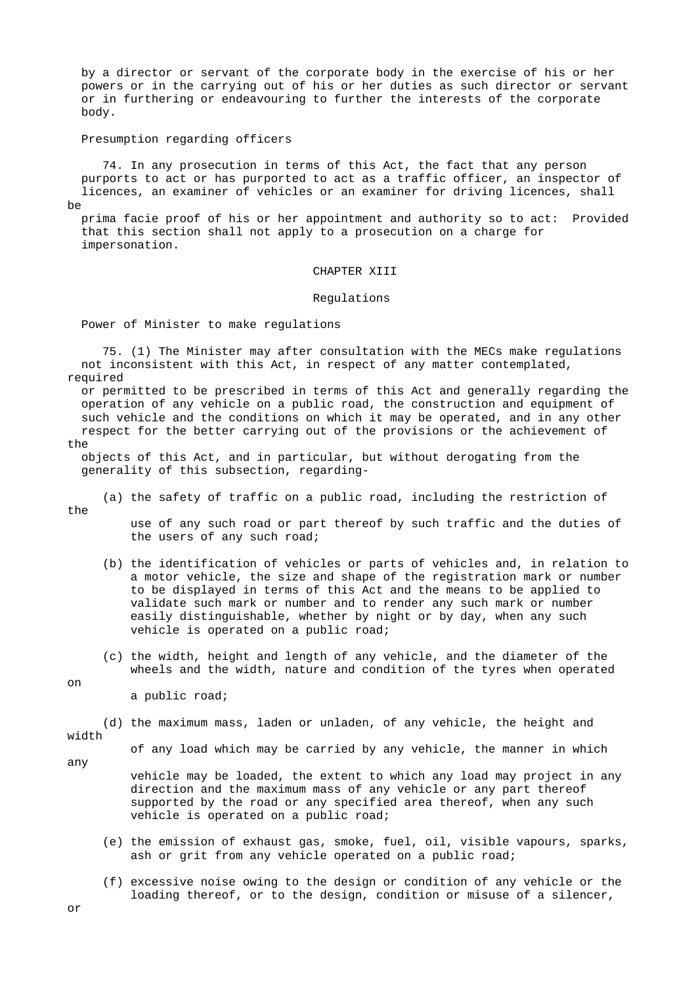by a director or servant of the corporate body in the exercise of his or her powers or in the carrying out of his or her duties as such director or servant or in furthering or endeavouring to further the interests of the corporate body.

Presumption regarding officers

 74. In any prosecution in terms of this Act, the fact that any person purports to act or has purported to act as a traffic officer, an inspector of licences, an examiner of vehicles or an examiner for driving licences, shall be

 prima facie proof of his or her appointment and authority so to act: Provided that this section shall not apply to a prosecution on a charge for impersonation.

#### CHAPTER XIII

#### Regulations

Power of Minister to make regulations

 75. (1) The Minister may after consultation with the MECs make regulations not inconsistent with this Act, in respect of any matter contemplated, required

 or permitted to be prescribed in terms of this Act and generally regarding the operation of any vehicle on a public road, the construction and equipment of such vehicle and the conditions on which it may be operated, and in any other respect for the better carrying out of the provisions or the achievement of

the

 objects of this Act, and in particular, but without derogating from the generality of this subsection, regarding-

(a) the safety of traffic on a public road, including the restriction of

the

 use of any such road or part thereof by such traffic and the duties of the users of any such road;

- (b) the identification of vehicles or parts of vehicles and, in relation to a motor vehicle, the size and shape of the registration mark or number to be displayed in terms of this Act and the means to be applied to validate such mark or number and to render any such mark or number easily distinguishable, whether by night or by day, when any such vehicle is operated on a public road;
- (c) the width, height and length of any vehicle, and the diameter of the wheels and the width, nature and condition of the tyres when operated

on

a public road;

(d) the maximum mass, laden or unladen, of any vehicle, the height and

width any

of any load which may be carried by any vehicle, the manner in which

 vehicle may be loaded, the extent to which any load may project in any direction and the maximum mass of any vehicle or any part thereof supported by the road or any specified area thereof, when any such vehicle is operated on a public road;

- (e) the emission of exhaust gas, smoke, fuel, oil, visible vapours, sparks, ash or grit from any vehicle operated on a public road;
- (f) excessive noise owing to the design or condition of any vehicle or the loading thereof, or to the design, condition or misuse of a silencer,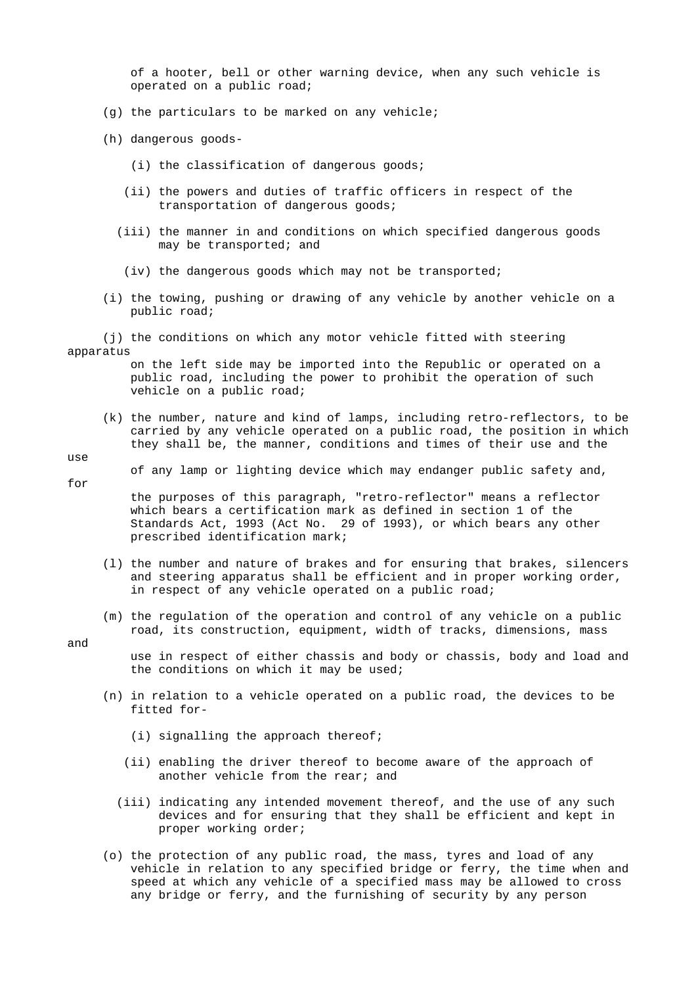of a hooter, bell or other warning device, when any such vehicle is operated on a public road;

- (g) the particulars to be marked on any vehicle;
- (h) dangerous goods-
	- (i) the classification of dangerous goods;
	- (ii) the powers and duties of traffic officers in respect of the transportation of dangerous goods;
	- (iii) the manner in and conditions on which specified dangerous goods may be transported; and
	- (iv) the dangerous goods which may not be transported;
- (i) the towing, pushing or drawing of any vehicle by another vehicle on a public road;
- (j) the conditions on which any motor vehicle fitted with steering apparatus

 on the left side may be imported into the Republic or operated on a public road, including the power to prohibit the operation of such vehicle on a public road;

- (k) the number, nature and kind of lamps, including retro-reflectors, to be carried by any vehicle operated on a public road, the position in which they shall be, the manner, conditions and times of their use and the
- use for

of any lamp or lighting device which may endanger public safety and,

 the purposes of this paragraph, "retro-reflector" means a reflector which bears a certification mark as defined in section 1 of the Standards Act, 1993 (Act No. 29 of 1993), or which bears any other prescribed identification mark;

- (l) the number and nature of brakes and for ensuring that brakes, silencers and steering apparatus shall be efficient and in proper working order, in respect of any vehicle operated on a public road;
- (m) the regulation of the operation and control of any vehicle on a public road, its construction, equipment, width of tracks, dimensions, mass

and

 use in respect of either chassis and body or chassis, body and load and the conditions on which it may be used;

- (n) in relation to a vehicle operated on a public road, the devices to be fitted for-
	- (i) signalling the approach thereof;
	- (ii) enabling the driver thereof to become aware of the approach of another vehicle from the rear; and
	- (iii) indicating any intended movement thereof, and the use of any such devices and for ensuring that they shall be efficient and kept in proper working order;
- (o) the protection of any public road, the mass, tyres and load of any vehicle in relation to any specified bridge or ferry, the time when and speed at which any vehicle of a specified mass may be allowed to cross any bridge or ferry, and the furnishing of security by any person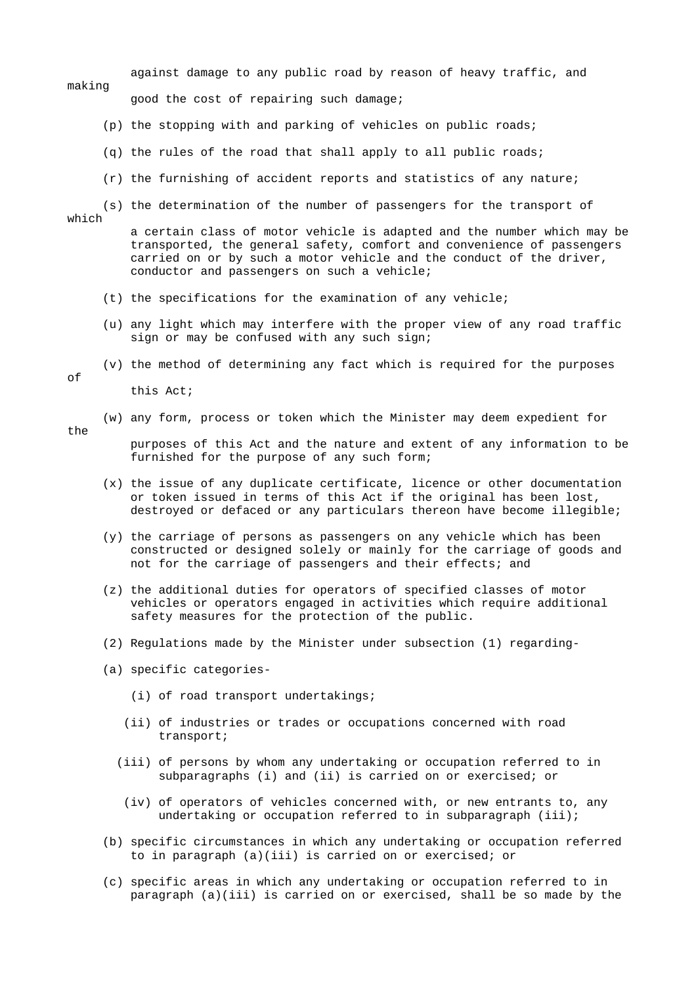against damage to any public road by reason of heavy traffic, and making good the cost of repairing such damage;

- (p) the stopping with and parking of vehicles on public roads;
- (q) the rules of the road that shall apply to all public roads;
- (r) the furnishing of accident reports and statistics of any nature;
- (s) the determination of the number of passengers for the transport of

which

 a certain class of motor vehicle is adapted and the number which may be transported, the general safety, comfort and convenience of passengers carried on or by such a motor vehicle and the conduct of the driver, conductor and passengers on such a vehicle;

- (t) the specifications for the examination of any vehicle;
- (u) any light which may interfere with the proper view of any road traffic sign or may be confused with any such sign;
- (v) the method of determining any fact which is required for the purposes

of

this Act;

- (w) any form, process or token which the Minister may deem expedient for
- the

 purposes of this Act and the nature and extent of any information to be furnished for the purpose of any such form;

- (x) the issue of any duplicate certificate, licence or other documentation or token issued in terms of this Act if the original has been lost, destroyed or defaced or any particulars thereon have become illegible;
- (y) the carriage of persons as passengers on any vehicle which has been constructed or designed solely or mainly for the carriage of goods and not for the carriage of passengers and their effects; and
- (z) the additional duties for operators of specified classes of motor vehicles or operators engaged in activities which require additional safety measures for the protection of the public.
- (2) Regulations made by the Minister under subsection (1) regarding-
- (a) specific categories-
	- (i) of road transport undertakings;
	- (ii) of industries or trades or occupations concerned with road transport;
	- (iii) of persons by whom any undertaking or occupation referred to in subparagraphs (i) and (ii) is carried on or exercised; or
	- (iv) of operators of vehicles concerned with, or new entrants to, any undertaking or occupation referred to in subparagraph (iii);
- (b) specific circumstances in which any undertaking or occupation referred to in paragraph (a)(iii) is carried on or exercised; or
- (c) specific areas in which any undertaking or occupation referred to in paragraph (a)(iii) is carried on or exercised, shall be so made by the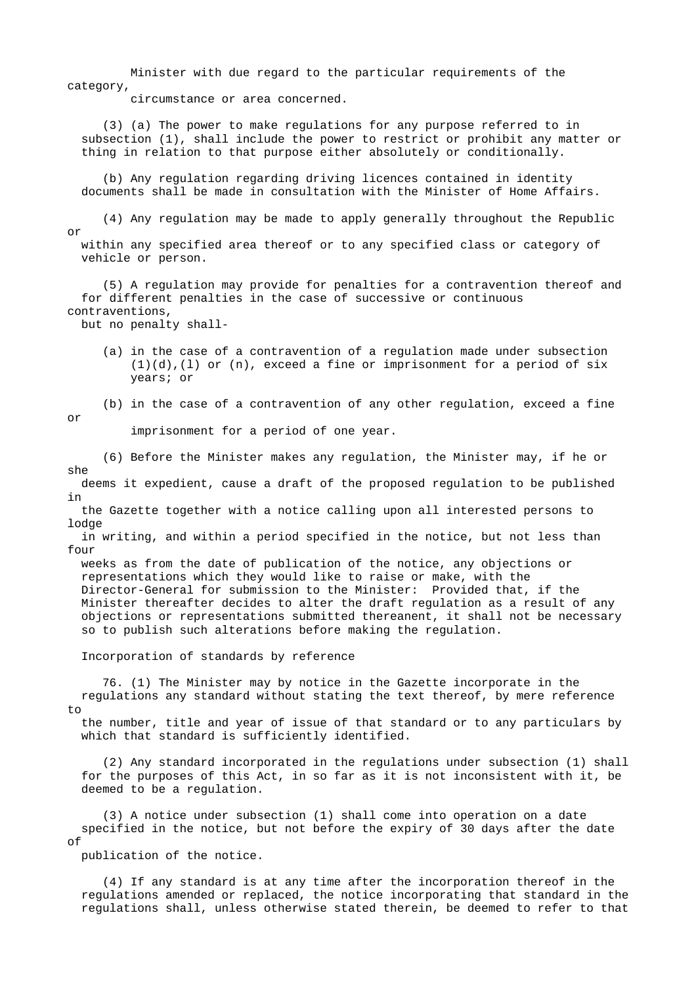Minister with due regard to the particular requirements of the category,

circumstance or area concerned.

 (3) (a) The power to make regulations for any purpose referred to in subsection (1), shall include the power to restrict or prohibit any matter or thing in relation to that purpose either absolutely or conditionally.

 (b) Any regulation regarding driving licences contained in identity documents shall be made in consultation with the Minister of Home Affairs.

 (4) Any regulation may be made to apply generally throughout the Republic or

 within any specified area thereof or to any specified class or category of vehicle or person.

 (5) A regulation may provide for penalties for a contravention thereof and for different penalties in the case of successive or continuous contraventions,

but no penalty shall-

 (a) in the case of a contravention of a regulation made under subsection  $(1)(d)$ ,  $(1)$  or  $(n)$ , exceed a fine or imprisonment for a period of six years; or

(b) in the case of a contravention of any other regulation, exceed a fine

or

imprisonment for a period of one year.

 (6) Before the Minister makes any regulation, the Minister may, if he or she

 deems it expedient, cause a draft of the proposed regulation to be published in

 the Gazette together with a notice calling upon all interested persons to lodge

 in writing, and within a period specified in the notice, but not less than four

 weeks as from the date of publication of the notice, any objections or representations which they would like to raise or make, with the Director-General for submission to the Minister: Provided that, if the Minister thereafter decides to alter the draft regulation as a result of any objections or representations submitted thereanent, it shall not be necessary so to publish such alterations before making the regulation.

Incorporation of standards by reference

 76. (1) The Minister may by notice in the Gazette incorporate in the regulations any standard without stating the text thereof, by mere reference to

 the number, title and year of issue of that standard or to any particulars by which that standard is sufficiently identified.

 (2) Any standard incorporated in the regulations under subsection (1) shall for the purposes of this Act, in so far as it is not inconsistent with it, be deemed to be a regulation.

 (3) A notice under subsection (1) shall come into operation on a date specified in the notice, but not before the expiry of 30 days after the date  $\cap f$ 

publication of the notice.

 (4) If any standard is at any time after the incorporation thereof in the regulations amended or replaced, the notice incorporating that standard in the regulations shall, unless otherwise stated therein, be deemed to refer to that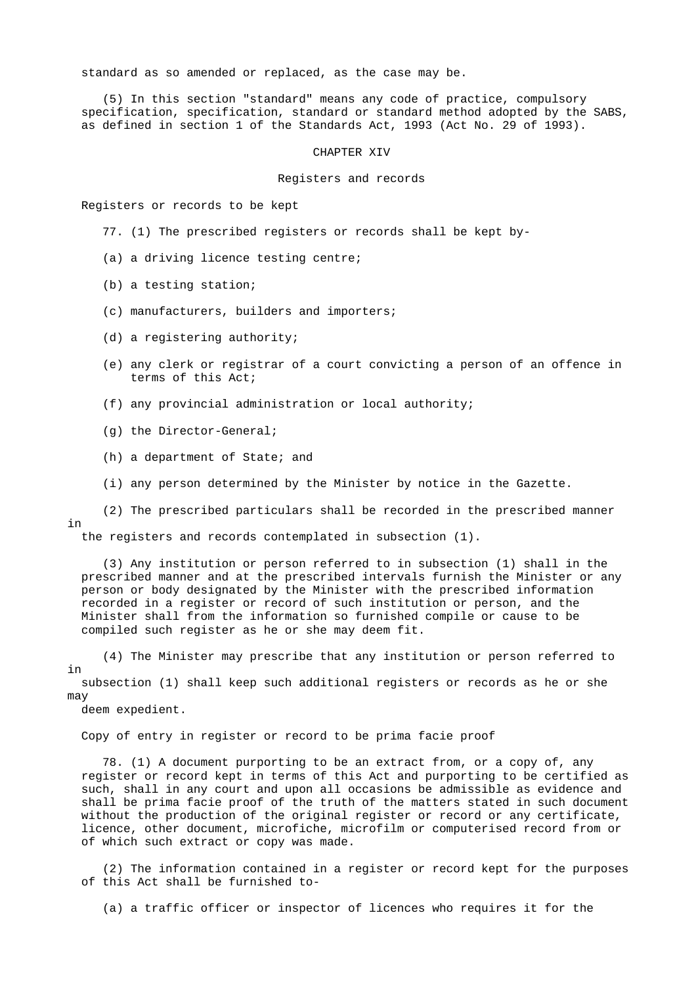standard as so amended or replaced, as the case may be.

 (5) In this section "standard" means any code of practice, compulsory specification, specification, standard or standard method adopted by the SABS, as defined in section 1 of the Standards Act, 1993 (Act No. 29 of 1993).

#### CHAPTER XIV

#### Registers and records

Registers or records to be kept

- 77. (1) The prescribed registers or records shall be kept by-
- (a) a driving licence testing centre;
- (b) a testing station;
- (c) manufacturers, builders and importers;
- (d) a registering authority;
- (e) any clerk or registrar of a court convicting a person of an offence in terms of this Act;
- (f) any provincial administration or local authority;
- (g) the Director-General;
- (h) a department of State; and
- (i) any person determined by the Minister by notice in the Gazette.

 (2) The prescribed particulars shall be recorded in the prescribed manner in

the registers and records contemplated in subsection (1).

 (3) Any institution or person referred to in subsection (1) shall in the prescribed manner and at the prescribed intervals furnish the Minister or any person or body designated by the Minister with the prescribed information recorded in a register or record of such institution or person, and the Minister shall from the information so furnished compile or cause to be compiled such register as he or she may deem fit.

 (4) The Minister may prescribe that any institution or person referred to in subsection (1) shall keep such additional registers or records as he or she may

deem expedient.

Copy of entry in register or record to be prima facie proof

 78. (1) A document purporting to be an extract from, or a copy of, any register or record kept in terms of this Act and purporting to be certified as such, shall in any court and upon all occasions be admissible as evidence and shall be prima facie proof of the truth of the matters stated in such document without the production of the original register or record or any certificate, licence, other document, microfiche, microfilm or computerised record from or of which such extract or copy was made.

 (2) The information contained in a register or record kept for the purposes of this Act shall be furnished to-

(a) a traffic officer or inspector of licences who requires it for the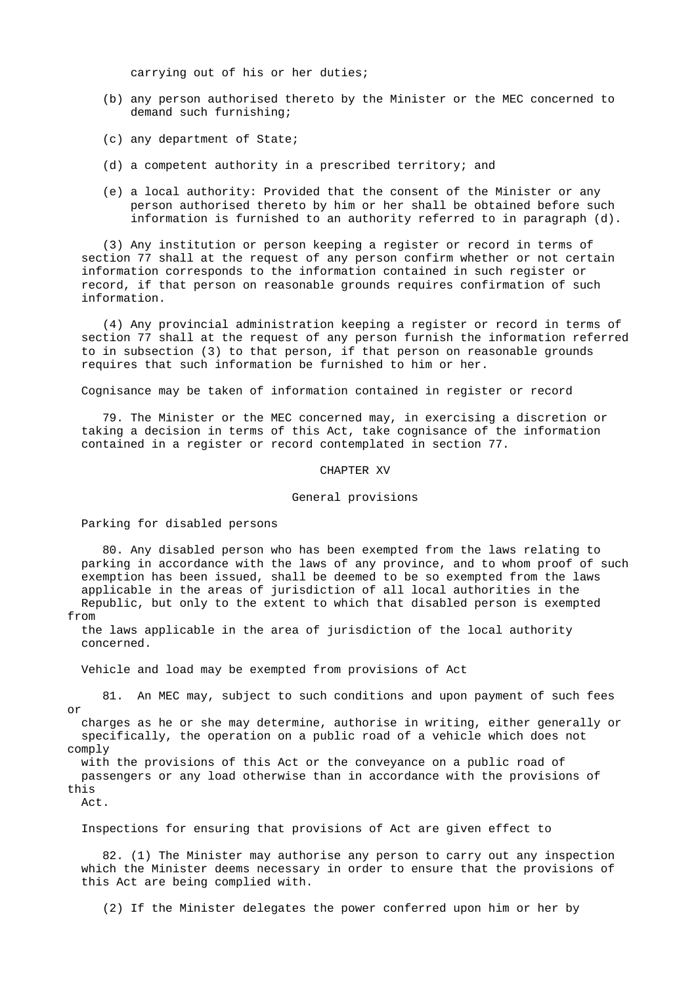carrying out of his or her duties;

- (b) any person authorised thereto by the Minister or the MEC concerned to demand such furnishing;
- (c) any department of State;
- (d) a competent authority in a prescribed territory; and
- (e) a local authority: Provided that the consent of the Minister or any person authorised thereto by him or her shall be obtained before such information is furnished to an authority referred to in paragraph (d).

 (3) Any institution or person keeping a register or record in terms of section 77 shall at the request of any person confirm whether or not certain information corresponds to the information contained in such register or record, if that person on reasonable grounds requires confirmation of such information.

 (4) Any provincial administration keeping a register or record in terms of section 77 shall at the request of any person furnish the information referred to in subsection (3) to that person, if that person on reasonable grounds requires that such information be furnished to him or her.

Cognisance may be taken of information contained in register or record

 79. The Minister or the MEC concerned may, in exercising a discretion or taking a decision in terms of this Act, take cognisance of the information contained in a register or record contemplated in section 77.

CHAPTER XV

### General provisions

Parking for disabled persons

 80. Any disabled person who has been exempted from the laws relating to parking in accordance with the laws of any province, and to whom proof of such exemption has been issued, shall be deemed to be so exempted from the laws applicable in the areas of jurisdiction of all local authorities in the Republic, but only to the extent to which that disabled person is exempted from

 the laws applicable in the area of jurisdiction of the local authority concerned.

Vehicle and load may be exempted from provisions of Act

 81. An MEC may, subject to such conditions and upon payment of such fees or

 charges as he or she may determine, authorise in writing, either generally or specifically, the operation on a public road of a vehicle which does not comply

 with the provisions of this Act or the conveyance on a public road of passengers or any load otherwise than in accordance with the provisions of this

Act.

Inspections for ensuring that provisions of Act are given effect to

 82. (1) The Minister may authorise any person to carry out any inspection which the Minister deems necessary in order to ensure that the provisions of this Act are being complied with.

(2) If the Minister delegates the power conferred upon him or her by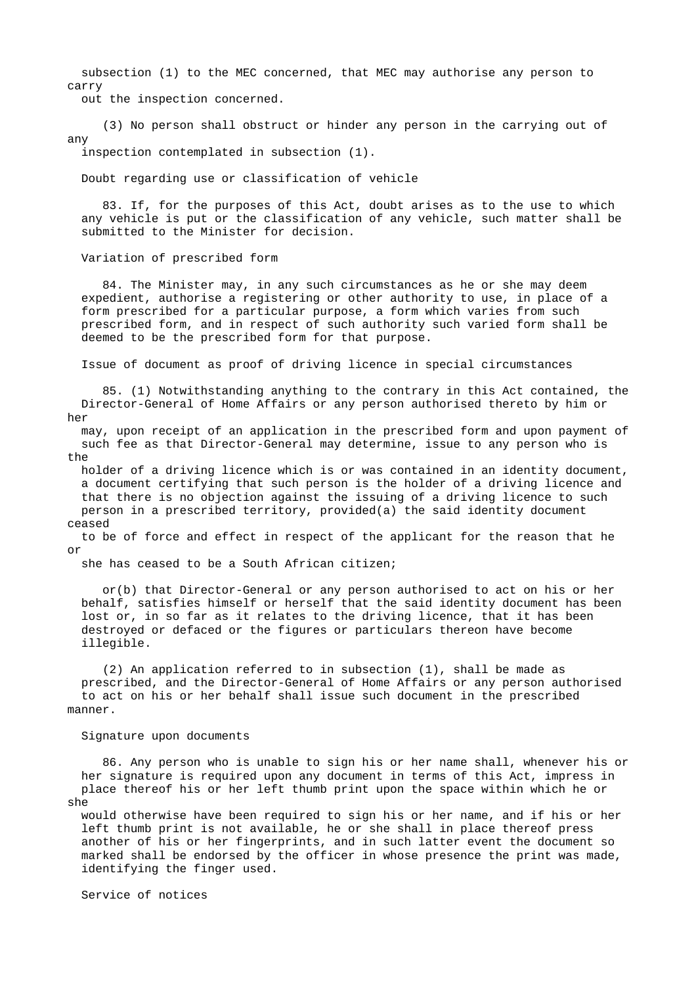subsection (1) to the MEC concerned, that MEC may authorise any person to carry

out the inspection concerned.

 (3) No person shall obstruct or hinder any person in the carrying out of any

inspection contemplated in subsection (1).

Doubt regarding use or classification of vehicle

 83. If, for the purposes of this Act, doubt arises as to the use to which any vehicle is put or the classification of any vehicle, such matter shall be submitted to the Minister for decision.

Variation of prescribed form

 84. The Minister may, in any such circumstances as he or she may deem expedient, authorise a registering or other authority to use, in place of a form prescribed for a particular purpose, a form which varies from such prescribed form, and in respect of such authority such varied form shall be deemed to be the prescribed form for that purpose.

Issue of document as proof of driving licence in special circumstances

 85. (1) Notwithstanding anything to the contrary in this Act contained, the Director-General of Home Affairs or any person authorised thereto by him or her

 may, upon receipt of an application in the prescribed form and upon payment of such fee as that Director-General may determine, issue to any person who is the

 holder of a driving licence which is or was contained in an identity document, a document certifying that such person is the holder of a driving licence and that there is no objection against the issuing of a driving licence to such person in a prescribed territory, provided(a) the said identity document ceased

 to be of force and effect in respect of the applicant for the reason that he or

she has ceased to be a South African citizen;

 or(b) that Director-General or any person authorised to act on his or her behalf, satisfies himself or herself that the said identity document has been lost or, in so far as it relates to the driving licence, that it has been destroyed or defaced or the figures or particulars thereon have become illegible.

 (2) An application referred to in subsection (1), shall be made as prescribed, and the Director-General of Home Affairs or any person authorised to act on his or her behalf shall issue such document in the prescribed manner.

### Signature upon documents

 86. Any person who is unable to sign his or her name shall, whenever his or her signature is required upon any document in terms of this Act, impress in place thereof his or her left thumb print upon the space within which he or she

 would otherwise have been required to sign his or her name, and if his or her left thumb print is not available, he or she shall in place thereof press another of his or her fingerprints, and in such latter event the document so marked shall be endorsed by the officer in whose presence the print was made, identifying the finger used.

Service of notices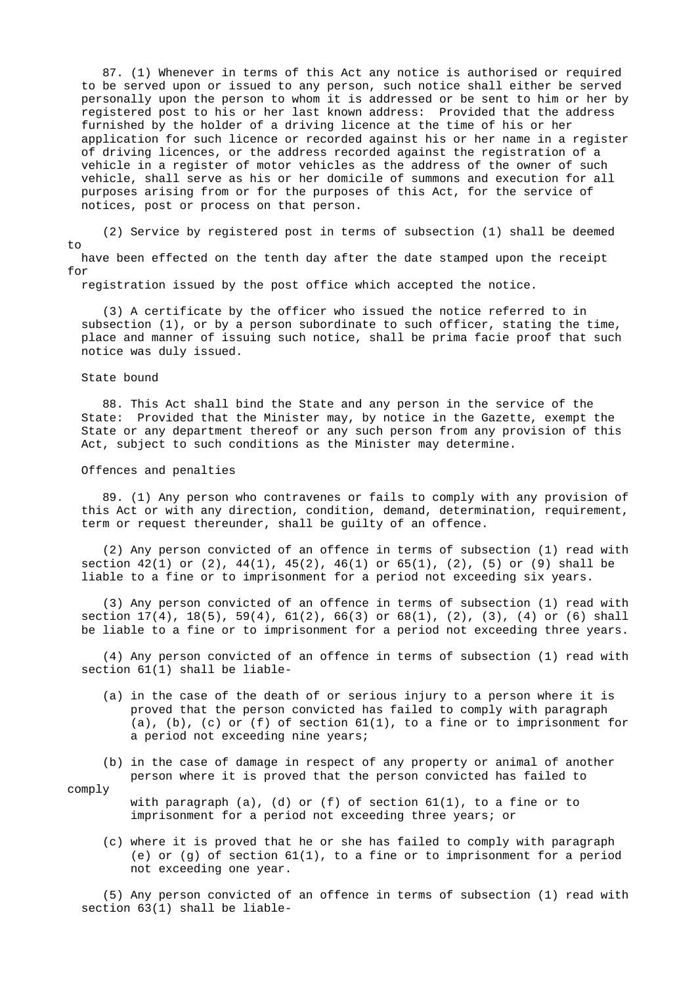87. (1) Whenever in terms of this Act any notice is authorised or required to be served upon or issued to any person, such notice shall either be served personally upon the person to whom it is addressed or be sent to him or her by registered post to his or her last known address: Provided that the address furnished by the holder of a driving licence at the time of his or her application for such licence or recorded against his or her name in a register of driving licences, or the address recorded against the registration of a vehicle in a register of motor vehicles as the address of the owner of such vehicle, shall serve as his or her domicile of summons and execution for all purposes arising from or for the purposes of this Act, for the service of notices, post or process on that person.

 (2) Service by registered post in terms of subsection (1) shall be deemed  $t \circ$  have been effected on the tenth day after the date stamped upon the receipt for

registration issued by the post office which accepted the notice.

 (3) A certificate by the officer who issued the notice referred to in subsection (1), or by a person subordinate to such officer, stating the time, place and manner of issuing such notice, shall be prima facie proof that such notice was duly issued.

## State bound

 88. This Act shall bind the State and any person in the service of the State: Provided that the Minister may, by notice in the Gazette, exempt the State or any department thereof or any such person from any provision of this Act, subject to such conditions as the Minister may determine.

### Offences and penalties

 89. (1) Any person who contravenes or fails to comply with any provision of this Act or with any direction, condition, demand, determination, requirement, term or request thereunder, shall be guilty of an offence.

 (2) Any person convicted of an offence in terms of subsection (1) read with section  $42(1)$  or  $(2)$ ,  $44(1)$ ,  $45(2)$ ,  $46(1)$  or  $65(1)$ ,  $(2)$ ,  $(5)$  or  $(9)$  shall be liable to a fine or to imprisonment for a period not exceeding six years.

 (3) Any person convicted of an offence in terms of subsection (1) read with section  $17(4)$ ,  $18(5)$ ,  $59(4)$ ,  $61(2)$ ,  $66(3)$  or  $68(1)$ ,  $(2)$ ,  $(3)$ ,  $(4)$  or  $(6)$  shall be liable to a fine or to imprisonment for a period not exceeding three years.

 (4) Any person convicted of an offence in terms of subsection (1) read with section 61(1) shall be liable-

- (a) in the case of the death of or serious injury to a person where it is proved that the person convicted has failed to comply with paragraph (a), (b), (c) or (f) of section 61(1), to a fine or to imprisonment for a period not exceeding nine years;
- (b) in the case of damage in respect of any property or animal of another person where it is proved that the person convicted has failed to

comply

with paragraph (a), (d) or (f) of section  $61(1)$ , to a fine or to imprisonment for a period not exceeding three years; or

 (c) where it is proved that he or she has failed to comply with paragraph (e) or (g) of section  $61(1)$ , to a fine or to imprisonment for a period not exceeding one year.

 (5) Any person convicted of an offence in terms of subsection (1) read with section 63(1) shall be liable-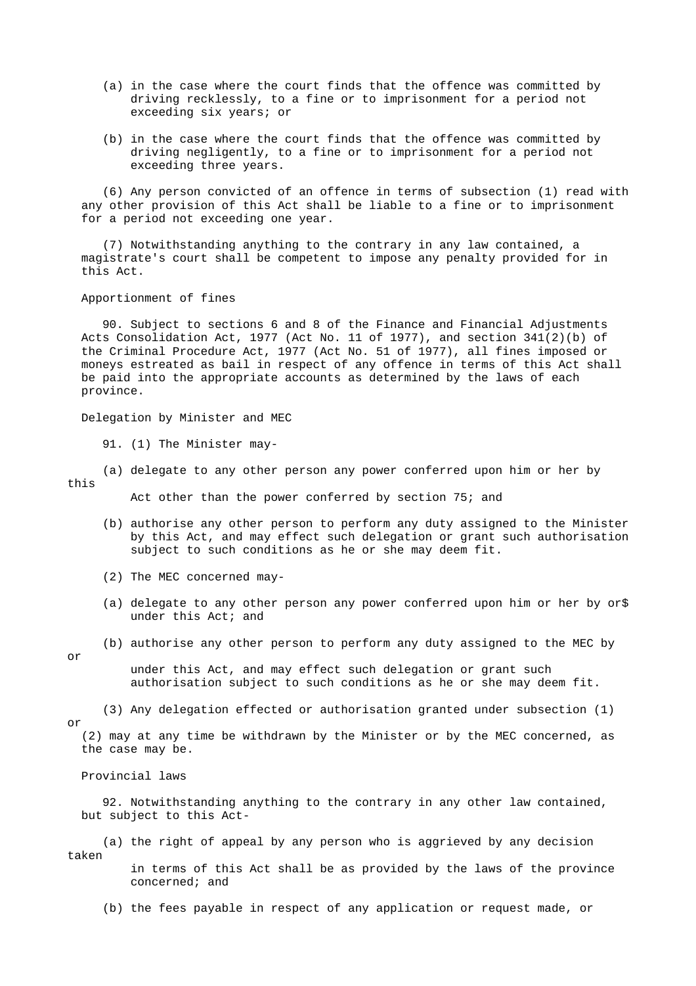- (a) in the case where the court finds that the offence was committed by driving recklessly, to a fine or to imprisonment for a period not exceeding six years; or
- (b) in the case where the court finds that the offence was committed by driving negligently, to a fine or to imprisonment for a period not exceeding three years.

 (6) Any person convicted of an offence in terms of subsection (1) read with any other provision of this Act shall be liable to a fine or to imprisonment for a period not exceeding one year.

 (7) Notwithstanding anything to the contrary in any law contained, a magistrate's court shall be competent to impose any penalty provided for in this Act.

Apportionment of fines

 90. Subject to sections 6 and 8 of the Finance and Financial Adjustments Acts Consolidation Act, 1977 (Act No. 11 of 1977), and section 341(2)(b) of the Criminal Procedure Act, 1977 (Act No. 51 of 1977), all fines imposed or moneys estreated as bail in respect of any offence in terms of this Act shall be paid into the appropriate accounts as determined by the laws of each province.

Delegation by Minister and MEC

91. (1) The Minister may-

 (a) delegate to any other person any power conferred upon him or her by this

Act other than the power conferred by section 75; and

- (b) authorise any other person to perform any duty assigned to the Minister by this Act, and may effect such delegation or grant such authorisation subject to such conditions as he or she may deem fit.
- (2) The MEC concerned may-
- (a) delegate to any other person any power conferred upon him or her by or\$ under this Act; and
- (b) authorise any other person to perform any duty assigned to the MEC by
- or

 under this Act, and may effect such delegation or grant such authorisation subject to such conditions as he or she may deem fit.

 (3) Any delegation effected or authorisation granted under subsection (1) or

 (2) may at any time be withdrawn by the Minister or by the MEC concerned, as the case may be.

Provincial laws

 92. Notwithstanding anything to the contrary in any other law contained, but subject to this Act-

 (a) the right of appeal by any person who is aggrieved by any decision taken in terms of this Act shall be as provided by the laws of the province concerned; and

(b) the fees payable in respect of any application or request made, or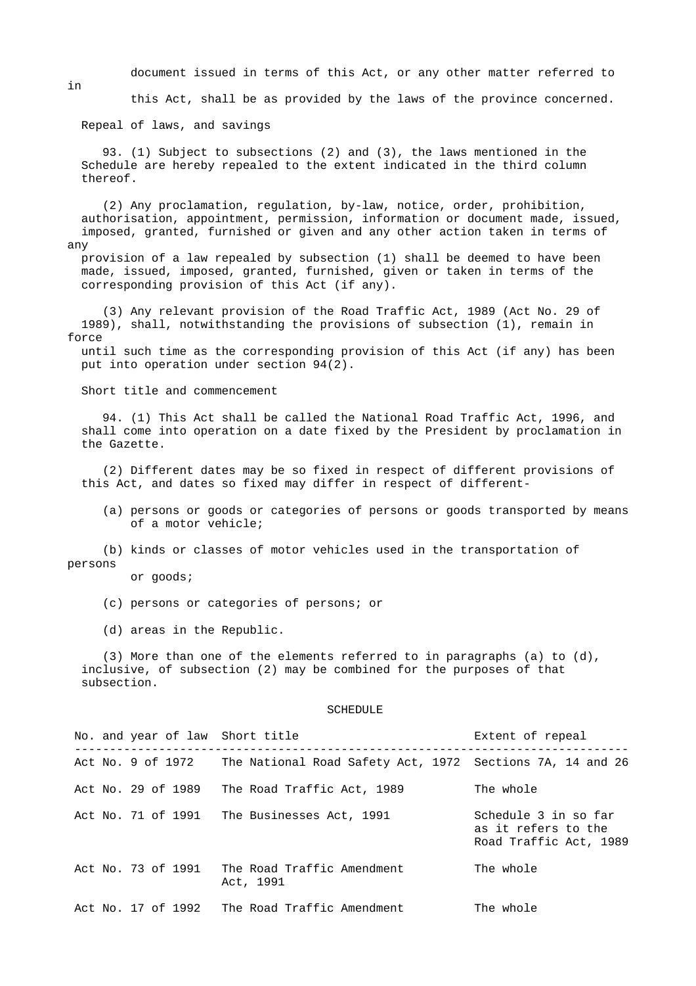document issued in terms of this Act, or any other matter referred to

this Act, shall be as provided by the laws of the province concerned.

Repeal of laws, and savings

 93. (1) Subject to subsections (2) and (3), the laws mentioned in the Schedule are hereby repealed to the extent indicated in the third column thereof.

 (2) Any proclamation, regulation, by-law, notice, order, prohibition, authorisation, appointment, permission, information or document made, issued, imposed, granted, furnished or given and any other action taken in terms of any

 provision of a law repealed by subsection (1) shall be deemed to have been made, issued, imposed, granted, furnished, given or taken in terms of the corresponding provision of this Act (if any).

 (3) Any relevant provision of the Road Traffic Act, 1989 (Act No. 29 of 1989), shall, notwithstanding the provisions of subsection (1), remain in force

 until such time as the corresponding provision of this Act (if any) has been put into operation under section 94(2).

Short title and commencement

 94. (1) This Act shall be called the National Road Traffic Act, 1996, and shall come into operation on a date fixed by the President by proclamation in the Gazette.

 (2) Different dates may be so fixed in respect of different provisions of this Act, and dates so fixed may differ in respect of different-

 (a) persons or goods or categories of persons or goods transported by means of a motor vehicle;

 (b) kinds or classes of motor vehicles used in the transportation of persons

or goods;

(c) persons or categories of persons; or

(d) areas in the Republic.

 (3) More than one of the elements referred to in paragraphs (a) to (d), inclusive, of subsection (2) may be combined for the purposes of that subsection.

#### SCHEDULE

| No. and year of law Short title |                                                           | Extent of repeal                                                      |
|---------------------------------|-----------------------------------------------------------|-----------------------------------------------------------------------|
| Act No. 9 of 1972               | The National Road Safety Act, 1972 Sections 7A, 14 and 26 |                                                                       |
| Act No. 29 of 1989              | The Road Traffic Act, 1989                                | The whole                                                             |
| Act No. 71 of 1991              | The Businesses Act, 1991                                  | Schedule 3 in so far<br>as it refers to the<br>Road Traffic Act, 1989 |
| Act No. 73 of 1991              | The Road Traffic Amendment<br>Act, 1991                   | The whole                                                             |
| Act No. 17 of 1992              | The Road Traffic Amendment                                | The whole                                                             |

in